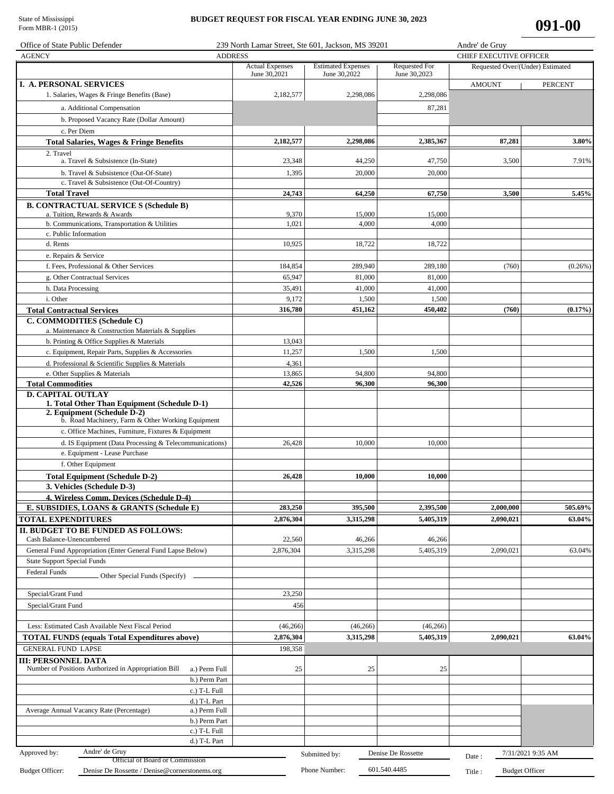# State of Mississippi<br>Form MBR-1 (2015)

#### BUDGET REQUEST FOR FISCAL YEAR ENDING JUNE 30, 2023

| Office of State Public Defender                                               | 239 North Lamar Street, Ste 601, Jackson, MS 39201 |                                           |                                      | Andre' de Gruy                   |                       |  |  |  |
|-------------------------------------------------------------------------------|----------------------------------------------------|-------------------------------------------|--------------------------------------|----------------------------------|-----------------------|--|--|--|
| <b>AGENCY</b>                                                                 | <b>ADDRESS</b>                                     |                                           |                                      | CHIEF EXECUTIVE OFFICER          |                       |  |  |  |
|                                                                               | <b>Actual Expenses</b><br>June 30,2021             | <b>Estimated Expenses</b><br>June 30,2022 | <b>Requested For</b><br>June 30,2023 | Requested Over/(Under) Estimated |                       |  |  |  |
| I. A. PERSONAL SERVICES                                                       |                                                    |                                           |                                      | <b>AMOUNT</b>                    | <b>PERCENT</b>        |  |  |  |
| 1. Salaries, Wages & Fringe Benefits (Base)                                   | 2,182,577                                          | 2,298,086                                 | 2.298.086                            |                                  |                       |  |  |  |
| a. Additional Compensation                                                    |                                                    |                                           | 87,281                               |                                  |                       |  |  |  |
| b. Proposed Vacancy Rate (Dollar Amount)                                      |                                                    |                                           |                                      |                                  |                       |  |  |  |
| c. Per Diem                                                                   |                                                    |                                           |                                      |                                  |                       |  |  |  |
| Total Salaries, Wages & Fringe Benefits                                       | 2,182,577                                          | 2,298,086                                 | 2,385,367                            | 87,281                           | 3.80%                 |  |  |  |
| 2. Travel                                                                     |                                                    |                                           |                                      |                                  |                       |  |  |  |
| a. Travel & Subsistence (In-State)                                            | 23,348                                             | 44,250                                    | 47,750                               | 3,500                            | 7.91%                 |  |  |  |
| b. Travel & Subsistence (Out-Of-State)                                        | 1,395                                              | 20,000                                    | 20,000                               |                                  |                       |  |  |  |
| c. Travel & Subsistence (Out-Of-Country)                                      |                                                    |                                           |                                      |                                  |                       |  |  |  |
| <b>Total Travel</b>                                                           | 24,743                                             | 64,250                                    | 67,750                               | 3,500                            | 5.45%                 |  |  |  |
| <b>B. CONTRACTUAL SERVICE S (Schedule B)</b>                                  |                                                    |                                           |                                      |                                  |                       |  |  |  |
| a. Tuition, Rewards & Awards<br>b. Communications, Transportation & Utilities | 9,370<br>1,021                                     | 15,000<br>4,000                           | 15,000<br>4,000                      |                                  |                       |  |  |  |
| c. Public Information                                                         |                                                    |                                           |                                      |                                  |                       |  |  |  |
| d. Rents                                                                      | 10,925                                             | 18,722                                    | 18,722                               |                                  |                       |  |  |  |
| e. Repairs & Service                                                          |                                                    |                                           |                                      |                                  |                       |  |  |  |
| f. Fees, Professional & Other Services                                        | 184,854                                            | 289,940                                   | 289,180                              | (760)                            | (0.26%)               |  |  |  |
| g. Other Contractual Services                                                 | 65,947                                             | 81,000                                    | 81,000                               |                                  |                       |  |  |  |
| h. Data Processing                                                            | 35,491                                             | 41,000                                    | 41,000                               |                                  |                       |  |  |  |
| i. Other                                                                      | 9,172                                              | 1,500                                     | 1,500                                |                                  |                       |  |  |  |
| <b>Total Contractual Services</b>                                             | 316,780                                            | 451,162                                   | 450,402                              | (760)                            | $(0.17\%)$            |  |  |  |
| C. COMMODITIES (Schedule C)                                                   |                                                    |                                           |                                      |                                  |                       |  |  |  |
| a. Maintenance & Construction Materials & Supplies                            |                                                    |                                           |                                      |                                  |                       |  |  |  |
| b. Printing & Office Supplies & Materials                                     | 13,043                                             |                                           |                                      |                                  |                       |  |  |  |
| c. Equipment, Repair Parts, Supplies & Accessories                            | 11,257                                             | 1,500                                     | 1,500                                |                                  |                       |  |  |  |
| d. Professional & Scientific Supplies & Materials                             | 4,361                                              |                                           |                                      |                                  |                       |  |  |  |
| e. Other Supplies & Materials                                                 | 13,865                                             | 94,800                                    | 94,800                               |                                  |                       |  |  |  |
| <b>Total Commodities</b>                                                      | 42,526                                             | 96,300                                    | 96,300                               |                                  |                       |  |  |  |
| <b>D. CAPITAL OUTLAY</b>                                                      |                                                    |                                           |                                      |                                  |                       |  |  |  |
| 1. Total Other Than Equipment (Schedule D-1)<br>2. Equipment (Schedule D-2)   |                                                    |                                           |                                      |                                  |                       |  |  |  |
| b. Road Machinery, Farm & Other Working Equipment                             |                                                    |                                           |                                      |                                  |                       |  |  |  |
| c. Office Machines, Furniture, Fixtures & Equipment                           |                                                    |                                           |                                      |                                  |                       |  |  |  |
| d. IS Equipment (Data Processing & Telecommunications)                        | 26,428                                             | 10,000                                    | 10,000                               |                                  |                       |  |  |  |
| e. Equipment - Lease Purchase                                                 |                                                    |                                           |                                      |                                  |                       |  |  |  |
| f. Other Equipment                                                            |                                                    |                                           |                                      |                                  |                       |  |  |  |
| <b>Total Equipment (Schedule D-2)</b>                                         | 26,428                                             | 10,000                                    | 10,000                               |                                  |                       |  |  |  |
| 3. Vehicles (Schedule D-3)                                                    |                                                    |                                           |                                      |                                  |                       |  |  |  |
| 4. Wireless Comm. Devices (Schedule D-4)                                      |                                                    |                                           |                                      |                                  |                       |  |  |  |
| E. SUBSIDIES, LOANS & GRANTS (Schedule E)                                     | 283,250                                            | 395,500                                   | 2,395,500                            | 2,000,000                        | 505.69%               |  |  |  |
| <b>TOTAL EXPENDITURES</b>                                                     | 2,876,304                                          | 3,315,298                                 | 5,405,319                            | 2,090,021                        | 63.04%                |  |  |  |
| <b>II. BUDGET TO BE FUNDED AS FOLLOWS:</b>                                    |                                                    |                                           |                                      |                                  |                       |  |  |  |
| Cash Balance-Unencumbered                                                     | 22,560                                             | 46,266                                    | 46,266                               |                                  |                       |  |  |  |
| General Fund Appropriation (Enter General Fund Lapse Below)                   | 2,876,304                                          | 3,315,298                                 | 5,405,319                            | 2,090,021                        | 63.04%                |  |  |  |
| <b>State Support Special Funds</b>                                            |                                                    |                                           |                                      |                                  |                       |  |  |  |
| <b>Federal Funds</b><br>Other Special Funds (Specify)                         |                                                    |                                           |                                      |                                  |                       |  |  |  |
| Special/Grant Fund                                                            | 23,250                                             |                                           |                                      |                                  |                       |  |  |  |
|                                                                               |                                                    |                                           |                                      |                                  |                       |  |  |  |
| Special/Grant Fund                                                            | 456                                                |                                           |                                      |                                  |                       |  |  |  |
| Less: Estimated Cash Available Next Fiscal Period                             | (46, 266)                                          | (46, 266)                                 | (46, 266)                            |                                  |                       |  |  |  |
| <b>TOTAL FUNDS (equals Total Expenditures above)</b>                          | 2,876,304                                          | 3,315,298                                 | 5,405,319                            | 2,090,021                        | 63.04%                |  |  |  |
| <b>GENERAL FUND LAPSE</b>                                                     | 198,358                                            |                                           |                                      |                                  |                       |  |  |  |
| <b>III: PERSONNEL DATA</b>                                                    |                                                    |                                           |                                      |                                  |                       |  |  |  |
| Number of Positions Authorized in Appropriation Bill<br>a.) Perm Full         | 25                                                 | 25                                        | 25                                   |                                  |                       |  |  |  |
| b.) Perm Part                                                                 |                                                    |                                           |                                      |                                  |                       |  |  |  |
| c.) T-L Full                                                                  |                                                    |                                           |                                      |                                  |                       |  |  |  |
| d.) T-L Part                                                                  |                                                    |                                           |                                      |                                  |                       |  |  |  |
| Average Annual Vacancy Rate (Percentage)<br>a.) Perm Full                     |                                                    |                                           |                                      |                                  |                       |  |  |  |
| b.) Perm Part                                                                 |                                                    |                                           |                                      |                                  |                       |  |  |  |
| c.) T-L Full                                                                  |                                                    |                                           |                                      |                                  |                       |  |  |  |
| d.) T-L Part<br>Andre' de Gruy                                                |                                                    |                                           |                                      |                                  |                       |  |  |  |
| Approved by:<br>Official of Board or Commission                               |                                                    | Submitted by:                             | Denise De Rossette                   | Date:                            | 7/31/2021 9:35 AM     |  |  |  |
| <b>Budget Officer:</b><br>Denise De Rossette / Denise@cornerstonems.org       |                                                    | Phone Number:                             | 601.540.4485                         | Title:                           | <b>Budget Officer</b> |  |  |  |
|                                                                               |                                                    |                                           |                                      |                                  |                       |  |  |  |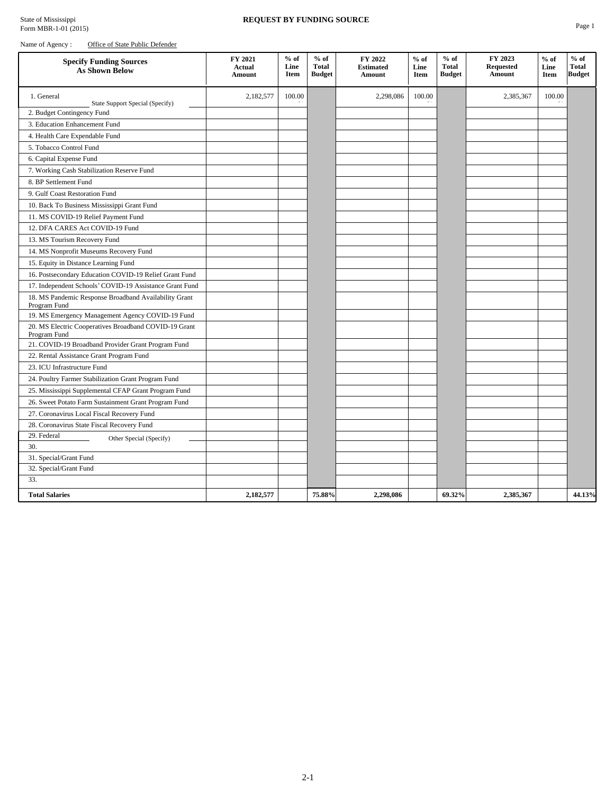| <b>Specify Funding Sources</b><br>As Shown Below                      | FY 2021<br><b>Actual</b><br><b>Amount</b> | $%$ of<br>Line<br><b>Item</b> | $%$ of<br><b>Total</b><br><b>Budget</b> | FY 2022<br><b>Estimated</b><br><b>Amount</b> | $%$ of<br>Line<br>Item | $%$ of<br><b>Total</b><br><b>Budget</b> | FY 2023<br><b>Requested</b><br>Amount | $%$ of<br>Line<br>Item | $%$ of<br><b>Total</b><br><b>Budget</b> |
|-----------------------------------------------------------------------|-------------------------------------------|-------------------------------|-----------------------------------------|----------------------------------------------|------------------------|-----------------------------------------|---------------------------------------|------------------------|-----------------------------------------|
| 1. General<br>State Support Special (Specify)                         | 2,182,577                                 | 100.00                        |                                         | 2,298,086                                    | 100.00                 |                                         | 2,385,367                             | 100.00                 |                                         |
| 2. Budget Contingency Fund                                            |                                           |                               |                                         |                                              |                        |                                         |                                       |                        |                                         |
| 3. Education Enhancement Fund                                         |                                           |                               |                                         |                                              |                        |                                         |                                       |                        |                                         |
| 4. Health Care Expendable Fund                                        |                                           |                               |                                         |                                              |                        |                                         |                                       |                        |                                         |
| 5. Tobacco Control Fund                                               |                                           |                               |                                         |                                              |                        |                                         |                                       |                        |                                         |
| 6. Capital Expense Fund                                               |                                           |                               |                                         |                                              |                        |                                         |                                       |                        |                                         |
| 7. Working Cash Stabilization Reserve Fund                            |                                           |                               |                                         |                                              |                        |                                         |                                       |                        |                                         |
| 8. BP Settlement Fund                                                 |                                           |                               |                                         |                                              |                        |                                         |                                       |                        |                                         |
| 9. Gulf Coast Restoration Fund                                        |                                           |                               |                                         |                                              |                        |                                         |                                       |                        |                                         |
| 10. Back To Business Mississippi Grant Fund                           |                                           |                               |                                         |                                              |                        |                                         |                                       |                        |                                         |
| 11. MS COVID-19 Relief Payment Fund                                   |                                           |                               |                                         |                                              |                        |                                         |                                       |                        |                                         |
| 12. DFA CARES Act COVID-19 Fund                                       |                                           |                               |                                         |                                              |                        |                                         |                                       |                        |                                         |
| 13. MS Tourism Recovery Fund                                          |                                           |                               |                                         |                                              |                        |                                         |                                       |                        |                                         |
| 14. MS Nonprofit Museums Recovery Fund                                |                                           |                               |                                         |                                              |                        |                                         |                                       |                        |                                         |
| 15. Equity in Distance Learning Fund                                  |                                           |                               |                                         |                                              |                        |                                         |                                       |                        |                                         |
| 16. Postsecondary Education COVID-19 Relief Grant Fund                |                                           |                               |                                         |                                              |                        |                                         |                                       |                        |                                         |
| 17. Independent Schools' COVID-19 Assistance Grant Fund               |                                           |                               |                                         |                                              |                        |                                         |                                       |                        |                                         |
| 18. MS Pandemic Response Broadband Availability Grant<br>Program Fund |                                           |                               |                                         |                                              |                        |                                         |                                       |                        |                                         |
| 19. MS Emergency Management Agency COVID-19 Fund                      |                                           |                               |                                         |                                              |                        |                                         |                                       |                        |                                         |
| 20. MS Electric Cooperatives Broadband COVID-19 Grant<br>Program Fund |                                           |                               |                                         |                                              |                        |                                         |                                       |                        |                                         |
| 21. COVID-19 Broadband Provider Grant Program Fund                    |                                           |                               |                                         |                                              |                        |                                         |                                       |                        |                                         |
| 22. Rental Assistance Grant Program Fund                              |                                           |                               |                                         |                                              |                        |                                         |                                       |                        |                                         |
| 23. ICU Infrastructure Fund                                           |                                           |                               |                                         |                                              |                        |                                         |                                       |                        |                                         |
| 24. Poultry Farmer Stabilization Grant Program Fund                   |                                           |                               |                                         |                                              |                        |                                         |                                       |                        |                                         |
| 25. Mississippi Supplemental CFAP Grant Program Fund                  |                                           |                               |                                         |                                              |                        |                                         |                                       |                        |                                         |
| 26. Sweet Potato Farm Sustainment Grant Program Fund                  |                                           |                               |                                         |                                              |                        |                                         |                                       |                        |                                         |
| 27. Coronavirus Local Fiscal Recovery Fund                            |                                           |                               |                                         |                                              |                        |                                         |                                       |                        |                                         |
| 28. Coronavirus State Fiscal Recovery Fund                            |                                           |                               |                                         |                                              |                        |                                         |                                       |                        |                                         |
| 29. Federal<br>Other Special (Specify)                                |                                           |                               |                                         |                                              |                        |                                         |                                       |                        |                                         |
| 30.                                                                   |                                           |                               |                                         |                                              |                        |                                         |                                       |                        |                                         |
| 31. Special/Grant Fund                                                |                                           |                               |                                         |                                              |                        |                                         |                                       |                        |                                         |
| 32. Special/Grant Fund                                                |                                           |                               |                                         |                                              |                        |                                         |                                       |                        |                                         |
| 33.                                                                   |                                           |                               |                                         |                                              |                        |                                         |                                       |                        |                                         |
| <b>Total Salaries</b>                                                 | 2,182,577                                 |                               | 75.88%                                  | 2,298,086                                    |                        | 69.32%                                  | 2,385,367                             |                        | 44.13%                                  |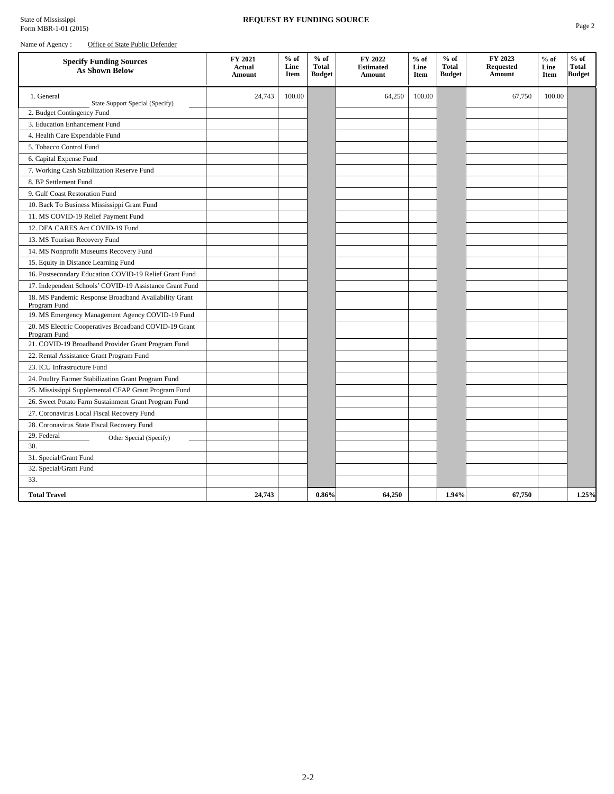| Name of Agency: | Office of State Public Defender |
|-----------------|---------------------------------|
|-----------------|---------------------------------|

| <b>Specify Funding Sources</b><br>As Shown Below                      | FY 2021<br><b>Actual</b><br>Amount | $%$ of<br>Line<br>Item | $%$ of<br><b>Total</b><br><b>Budget</b> | FY 2022<br><b>Estimated</b><br>Amount | $%$ of<br>Line<br>Item | $%$ of<br><b>Total</b><br><b>Budget</b> | FY 2023<br><b>Requested</b><br>Amount | $%$ of<br>Line<br>Item | $%$ of<br>Total<br><b>Budget</b> |
|-----------------------------------------------------------------------|------------------------------------|------------------------|-----------------------------------------|---------------------------------------|------------------------|-----------------------------------------|---------------------------------------|------------------------|----------------------------------|
| 1. General<br>State Support Special (Specify)                         | 24,743                             | 100.00                 |                                         | 64,250                                | 100.00                 |                                         | 67,750                                | 100.00                 |                                  |
| 2. Budget Contingency Fund                                            |                                    |                        |                                         |                                       |                        |                                         |                                       |                        |                                  |
| 3. Education Enhancement Fund                                         |                                    |                        |                                         |                                       |                        |                                         |                                       |                        |                                  |
| 4. Health Care Expendable Fund                                        |                                    |                        |                                         |                                       |                        |                                         |                                       |                        |                                  |
| 5. Tobacco Control Fund                                               |                                    |                        |                                         |                                       |                        |                                         |                                       |                        |                                  |
| 6. Capital Expense Fund                                               |                                    |                        |                                         |                                       |                        |                                         |                                       |                        |                                  |
| 7. Working Cash Stabilization Reserve Fund                            |                                    |                        |                                         |                                       |                        |                                         |                                       |                        |                                  |
| 8. BP Settlement Fund                                                 |                                    |                        |                                         |                                       |                        |                                         |                                       |                        |                                  |
| 9. Gulf Coast Restoration Fund                                        |                                    |                        |                                         |                                       |                        |                                         |                                       |                        |                                  |
| 10. Back To Business Mississippi Grant Fund                           |                                    |                        |                                         |                                       |                        |                                         |                                       |                        |                                  |
| 11. MS COVID-19 Relief Payment Fund                                   |                                    |                        |                                         |                                       |                        |                                         |                                       |                        |                                  |
| 12. DFA CARES Act COVID-19 Fund                                       |                                    |                        |                                         |                                       |                        |                                         |                                       |                        |                                  |
| 13. MS Tourism Recovery Fund                                          |                                    |                        |                                         |                                       |                        |                                         |                                       |                        |                                  |
| 14. MS Nonprofit Museums Recovery Fund                                |                                    |                        |                                         |                                       |                        |                                         |                                       |                        |                                  |
| 15. Equity in Distance Learning Fund                                  |                                    |                        |                                         |                                       |                        |                                         |                                       |                        |                                  |
| 16. Postsecondary Education COVID-19 Relief Grant Fund                |                                    |                        |                                         |                                       |                        |                                         |                                       |                        |                                  |
| 17. Independent Schools' COVID-19 Assistance Grant Fund               |                                    |                        |                                         |                                       |                        |                                         |                                       |                        |                                  |
| 18. MS Pandemic Response Broadband Availability Grant<br>Program Fund |                                    |                        |                                         |                                       |                        |                                         |                                       |                        |                                  |
| 19. MS Emergency Management Agency COVID-19 Fund                      |                                    |                        |                                         |                                       |                        |                                         |                                       |                        |                                  |
| 20. MS Electric Cooperatives Broadband COVID-19 Grant<br>Program Fund |                                    |                        |                                         |                                       |                        |                                         |                                       |                        |                                  |
| 21. COVID-19 Broadband Provider Grant Program Fund                    |                                    |                        |                                         |                                       |                        |                                         |                                       |                        |                                  |
| 22. Rental Assistance Grant Program Fund                              |                                    |                        |                                         |                                       |                        |                                         |                                       |                        |                                  |
| 23. ICU Infrastructure Fund                                           |                                    |                        |                                         |                                       |                        |                                         |                                       |                        |                                  |
| 24. Poultry Farmer Stabilization Grant Program Fund                   |                                    |                        |                                         |                                       |                        |                                         |                                       |                        |                                  |
| 25. Mississippi Supplemental CFAP Grant Program Fund                  |                                    |                        |                                         |                                       |                        |                                         |                                       |                        |                                  |
| 26. Sweet Potato Farm Sustainment Grant Program Fund                  |                                    |                        |                                         |                                       |                        |                                         |                                       |                        |                                  |
| 27. Coronavirus Local Fiscal Recovery Fund                            |                                    |                        |                                         |                                       |                        |                                         |                                       |                        |                                  |
| 28. Coronavirus State Fiscal Recovery Fund                            |                                    |                        |                                         |                                       |                        |                                         |                                       |                        |                                  |
| 29. Federal<br>Other Special (Specify)                                |                                    |                        |                                         |                                       |                        |                                         |                                       |                        |                                  |
| 30.                                                                   |                                    |                        |                                         |                                       |                        |                                         |                                       |                        |                                  |
| 31. Special/Grant Fund                                                |                                    |                        |                                         |                                       |                        |                                         |                                       |                        |                                  |
| 32. Special/Grant Fund                                                |                                    |                        |                                         |                                       |                        |                                         |                                       |                        |                                  |
| 33.                                                                   |                                    |                        |                                         |                                       |                        |                                         |                                       |                        |                                  |
| <b>Total Travel</b>                                                   | 24,743                             |                        | 0.86%                                   | 64,250                                |                        | 1.94%                                   | 67,750                                |                        | 1.25%                            |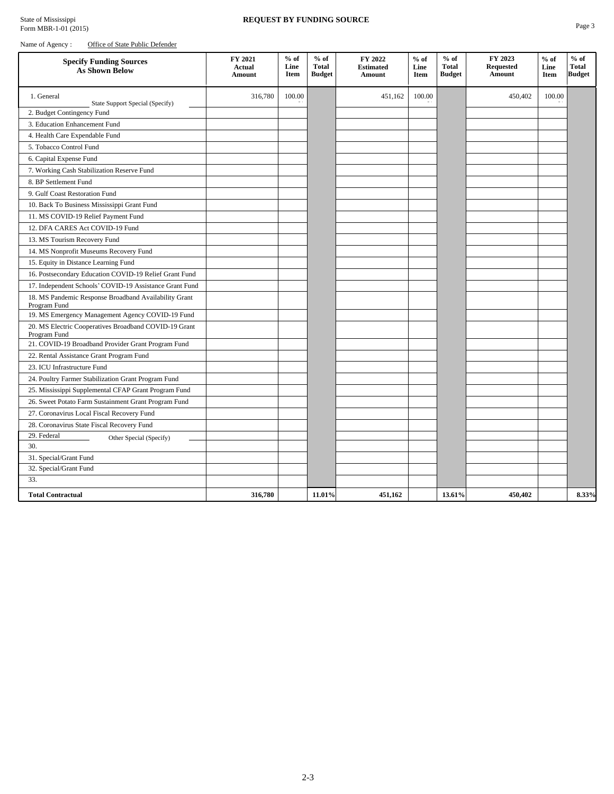| <b>Specify Funding Sources</b><br>As Shown Below                      | FY 2021<br><b>Actual</b><br><b>Amount</b> | $%$ of<br>Line<br>Item | $%$ of<br><b>Total</b><br><b>Budget</b> | FY 2022<br><b>Estimated</b><br>Amount | $%$ of<br>Line<br>Item | $%$ of<br><b>Total</b><br><b>Budget</b> | FY 2023<br><b>Requested</b><br><b>Amount</b> | $%$ of<br>Line<br>Item | $%$ of<br><b>Total</b><br><b>Budget</b> |
|-----------------------------------------------------------------------|-------------------------------------------|------------------------|-----------------------------------------|---------------------------------------|------------------------|-----------------------------------------|----------------------------------------------|------------------------|-----------------------------------------|
| 1. General<br>State Support Special (Specify)                         | 316,780                                   | 100.00                 |                                         | 451,162                               | 100.00                 |                                         | 450,402                                      | 100.00                 |                                         |
| 2. Budget Contingency Fund                                            |                                           |                        |                                         |                                       |                        |                                         |                                              |                        |                                         |
| 3. Education Enhancement Fund                                         |                                           |                        |                                         |                                       |                        |                                         |                                              |                        |                                         |
| 4. Health Care Expendable Fund                                        |                                           |                        |                                         |                                       |                        |                                         |                                              |                        |                                         |
| 5. Tobacco Control Fund                                               |                                           |                        |                                         |                                       |                        |                                         |                                              |                        |                                         |
| 6. Capital Expense Fund                                               |                                           |                        |                                         |                                       |                        |                                         |                                              |                        |                                         |
| 7. Working Cash Stabilization Reserve Fund                            |                                           |                        |                                         |                                       |                        |                                         |                                              |                        |                                         |
| 8. BP Settlement Fund                                                 |                                           |                        |                                         |                                       |                        |                                         |                                              |                        |                                         |
| 9. Gulf Coast Restoration Fund                                        |                                           |                        |                                         |                                       |                        |                                         |                                              |                        |                                         |
| 10. Back To Business Mississippi Grant Fund                           |                                           |                        |                                         |                                       |                        |                                         |                                              |                        |                                         |
| 11. MS COVID-19 Relief Payment Fund                                   |                                           |                        |                                         |                                       |                        |                                         |                                              |                        |                                         |
| 12. DFA CARES Act COVID-19 Fund                                       |                                           |                        |                                         |                                       |                        |                                         |                                              |                        |                                         |
| 13. MS Tourism Recovery Fund                                          |                                           |                        |                                         |                                       |                        |                                         |                                              |                        |                                         |
| 14. MS Nonprofit Museums Recovery Fund                                |                                           |                        |                                         |                                       |                        |                                         |                                              |                        |                                         |
| 15. Equity in Distance Learning Fund                                  |                                           |                        |                                         |                                       |                        |                                         |                                              |                        |                                         |
| 16. Postsecondary Education COVID-19 Relief Grant Fund                |                                           |                        |                                         |                                       |                        |                                         |                                              |                        |                                         |
| 17. Independent Schools' COVID-19 Assistance Grant Fund               |                                           |                        |                                         |                                       |                        |                                         |                                              |                        |                                         |
| 18. MS Pandemic Response Broadband Availability Grant<br>Program Fund |                                           |                        |                                         |                                       |                        |                                         |                                              |                        |                                         |
| 19. MS Emergency Management Agency COVID-19 Fund                      |                                           |                        |                                         |                                       |                        |                                         |                                              |                        |                                         |
| 20. MS Electric Cooperatives Broadband COVID-19 Grant<br>Program Fund |                                           |                        |                                         |                                       |                        |                                         |                                              |                        |                                         |
| 21. COVID-19 Broadband Provider Grant Program Fund                    |                                           |                        |                                         |                                       |                        |                                         |                                              |                        |                                         |
| 22. Rental Assistance Grant Program Fund                              |                                           |                        |                                         |                                       |                        |                                         |                                              |                        |                                         |
| 23. ICU Infrastructure Fund                                           |                                           |                        |                                         |                                       |                        |                                         |                                              |                        |                                         |
| 24. Poultry Farmer Stabilization Grant Program Fund                   |                                           |                        |                                         |                                       |                        |                                         |                                              |                        |                                         |
| 25. Mississippi Supplemental CFAP Grant Program Fund                  |                                           |                        |                                         |                                       |                        |                                         |                                              |                        |                                         |
| 26. Sweet Potato Farm Sustainment Grant Program Fund                  |                                           |                        |                                         |                                       |                        |                                         |                                              |                        |                                         |
| 27. Coronavirus Local Fiscal Recovery Fund                            |                                           |                        |                                         |                                       |                        |                                         |                                              |                        |                                         |
| 28. Coronavirus State Fiscal Recovery Fund                            |                                           |                        |                                         |                                       |                        |                                         |                                              |                        |                                         |
| 29. Federal<br>Other Special (Specify)                                |                                           |                        |                                         |                                       |                        |                                         |                                              |                        |                                         |
| 30.                                                                   |                                           |                        |                                         |                                       |                        |                                         |                                              |                        |                                         |
| 31. Special/Grant Fund                                                |                                           |                        |                                         |                                       |                        |                                         |                                              |                        |                                         |
| 32. Special/Grant Fund                                                |                                           |                        |                                         |                                       |                        |                                         |                                              |                        |                                         |
| 33.                                                                   |                                           |                        |                                         |                                       |                        |                                         |                                              |                        |                                         |
| <b>Total Contractual</b>                                              | 316,780                                   |                        | 11.01%                                  | 451,162                               |                        | 13.61%                                  | 450.402                                      |                        | 8.33%                                   |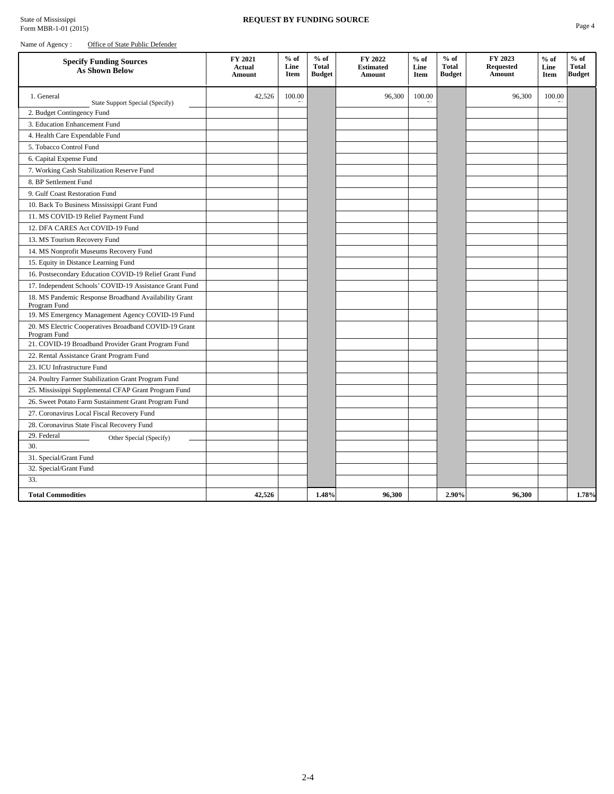| Name of Agency: | Office of State Public Defender |
|-----------------|---------------------------------|
|                 |                                 |

| <b>Specify Funding Sources</b><br><b>As Shown Below</b>               | FY 2021<br>Actual<br>Amount | $%$ of<br>Line<br>Item | $%$ of<br><b>Total</b><br><b>Budget</b> | FY 2022<br><b>Estimated</b><br>Amount | $%$ of<br>Line<br>Item | $%$ of<br><b>Total</b><br><b>Budget</b> | FY 2023<br><b>Requested</b><br>Amount | $%$ of<br>Line<br><b>Item</b> | $\%$ of<br><b>Total</b><br><b>Budget</b> |
|-----------------------------------------------------------------------|-----------------------------|------------------------|-----------------------------------------|---------------------------------------|------------------------|-----------------------------------------|---------------------------------------|-------------------------------|------------------------------------------|
| 1. General<br>State Support Special (Specify)                         | 42,526                      | 100.00                 |                                         | 96,300                                | 100.00                 |                                         | 96,300                                | 100.00                        |                                          |
| 2. Budget Contingency Fund                                            |                             |                        |                                         |                                       |                        |                                         |                                       |                               |                                          |
| 3. Education Enhancement Fund                                         |                             |                        |                                         |                                       |                        |                                         |                                       |                               |                                          |
| 4. Health Care Expendable Fund                                        |                             |                        |                                         |                                       |                        |                                         |                                       |                               |                                          |
| 5. Tobacco Control Fund                                               |                             |                        |                                         |                                       |                        |                                         |                                       |                               |                                          |
| 6. Capital Expense Fund                                               |                             |                        |                                         |                                       |                        |                                         |                                       |                               |                                          |
| 7. Working Cash Stabilization Reserve Fund                            |                             |                        |                                         |                                       |                        |                                         |                                       |                               |                                          |
| 8. BP Settlement Fund                                                 |                             |                        |                                         |                                       |                        |                                         |                                       |                               |                                          |
| 9. Gulf Coast Restoration Fund                                        |                             |                        |                                         |                                       |                        |                                         |                                       |                               |                                          |
| 10. Back To Business Mississippi Grant Fund                           |                             |                        |                                         |                                       |                        |                                         |                                       |                               |                                          |
| 11. MS COVID-19 Relief Payment Fund                                   |                             |                        |                                         |                                       |                        |                                         |                                       |                               |                                          |
| 12. DFA CARES Act COVID-19 Fund                                       |                             |                        |                                         |                                       |                        |                                         |                                       |                               |                                          |
| 13. MS Tourism Recovery Fund                                          |                             |                        |                                         |                                       |                        |                                         |                                       |                               |                                          |
| 14. MS Nonprofit Museums Recovery Fund                                |                             |                        |                                         |                                       |                        |                                         |                                       |                               |                                          |
| 15. Equity in Distance Learning Fund                                  |                             |                        |                                         |                                       |                        |                                         |                                       |                               |                                          |
| 16. Postsecondary Education COVID-19 Relief Grant Fund                |                             |                        |                                         |                                       |                        |                                         |                                       |                               |                                          |
| 17. Independent Schools' COVID-19 Assistance Grant Fund               |                             |                        |                                         |                                       |                        |                                         |                                       |                               |                                          |
| 18. MS Pandemic Response Broadband Availability Grant<br>Program Fund |                             |                        |                                         |                                       |                        |                                         |                                       |                               |                                          |
| 19. MS Emergency Management Agency COVID-19 Fund                      |                             |                        |                                         |                                       |                        |                                         |                                       |                               |                                          |
| 20. MS Electric Cooperatives Broadband COVID-19 Grant<br>Program Fund |                             |                        |                                         |                                       |                        |                                         |                                       |                               |                                          |
| 21. COVID-19 Broadband Provider Grant Program Fund                    |                             |                        |                                         |                                       |                        |                                         |                                       |                               |                                          |
| 22. Rental Assistance Grant Program Fund                              |                             |                        |                                         |                                       |                        |                                         |                                       |                               |                                          |
| 23. ICU Infrastructure Fund                                           |                             |                        |                                         |                                       |                        |                                         |                                       |                               |                                          |
| 24. Poultry Farmer Stabilization Grant Program Fund                   |                             |                        |                                         |                                       |                        |                                         |                                       |                               |                                          |
| 25. Mississippi Supplemental CFAP Grant Program Fund                  |                             |                        |                                         |                                       |                        |                                         |                                       |                               |                                          |
| 26. Sweet Potato Farm Sustainment Grant Program Fund                  |                             |                        |                                         |                                       |                        |                                         |                                       |                               |                                          |
| 27. Coronavirus Local Fiscal Recovery Fund                            |                             |                        |                                         |                                       |                        |                                         |                                       |                               |                                          |
| 28. Coronavirus State Fiscal Recovery Fund                            |                             |                        |                                         |                                       |                        |                                         |                                       |                               |                                          |
| 29. Federal<br>Other Special (Specify)                                |                             |                        |                                         |                                       |                        |                                         |                                       |                               |                                          |
| 30.                                                                   |                             |                        |                                         |                                       |                        |                                         |                                       |                               |                                          |
| 31. Special/Grant Fund                                                |                             |                        |                                         |                                       |                        |                                         |                                       |                               |                                          |
| 32. Special/Grant Fund                                                |                             |                        |                                         |                                       |                        |                                         |                                       |                               |                                          |
| 33.                                                                   |                             |                        |                                         |                                       |                        |                                         |                                       |                               |                                          |
| <b>Total Commodities</b>                                              | 42,526                      |                        | 1.48%                                   | 96,300                                |                        | $2.90\%$                                | 96,300                                |                               | 1.78%                                    |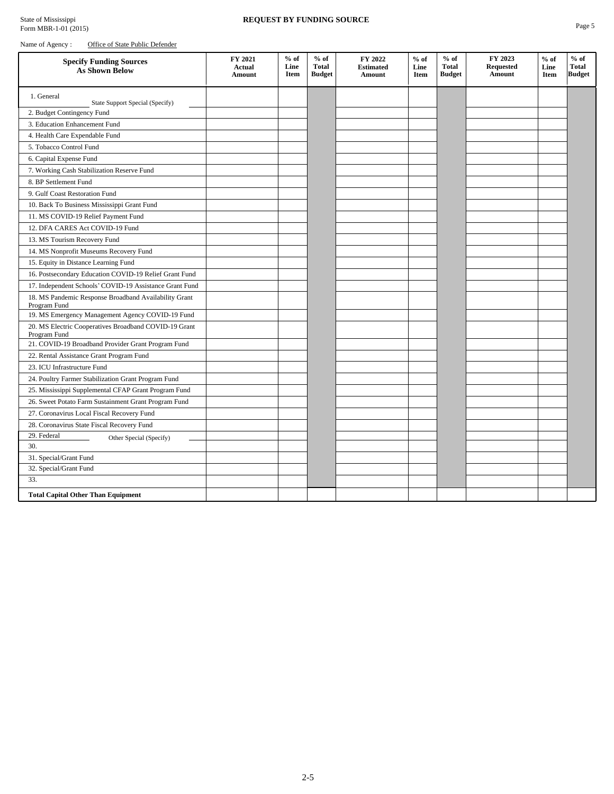| <b>Specify Funding Sources</b><br>As Shown Below                      | FY 2021<br><b>Actual</b><br><b>Amount</b> | $%$ of<br>Line<br>Item | $%$ of<br><b>Total</b><br><b>Budget</b> | FY 2022<br><b>Estimated</b><br>Amount | $%$ of<br>Line<br>Item | $%$ of<br><b>Total</b><br><b>Budget</b> | FY 2023<br><b>Requested</b><br><b>Amount</b> | $%$ of<br>Line<br>Item | $%$ of<br>Total<br><b>Budget</b> |
|-----------------------------------------------------------------------|-------------------------------------------|------------------------|-----------------------------------------|---------------------------------------|------------------------|-----------------------------------------|----------------------------------------------|------------------------|----------------------------------|
| 1. General<br>State Support Special (Specify)                         |                                           |                        |                                         |                                       |                        |                                         |                                              |                        |                                  |
| 2. Budget Contingency Fund                                            |                                           |                        |                                         |                                       |                        |                                         |                                              |                        |                                  |
| 3. Education Enhancement Fund                                         |                                           |                        |                                         |                                       |                        |                                         |                                              |                        |                                  |
| 4. Health Care Expendable Fund                                        |                                           |                        |                                         |                                       |                        |                                         |                                              |                        |                                  |
| 5. Tobacco Control Fund                                               |                                           |                        |                                         |                                       |                        |                                         |                                              |                        |                                  |
| 6. Capital Expense Fund                                               |                                           |                        |                                         |                                       |                        |                                         |                                              |                        |                                  |
| 7. Working Cash Stabilization Reserve Fund                            |                                           |                        |                                         |                                       |                        |                                         |                                              |                        |                                  |
| 8. BP Settlement Fund                                                 |                                           |                        |                                         |                                       |                        |                                         |                                              |                        |                                  |
| 9. Gulf Coast Restoration Fund                                        |                                           |                        |                                         |                                       |                        |                                         |                                              |                        |                                  |
| 10. Back To Business Mississippi Grant Fund                           |                                           |                        |                                         |                                       |                        |                                         |                                              |                        |                                  |
| 11. MS COVID-19 Relief Payment Fund                                   |                                           |                        |                                         |                                       |                        |                                         |                                              |                        |                                  |
| 12. DFA CARES Act COVID-19 Fund                                       |                                           |                        |                                         |                                       |                        |                                         |                                              |                        |                                  |
| 13. MS Tourism Recovery Fund                                          |                                           |                        |                                         |                                       |                        |                                         |                                              |                        |                                  |
| 14. MS Nonprofit Museums Recovery Fund                                |                                           |                        |                                         |                                       |                        |                                         |                                              |                        |                                  |
| 15. Equity in Distance Learning Fund                                  |                                           |                        |                                         |                                       |                        |                                         |                                              |                        |                                  |
| 16. Postsecondary Education COVID-19 Relief Grant Fund                |                                           |                        |                                         |                                       |                        |                                         |                                              |                        |                                  |
| 17. Independent Schools' COVID-19 Assistance Grant Fund               |                                           |                        |                                         |                                       |                        |                                         |                                              |                        |                                  |
| 18. MS Pandemic Response Broadband Availability Grant<br>Program Fund |                                           |                        |                                         |                                       |                        |                                         |                                              |                        |                                  |
| 19. MS Emergency Management Agency COVID-19 Fund                      |                                           |                        |                                         |                                       |                        |                                         |                                              |                        |                                  |
| 20. MS Electric Cooperatives Broadband COVID-19 Grant<br>Program Fund |                                           |                        |                                         |                                       |                        |                                         |                                              |                        |                                  |
| 21. COVID-19 Broadband Provider Grant Program Fund                    |                                           |                        |                                         |                                       |                        |                                         |                                              |                        |                                  |
| 22. Rental Assistance Grant Program Fund                              |                                           |                        |                                         |                                       |                        |                                         |                                              |                        |                                  |
| 23. ICU Infrastructure Fund                                           |                                           |                        |                                         |                                       |                        |                                         |                                              |                        |                                  |
| 24. Poultry Farmer Stabilization Grant Program Fund                   |                                           |                        |                                         |                                       |                        |                                         |                                              |                        |                                  |
| 25. Mississippi Supplemental CFAP Grant Program Fund                  |                                           |                        |                                         |                                       |                        |                                         |                                              |                        |                                  |
| 26. Sweet Potato Farm Sustainment Grant Program Fund                  |                                           |                        |                                         |                                       |                        |                                         |                                              |                        |                                  |
| 27. Coronavirus Local Fiscal Recovery Fund                            |                                           |                        |                                         |                                       |                        |                                         |                                              |                        |                                  |
| 28. Coronavirus State Fiscal Recovery Fund                            |                                           |                        |                                         |                                       |                        |                                         |                                              |                        |                                  |
| 29. Federal<br>Other Special (Specify)                                |                                           |                        |                                         |                                       |                        |                                         |                                              |                        |                                  |
| 30.                                                                   |                                           |                        |                                         |                                       |                        |                                         |                                              |                        |                                  |
| 31. Special/Grant Fund                                                |                                           |                        |                                         |                                       |                        |                                         |                                              |                        |                                  |
| 32. Special/Grant Fund                                                |                                           |                        |                                         |                                       |                        |                                         |                                              |                        |                                  |
| 33.                                                                   |                                           |                        |                                         |                                       |                        |                                         |                                              |                        |                                  |
| <b>Total Capital Other Than Equipment</b>                             |                                           |                        |                                         |                                       |                        |                                         |                                              |                        |                                  |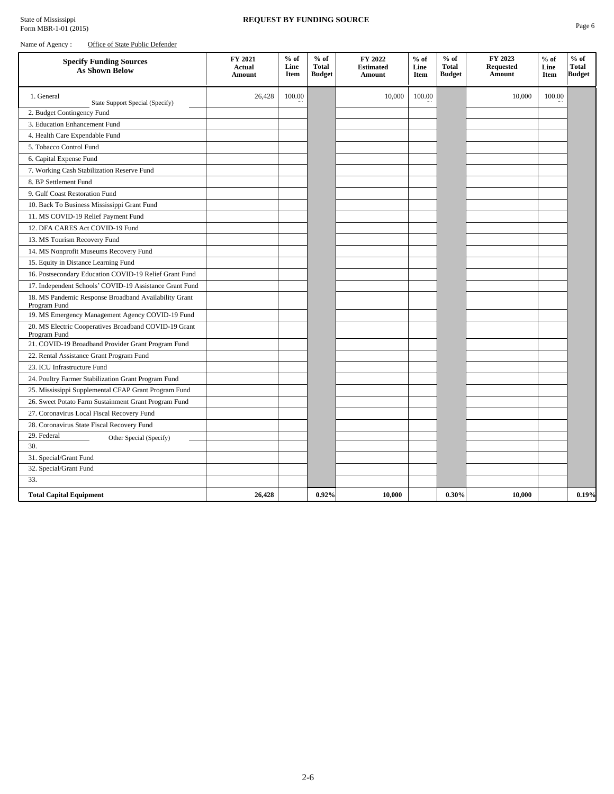| Name of Agency: | Office of State Public Defender |
|-----------------|---------------------------------|
|-----------------|---------------------------------|

| <b>Specify Funding Sources</b><br><b>As Shown Below</b>               | FY 2021<br>Actual<br>Amount | $%$ of<br>Line<br>Item | $%$ of<br><b>Total</b><br><b>Budget</b> | FY 2022<br><b>Estimated</b><br>Amount | $%$ of<br>Line<br>Item | $%$ of<br><b>Total</b><br><b>Budget</b> | FY 2023<br><b>Requested</b><br>Amount | $%$ of<br>Line<br>Item | $%$ of<br>Total<br><b>Budget</b> |
|-----------------------------------------------------------------------|-----------------------------|------------------------|-----------------------------------------|---------------------------------------|------------------------|-----------------------------------------|---------------------------------------|------------------------|----------------------------------|
| 1. General<br>State Support Special (Specify)                         | 26,428                      | 100.00                 |                                         | 10,000                                | 100.00                 |                                         | 10,000                                | 100.00                 |                                  |
| 2. Budget Contingency Fund                                            |                             |                        |                                         |                                       |                        |                                         |                                       |                        |                                  |
| 3. Education Enhancement Fund                                         |                             |                        |                                         |                                       |                        |                                         |                                       |                        |                                  |
| 4. Health Care Expendable Fund                                        |                             |                        |                                         |                                       |                        |                                         |                                       |                        |                                  |
| 5. Tobacco Control Fund                                               |                             |                        |                                         |                                       |                        |                                         |                                       |                        |                                  |
| 6. Capital Expense Fund                                               |                             |                        |                                         |                                       |                        |                                         |                                       |                        |                                  |
| 7. Working Cash Stabilization Reserve Fund                            |                             |                        |                                         |                                       |                        |                                         |                                       |                        |                                  |
| 8. BP Settlement Fund                                                 |                             |                        |                                         |                                       |                        |                                         |                                       |                        |                                  |
| 9. Gulf Coast Restoration Fund                                        |                             |                        |                                         |                                       |                        |                                         |                                       |                        |                                  |
| 10. Back To Business Mississippi Grant Fund                           |                             |                        |                                         |                                       |                        |                                         |                                       |                        |                                  |
| 11. MS COVID-19 Relief Payment Fund                                   |                             |                        |                                         |                                       |                        |                                         |                                       |                        |                                  |
| 12. DFA CARES Act COVID-19 Fund                                       |                             |                        |                                         |                                       |                        |                                         |                                       |                        |                                  |
| 13. MS Tourism Recovery Fund                                          |                             |                        |                                         |                                       |                        |                                         |                                       |                        |                                  |
| 14. MS Nonprofit Museums Recovery Fund                                |                             |                        |                                         |                                       |                        |                                         |                                       |                        |                                  |
| 15. Equity in Distance Learning Fund                                  |                             |                        |                                         |                                       |                        |                                         |                                       |                        |                                  |
| 16. Postsecondary Education COVID-19 Relief Grant Fund                |                             |                        |                                         |                                       |                        |                                         |                                       |                        |                                  |
| 17. Independent Schools' COVID-19 Assistance Grant Fund               |                             |                        |                                         |                                       |                        |                                         |                                       |                        |                                  |
| 18. MS Pandemic Response Broadband Availability Grant<br>Program Fund |                             |                        |                                         |                                       |                        |                                         |                                       |                        |                                  |
| 19. MS Emergency Management Agency COVID-19 Fund                      |                             |                        |                                         |                                       |                        |                                         |                                       |                        |                                  |
| 20. MS Electric Cooperatives Broadband COVID-19 Grant<br>Program Fund |                             |                        |                                         |                                       |                        |                                         |                                       |                        |                                  |
| 21. COVID-19 Broadband Provider Grant Program Fund                    |                             |                        |                                         |                                       |                        |                                         |                                       |                        |                                  |
| 22. Rental Assistance Grant Program Fund                              |                             |                        |                                         |                                       |                        |                                         |                                       |                        |                                  |
| 23. ICU Infrastructure Fund                                           |                             |                        |                                         |                                       |                        |                                         |                                       |                        |                                  |
| 24. Poultry Farmer Stabilization Grant Program Fund                   |                             |                        |                                         |                                       |                        |                                         |                                       |                        |                                  |
| 25. Mississippi Supplemental CFAP Grant Program Fund                  |                             |                        |                                         |                                       |                        |                                         |                                       |                        |                                  |
| 26. Sweet Potato Farm Sustainment Grant Program Fund                  |                             |                        |                                         |                                       |                        |                                         |                                       |                        |                                  |
| 27. Coronavirus Local Fiscal Recovery Fund                            |                             |                        |                                         |                                       |                        |                                         |                                       |                        |                                  |
| 28. Coronavirus State Fiscal Recovery Fund                            |                             |                        |                                         |                                       |                        |                                         |                                       |                        |                                  |
| 29. Federal<br>Other Special (Specify)                                |                             |                        |                                         |                                       |                        |                                         |                                       |                        |                                  |
| 30.                                                                   |                             |                        |                                         |                                       |                        |                                         |                                       |                        |                                  |
| 31. Special/Grant Fund                                                |                             |                        |                                         |                                       |                        |                                         |                                       |                        |                                  |
| 32. Special/Grant Fund                                                |                             |                        |                                         |                                       |                        |                                         |                                       |                        |                                  |
| 33.                                                                   |                             |                        |                                         |                                       |                        |                                         |                                       |                        |                                  |
| <b>Total Capital Equipment</b>                                        | 26,428                      |                        | 0.92%                                   | 10,000                                |                        | $0.30\%$                                | 10,000                                |                        | 0.19%                            |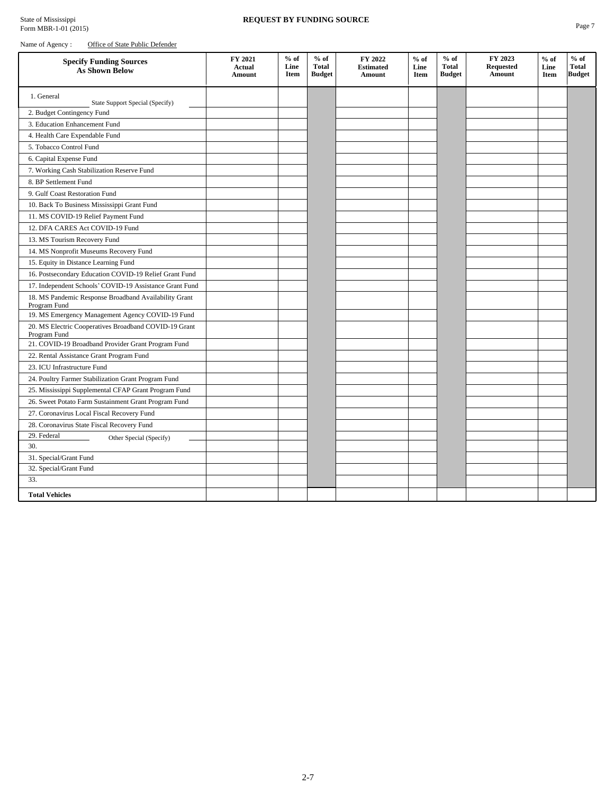| <b>Specify Funding Sources</b><br>As Shown Below                      | FY 2021<br><b>Actual</b><br><b>Amount</b> | $%$ of<br>Line<br>Item | $%$ of<br><b>Total</b><br><b>Budget</b> | FY 2022<br><b>Estimated</b><br><b>Amount</b> | $%$ of<br>Line<br>Item | $%$ of<br><b>Total</b><br><b>Budget</b> | FY 2023<br><b>Requested</b><br>Amount | $%$ of<br>Line<br>Item | $%$ of<br><b>Total</b><br><b>Budget</b> |
|-----------------------------------------------------------------------|-------------------------------------------|------------------------|-----------------------------------------|----------------------------------------------|------------------------|-----------------------------------------|---------------------------------------|------------------------|-----------------------------------------|
| 1. General<br>State Support Special (Specify)                         |                                           |                        |                                         |                                              |                        |                                         |                                       |                        |                                         |
| 2. Budget Contingency Fund                                            |                                           |                        |                                         |                                              |                        |                                         |                                       |                        |                                         |
| 3. Education Enhancement Fund                                         |                                           |                        |                                         |                                              |                        |                                         |                                       |                        |                                         |
| 4. Health Care Expendable Fund                                        |                                           |                        |                                         |                                              |                        |                                         |                                       |                        |                                         |
| 5. Tobacco Control Fund                                               |                                           |                        |                                         |                                              |                        |                                         |                                       |                        |                                         |
| 6. Capital Expense Fund                                               |                                           |                        |                                         |                                              |                        |                                         |                                       |                        |                                         |
| 7. Working Cash Stabilization Reserve Fund                            |                                           |                        |                                         |                                              |                        |                                         |                                       |                        |                                         |
| 8. BP Settlement Fund                                                 |                                           |                        |                                         |                                              |                        |                                         |                                       |                        |                                         |
| 9. Gulf Coast Restoration Fund                                        |                                           |                        |                                         |                                              |                        |                                         |                                       |                        |                                         |
| 10. Back To Business Mississippi Grant Fund                           |                                           |                        |                                         |                                              |                        |                                         |                                       |                        |                                         |
| 11. MS COVID-19 Relief Payment Fund                                   |                                           |                        |                                         |                                              |                        |                                         |                                       |                        |                                         |
| 12. DFA CARES Act COVID-19 Fund                                       |                                           |                        |                                         |                                              |                        |                                         |                                       |                        |                                         |
| 13. MS Tourism Recovery Fund                                          |                                           |                        |                                         |                                              |                        |                                         |                                       |                        |                                         |
| 14. MS Nonprofit Museums Recovery Fund                                |                                           |                        |                                         |                                              |                        |                                         |                                       |                        |                                         |
| 15. Equity in Distance Learning Fund                                  |                                           |                        |                                         |                                              |                        |                                         |                                       |                        |                                         |
| 16. Postsecondary Education COVID-19 Relief Grant Fund                |                                           |                        |                                         |                                              |                        |                                         |                                       |                        |                                         |
| 17. Independent Schools' COVID-19 Assistance Grant Fund               |                                           |                        |                                         |                                              |                        |                                         |                                       |                        |                                         |
| 18. MS Pandemic Response Broadband Availability Grant<br>Program Fund |                                           |                        |                                         |                                              |                        |                                         |                                       |                        |                                         |
| 19. MS Emergency Management Agency COVID-19 Fund                      |                                           |                        |                                         |                                              |                        |                                         |                                       |                        |                                         |
| 20. MS Electric Cooperatives Broadband COVID-19 Grant<br>Program Fund |                                           |                        |                                         |                                              |                        |                                         |                                       |                        |                                         |
| 21. COVID-19 Broadband Provider Grant Program Fund                    |                                           |                        |                                         |                                              |                        |                                         |                                       |                        |                                         |
| 22. Rental Assistance Grant Program Fund                              |                                           |                        |                                         |                                              |                        |                                         |                                       |                        |                                         |
| 23. ICU Infrastructure Fund                                           |                                           |                        |                                         |                                              |                        |                                         |                                       |                        |                                         |
| 24. Poultry Farmer Stabilization Grant Program Fund                   |                                           |                        |                                         |                                              |                        |                                         |                                       |                        |                                         |
| 25. Mississippi Supplemental CFAP Grant Program Fund                  |                                           |                        |                                         |                                              |                        |                                         |                                       |                        |                                         |
| 26. Sweet Potato Farm Sustainment Grant Program Fund                  |                                           |                        |                                         |                                              |                        |                                         |                                       |                        |                                         |
| 27. Coronavirus Local Fiscal Recovery Fund                            |                                           |                        |                                         |                                              |                        |                                         |                                       |                        |                                         |
| 28. Coronavirus State Fiscal Recovery Fund                            |                                           |                        |                                         |                                              |                        |                                         |                                       |                        |                                         |
| 29. Federal<br>Other Special (Specify)                                |                                           |                        |                                         |                                              |                        |                                         |                                       |                        |                                         |
| 30.                                                                   |                                           |                        |                                         |                                              |                        |                                         |                                       |                        |                                         |
| 31. Special/Grant Fund                                                |                                           |                        |                                         |                                              |                        |                                         |                                       |                        |                                         |
| 32. Special/Grant Fund                                                |                                           |                        |                                         |                                              |                        |                                         |                                       |                        |                                         |
| 33.                                                                   |                                           |                        |                                         |                                              |                        |                                         |                                       |                        |                                         |
| <b>Total Vehicles</b>                                                 |                                           |                        |                                         |                                              |                        |                                         |                                       |                        |                                         |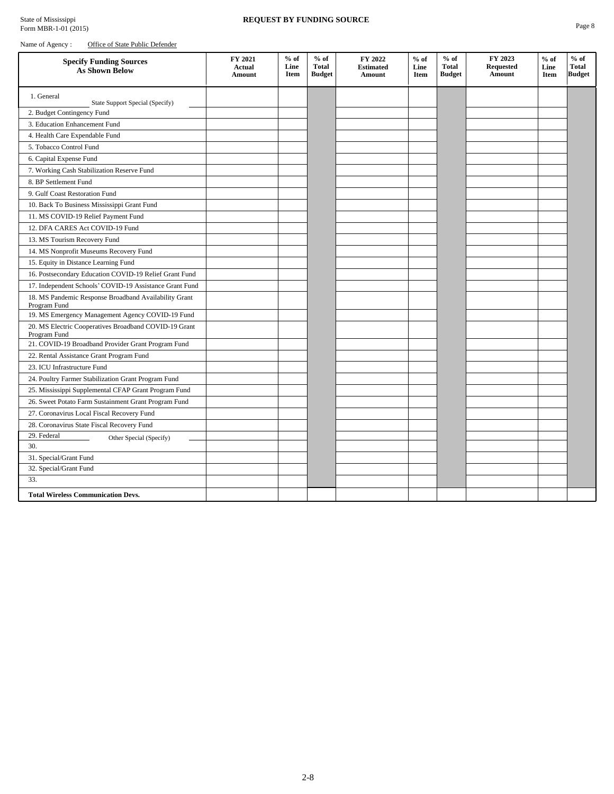| <b>Specify Funding Sources</b><br>As Shown Below                      | FY 2021<br><b>Actual</b><br><b>Amount</b> | $%$ of<br>Line<br>Item | $%$ of<br><b>Total</b><br><b>Budget</b> | FY 2022<br><b>Estimated</b><br><b>Amount</b> | $%$ of<br>Line<br>Item | $%$ of<br><b>Total</b><br><b>Budget</b> | FY 2023<br><b>Requested</b><br>Amount | $%$ of<br>Line<br>Item | $%$ of<br>Total<br><b>Budget</b> |
|-----------------------------------------------------------------------|-------------------------------------------|------------------------|-----------------------------------------|----------------------------------------------|------------------------|-----------------------------------------|---------------------------------------|------------------------|----------------------------------|
| 1. General<br>State Support Special (Specify)                         |                                           |                        |                                         |                                              |                        |                                         |                                       |                        |                                  |
| 2. Budget Contingency Fund                                            |                                           |                        |                                         |                                              |                        |                                         |                                       |                        |                                  |
| 3. Education Enhancement Fund                                         |                                           |                        |                                         |                                              |                        |                                         |                                       |                        |                                  |
| 4. Health Care Expendable Fund                                        |                                           |                        |                                         |                                              |                        |                                         |                                       |                        |                                  |
| 5. Tobacco Control Fund                                               |                                           |                        |                                         |                                              |                        |                                         |                                       |                        |                                  |
| 6. Capital Expense Fund                                               |                                           |                        |                                         |                                              |                        |                                         |                                       |                        |                                  |
| 7. Working Cash Stabilization Reserve Fund                            |                                           |                        |                                         |                                              |                        |                                         |                                       |                        |                                  |
| 8. BP Settlement Fund                                                 |                                           |                        |                                         |                                              |                        |                                         |                                       |                        |                                  |
| 9. Gulf Coast Restoration Fund                                        |                                           |                        |                                         |                                              |                        |                                         |                                       |                        |                                  |
| 10. Back To Business Mississippi Grant Fund                           |                                           |                        |                                         |                                              |                        |                                         |                                       |                        |                                  |
| 11. MS COVID-19 Relief Payment Fund                                   |                                           |                        |                                         |                                              |                        |                                         |                                       |                        |                                  |
| 12. DFA CARES Act COVID-19 Fund                                       |                                           |                        |                                         |                                              |                        |                                         |                                       |                        |                                  |
| 13. MS Tourism Recovery Fund                                          |                                           |                        |                                         |                                              |                        |                                         |                                       |                        |                                  |
| 14. MS Nonprofit Museums Recovery Fund                                |                                           |                        |                                         |                                              |                        |                                         |                                       |                        |                                  |
| 15. Equity in Distance Learning Fund                                  |                                           |                        |                                         |                                              |                        |                                         |                                       |                        |                                  |
| 16. Postsecondary Education COVID-19 Relief Grant Fund                |                                           |                        |                                         |                                              |                        |                                         |                                       |                        |                                  |
| 17. Independent Schools' COVID-19 Assistance Grant Fund               |                                           |                        |                                         |                                              |                        |                                         |                                       |                        |                                  |
| 18. MS Pandemic Response Broadband Availability Grant<br>Program Fund |                                           |                        |                                         |                                              |                        |                                         |                                       |                        |                                  |
| 19. MS Emergency Management Agency COVID-19 Fund                      |                                           |                        |                                         |                                              |                        |                                         |                                       |                        |                                  |
| 20. MS Electric Cooperatives Broadband COVID-19 Grant<br>Program Fund |                                           |                        |                                         |                                              |                        |                                         |                                       |                        |                                  |
| 21. COVID-19 Broadband Provider Grant Program Fund                    |                                           |                        |                                         |                                              |                        |                                         |                                       |                        |                                  |
| 22. Rental Assistance Grant Program Fund                              |                                           |                        |                                         |                                              |                        |                                         |                                       |                        |                                  |
| 23. ICU Infrastructure Fund                                           |                                           |                        |                                         |                                              |                        |                                         |                                       |                        |                                  |
| 24. Poultry Farmer Stabilization Grant Program Fund                   |                                           |                        |                                         |                                              |                        |                                         |                                       |                        |                                  |
| 25. Mississippi Supplemental CFAP Grant Program Fund                  |                                           |                        |                                         |                                              |                        |                                         |                                       |                        |                                  |
| 26. Sweet Potato Farm Sustainment Grant Program Fund                  |                                           |                        |                                         |                                              |                        |                                         |                                       |                        |                                  |
| 27. Coronavirus Local Fiscal Recovery Fund                            |                                           |                        |                                         |                                              |                        |                                         |                                       |                        |                                  |
| 28. Coronavirus State Fiscal Recovery Fund                            |                                           |                        |                                         |                                              |                        |                                         |                                       |                        |                                  |
| 29. Federal<br>Other Special (Specify)                                |                                           |                        |                                         |                                              |                        |                                         |                                       |                        |                                  |
| 30.                                                                   |                                           |                        |                                         |                                              |                        |                                         |                                       |                        |                                  |
| 31. Special/Grant Fund                                                |                                           |                        |                                         |                                              |                        |                                         |                                       |                        |                                  |
| 32. Special/Grant Fund                                                |                                           |                        |                                         |                                              |                        |                                         |                                       |                        |                                  |
| 33.                                                                   |                                           |                        |                                         |                                              |                        |                                         |                                       |                        |                                  |
| <b>Total Wireless Communication Devs.</b>                             |                                           |                        |                                         |                                              |                        |                                         |                                       |                        |                                  |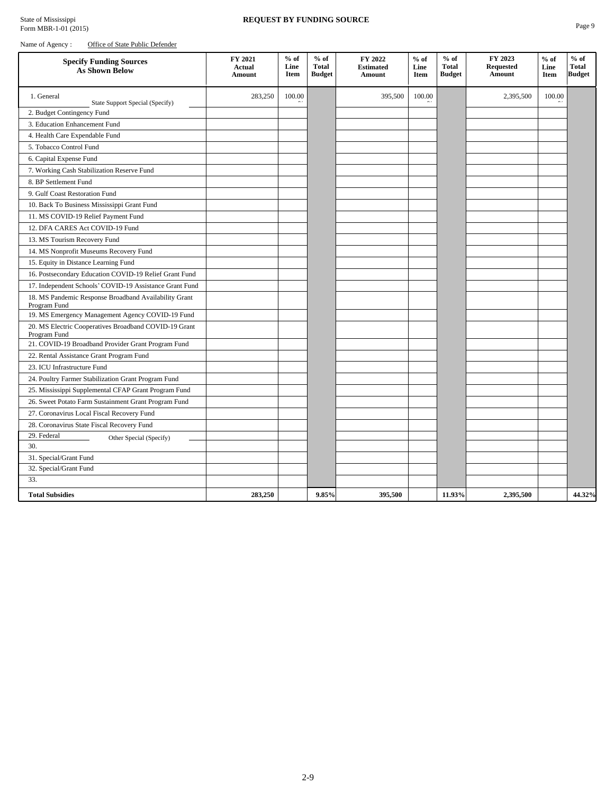| Name of Agency: | Office of State Public Defender |
|-----------------|---------------------------------|
|-----------------|---------------------------------|

| <b>Specify Funding Sources</b><br>As Shown Below                      | FY 2021<br>Actual<br>Amount | $%$ of<br>Line<br><b>Item</b> | $%$ of<br><b>Total</b><br><b>Budget</b> | FY 2022<br><b>Estimated</b><br>Amount | $%$ of<br>Line<br>Item | $%$ of<br><b>Total</b><br><b>Budget</b> | FY 2023<br><b>Requested</b><br>Amount | $%$ of<br>Line<br>Item | $%$ of<br><b>Total</b><br><b>Budget</b> |
|-----------------------------------------------------------------------|-----------------------------|-------------------------------|-----------------------------------------|---------------------------------------|------------------------|-----------------------------------------|---------------------------------------|------------------------|-----------------------------------------|
| 1. General<br>State Support Special (Specify)                         | 283,250                     | 100.00                        |                                         | 395,500                               | 100.00                 |                                         | 2,395,500                             | 100.00                 |                                         |
| 2. Budget Contingency Fund                                            |                             |                               |                                         |                                       |                        |                                         |                                       |                        |                                         |
| 3. Education Enhancement Fund                                         |                             |                               |                                         |                                       |                        |                                         |                                       |                        |                                         |
| 4. Health Care Expendable Fund                                        |                             |                               |                                         |                                       |                        |                                         |                                       |                        |                                         |
| 5. Tobacco Control Fund                                               |                             |                               |                                         |                                       |                        |                                         |                                       |                        |                                         |
| 6. Capital Expense Fund                                               |                             |                               |                                         |                                       |                        |                                         |                                       |                        |                                         |
| 7. Working Cash Stabilization Reserve Fund                            |                             |                               |                                         |                                       |                        |                                         |                                       |                        |                                         |
| 8. BP Settlement Fund                                                 |                             |                               |                                         |                                       |                        |                                         |                                       |                        |                                         |
| 9. Gulf Coast Restoration Fund                                        |                             |                               |                                         |                                       |                        |                                         |                                       |                        |                                         |
| 10. Back To Business Mississippi Grant Fund                           |                             |                               |                                         |                                       |                        |                                         |                                       |                        |                                         |
| 11. MS COVID-19 Relief Payment Fund                                   |                             |                               |                                         |                                       |                        |                                         |                                       |                        |                                         |
| 12. DFA CARES Act COVID-19 Fund                                       |                             |                               |                                         |                                       |                        |                                         |                                       |                        |                                         |
| 13. MS Tourism Recovery Fund                                          |                             |                               |                                         |                                       |                        |                                         |                                       |                        |                                         |
| 14. MS Nonprofit Museums Recovery Fund                                |                             |                               |                                         |                                       |                        |                                         |                                       |                        |                                         |
| 15. Equity in Distance Learning Fund                                  |                             |                               |                                         |                                       |                        |                                         |                                       |                        |                                         |
| 16. Postsecondary Education COVID-19 Relief Grant Fund                |                             |                               |                                         |                                       |                        |                                         |                                       |                        |                                         |
| 17. Independent Schools' COVID-19 Assistance Grant Fund               |                             |                               |                                         |                                       |                        |                                         |                                       |                        |                                         |
| 18. MS Pandemic Response Broadband Availability Grant<br>Program Fund |                             |                               |                                         |                                       |                        |                                         |                                       |                        |                                         |
| 19. MS Emergency Management Agency COVID-19 Fund                      |                             |                               |                                         |                                       |                        |                                         |                                       |                        |                                         |
| 20. MS Electric Cooperatives Broadband COVID-19 Grant<br>Program Fund |                             |                               |                                         |                                       |                        |                                         |                                       |                        |                                         |
| 21. COVID-19 Broadband Provider Grant Program Fund                    |                             |                               |                                         |                                       |                        |                                         |                                       |                        |                                         |
| 22. Rental Assistance Grant Program Fund                              |                             |                               |                                         |                                       |                        |                                         |                                       |                        |                                         |
| 23. ICU Infrastructure Fund                                           |                             |                               |                                         |                                       |                        |                                         |                                       |                        |                                         |
| 24. Poultry Farmer Stabilization Grant Program Fund                   |                             |                               |                                         |                                       |                        |                                         |                                       |                        |                                         |
| 25. Mississippi Supplemental CFAP Grant Program Fund                  |                             |                               |                                         |                                       |                        |                                         |                                       |                        |                                         |
| 26. Sweet Potato Farm Sustainment Grant Program Fund                  |                             |                               |                                         |                                       |                        |                                         |                                       |                        |                                         |
| 27. Coronavirus Local Fiscal Recovery Fund                            |                             |                               |                                         |                                       |                        |                                         |                                       |                        |                                         |
| 28. Coronavirus State Fiscal Recovery Fund                            |                             |                               |                                         |                                       |                        |                                         |                                       |                        |                                         |
| 29. Federal<br>Other Special (Specify)                                |                             |                               |                                         |                                       |                        |                                         |                                       |                        |                                         |
| 30.                                                                   |                             |                               |                                         |                                       |                        |                                         |                                       |                        |                                         |
| 31. Special/Grant Fund                                                |                             |                               |                                         |                                       |                        |                                         |                                       |                        |                                         |
| 32. Special/Grant Fund                                                |                             |                               |                                         |                                       |                        |                                         |                                       |                        |                                         |
| 33.                                                                   |                             |                               |                                         |                                       |                        |                                         |                                       |                        |                                         |
| <b>Total Subsidies</b>                                                | 283,250                     |                               | 9.85%                                   | 395,500                               |                        | 11.93%                                  | 2,395,500                             |                        | 44.32%                                  |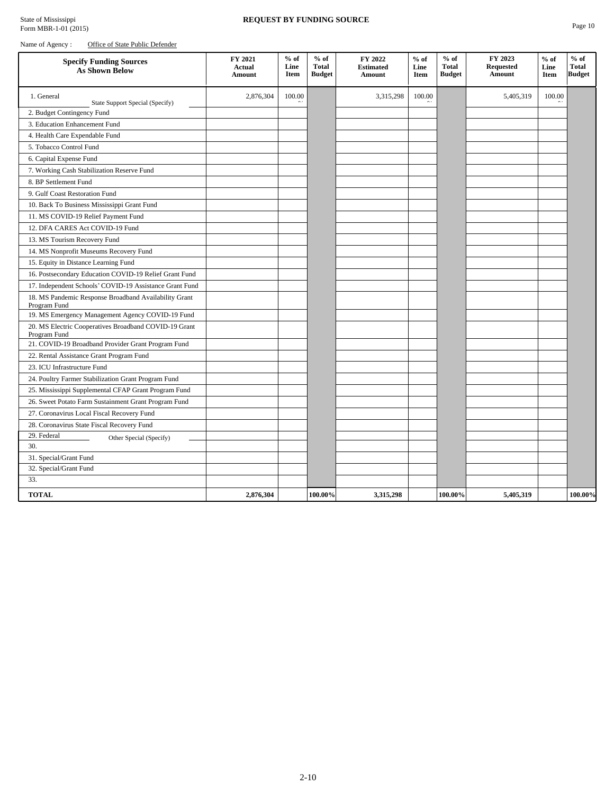|--|--|

| <b>Specify Funding Sources</b><br><b>As Shown Below</b>               | FY 2021<br><b>Actual</b><br><b>Amount</b> | $%$ of<br>Line<br>Item | $%$ of<br><b>Total</b><br><b>Budget</b> | FY 2022<br><b>Estimated</b><br>Amount | $%$ of<br>Line<br>Item | $%$ of<br><b>Total</b><br><b>Budget</b> | FY 2023<br><b>Requested</b><br>Amount | $%$ of<br>Line<br><b>Item</b> | $%$ of<br>Total<br><b>Budget</b> |
|-----------------------------------------------------------------------|-------------------------------------------|------------------------|-----------------------------------------|---------------------------------------|------------------------|-----------------------------------------|---------------------------------------|-------------------------------|----------------------------------|
| 1. General<br>State Support Special (Specify)                         | 2,876,304                                 | 100.00                 |                                         | 3,315,298                             | 100.00                 |                                         | 5,405,319                             | 100.00                        |                                  |
| 2. Budget Contingency Fund                                            |                                           |                        |                                         |                                       |                        |                                         |                                       |                               |                                  |
| 3. Education Enhancement Fund                                         |                                           |                        |                                         |                                       |                        |                                         |                                       |                               |                                  |
| 4. Health Care Expendable Fund                                        |                                           |                        |                                         |                                       |                        |                                         |                                       |                               |                                  |
| 5. Tobacco Control Fund                                               |                                           |                        |                                         |                                       |                        |                                         |                                       |                               |                                  |
| 6. Capital Expense Fund                                               |                                           |                        |                                         |                                       |                        |                                         |                                       |                               |                                  |
| 7. Working Cash Stabilization Reserve Fund                            |                                           |                        |                                         |                                       |                        |                                         |                                       |                               |                                  |
| 8. BP Settlement Fund                                                 |                                           |                        |                                         |                                       |                        |                                         |                                       |                               |                                  |
| 9. Gulf Coast Restoration Fund                                        |                                           |                        |                                         |                                       |                        |                                         |                                       |                               |                                  |
| 10. Back To Business Mississippi Grant Fund                           |                                           |                        |                                         |                                       |                        |                                         |                                       |                               |                                  |
| 11. MS COVID-19 Relief Payment Fund                                   |                                           |                        |                                         |                                       |                        |                                         |                                       |                               |                                  |
| 12. DFA CARES Act COVID-19 Fund                                       |                                           |                        |                                         |                                       |                        |                                         |                                       |                               |                                  |
| 13. MS Tourism Recovery Fund                                          |                                           |                        |                                         |                                       |                        |                                         |                                       |                               |                                  |
| 14. MS Nonprofit Museums Recovery Fund                                |                                           |                        |                                         |                                       |                        |                                         |                                       |                               |                                  |
| 15. Equity in Distance Learning Fund                                  |                                           |                        |                                         |                                       |                        |                                         |                                       |                               |                                  |
| 16. Postsecondary Education COVID-19 Relief Grant Fund                |                                           |                        |                                         |                                       |                        |                                         |                                       |                               |                                  |
| 17. Independent Schools' COVID-19 Assistance Grant Fund               |                                           |                        |                                         |                                       |                        |                                         |                                       |                               |                                  |
| 18. MS Pandemic Response Broadband Availability Grant<br>Program Fund |                                           |                        |                                         |                                       |                        |                                         |                                       |                               |                                  |
| 19. MS Emergency Management Agency COVID-19 Fund                      |                                           |                        |                                         |                                       |                        |                                         |                                       |                               |                                  |
| 20. MS Electric Cooperatives Broadband COVID-19 Grant<br>Program Fund |                                           |                        |                                         |                                       |                        |                                         |                                       |                               |                                  |
| 21. COVID-19 Broadband Provider Grant Program Fund                    |                                           |                        |                                         |                                       |                        |                                         |                                       |                               |                                  |
| 22. Rental Assistance Grant Program Fund                              |                                           |                        |                                         |                                       |                        |                                         |                                       |                               |                                  |
| 23. ICU Infrastructure Fund                                           |                                           |                        |                                         |                                       |                        |                                         |                                       |                               |                                  |
| 24. Poultry Farmer Stabilization Grant Program Fund                   |                                           |                        |                                         |                                       |                        |                                         |                                       |                               |                                  |
| 25. Mississippi Supplemental CFAP Grant Program Fund                  |                                           |                        |                                         |                                       |                        |                                         |                                       |                               |                                  |
| 26. Sweet Potato Farm Sustainment Grant Program Fund                  |                                           |                        |                                         |                                       |                        |                                         |                                       |                               |                                  |
| 27. Coronavirus Local Fiscal Recovery Fund                            |                                           |                        |                                         |                                       |                        |                                         |                                       |                               |                                  |
| 28. Coronavirus State Fiscal Recovery Fund                            |                                           |                        |                                         |                                       |                        |                                         |                                       |                               |                                  |
| 29. Federal<br>Other Special (Specify)                                |                                           |                        |                                         |                                       |                        |                                         |                                       |                               |                                  |
| 30.                                                                   |                                           |                        |                                         |                                       |                        |                                         |                                       |                               |                                  |
| 31. Special/Grant Fund                                                |                                           |                        |                                         |                                       |                        |                                         |                                       |                               |                                  |
| 32. Special/Grant Fund                                                |                                           |                        |                                         |                                       |                        |                                         |                                       |                               |                                  |
| 33.                                                                   |                                           |                        |                                         |                                       |                        |                                         |                                       |                               |                                  |
| <b>TOTAL</b>                                                          | 2.876.304                                 |                        | 100.00%                                 | 3,315,298                             |                        | 100.00%                                 | 5,405,319                             |                               | 100.00%                          |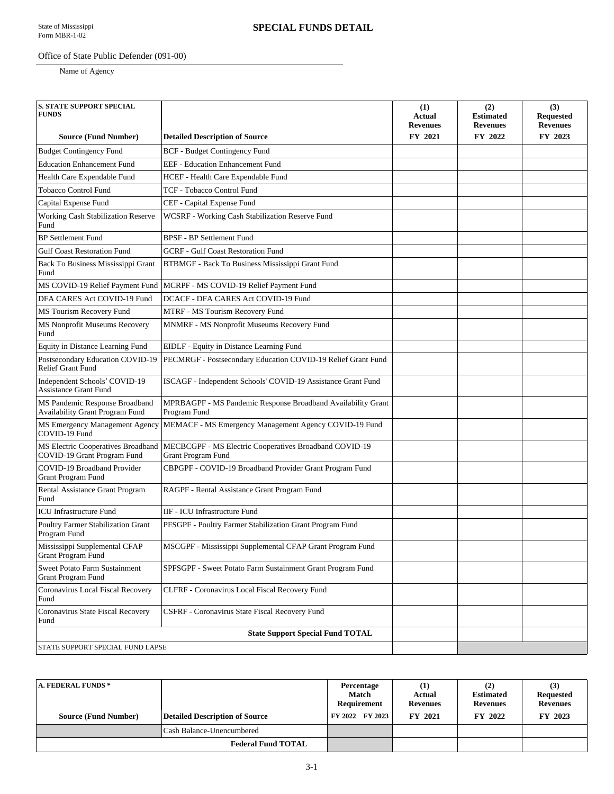Office of State Public Defender (091-00)

| <b>S. STATE SUPPORT SPECIAL</b><br><b>FUNDS</b>                   |                                                                              | (1)<br>Actual<br><b>Revenues</b> | (2)<br><b>Estimated</b><br><b>Revenues</b> | (3)<br><b>Requested</b><br><b>Revenues</b> |
|-------------------------------------------------------------------|------------------------------------------------------------------------------|----------------------------------|--------------------------------------------|--------------------------------------------|
| <b>Source (Fund Number)</b>                                       | <b>Detailed Description of Source</b>                                        | FY 2021                          | FY 2022                                    | FY 2023                                    |
| <b>Budget Contingency Fund</b>                                    | <b>BCF</b> - Budget Contingency Fund                                         |                                  |                                            |                                            |
| <b>Education Enhancement Fund</b>                                 | <b>EEF</b> - Education Enhancement Fund                                      |                                  |                                            |                                            |
| Health Care Expendable Fund                                       | HCEF - Health Care Expendable Fund                                           |                                  |                                            |                                            |
| Tobacco Control Fund                                              | TCF - Tobacco Control Fund                                                   |                                  |                                            |                                            |
| Capital Expense Fund                                              | CEF - Capital Expense Fund                                                   |                                  |                                            |                                            |
| Working Cash Stabilization Reserve<br>Fund                        | WCSRF - Working Cash Stabilization Reserve Fund                              |                                  |                                            |                                            |
| <b>BP</b> Settlement Fund                                         | <b>BPSF - BP Settlement Fund</b>                                             |                                  |                                            |                                            |
| <b>Gulf Coast Restoration Fund</b>                                | <b>GCRF</b> - Gulf Coast Restoration Fund                                    |                                  |                                            |                                            |
| Back To Business Mississippi Grant<br>Fund                        | BTBMGF - Back To Business Mississippi Grant Fund                             |                                  |                                            |                                            |
| MS COVID-19 Relief Payment Fund                                   | MCRPF - MS COVID-19 Relief Payment Fund                                      |                                  |                                            |                                            |
| DFA CARES Act COVID-19 Fund                                       | DCACF - DFA CARES Act COVID-19 Fund                                          |                                  |                                            |                                            |
| MS Tourism Recovery Fund                                          | MTRF - MS Tourism Recovery Fund                                              |                                  |                                            |                                            |
| MS Nonprofit Museums Recovery<br>Fund                             | MNMRF - MS Nonprofit Museums Recovery Fund                                   |                                  |                                            |                                            |
| Equity in Distance Learning Fund                                  | EIDLF - Equity in Distance Learning Fund                                     |                                  |                                            |                                            |
| Postsecondary Education COVID-19<br>Relief Grant Fund             | PECMRGF - Postsecondary Education COVID-19 Relief Grant Fund                 |                                  |                                            |                                            |
| Independent Schools' COVID-19<br><b>Assistance Grant Fund</b>     | ISCAGF - Independent Schools' COVID-19 Assistance Grant Fund                 |                                  |                                            |                                            |
| MS Pandemic Response Broadband<br>Availability Grant Program Fund | MPRBAGPF - MS Pandemic Response Broadband Availability Grant<br>Program Fund |                                  |                                            |                                            |
| MS Emergency Management Agency<br>COVID-19 Fund                   | MEMACF - MS Emergency Management Agency COVID-19 Fund                        |                                  |                                            |                                            |
| MS Electric Cooperatives Broadband<br>COVID-19 Grant Program Fund | MECBCGPF - MS Electric Cooperatives Broadband COVID-19<br>Grant Program Fund |                                  |                                            |                                            |
| COVID-19 Broadband Provider<br>Grant Program Fund                 | CBPGPF - COVID-19 Broadband Provider Grant Program Fund                      |                                  |                                            |                                            |
| Rental Assistance Grant Program<br>Fund                           | RAGPF - Rental Assistance Grant Program Fund                                 |                                  |                                            |                                            |
| <b>ICU</b> Infrastructure Fund                                    | IIF - ICU Infrastructure Fund                                                |                                  |                                            |                                            |
| Poultry Farmer Stabilization Grant<br>Program Fund                | PFSGPF - Poultry Farmer Stabilization Grant Program Fund                     |                                  |                                            |                                            |
| Mississippi Supplemental CFAP<br><b>Grant Program Fund</b>        | MSCGPF - Mississippi Supplemental CFAP Grant Program Fund                    |                                  |                                            |                                            |
| Sweet Potato Farm Sustainment<br><b>Grant Program Fund</b>        | SPFSGPF - Sweet Potato Farm Sustainment Grant Program Fund                   |                                  |                                            |                                            |
| Coronavirus Local Fiscal Recovery<br>Fund                         | CLFRF - Coronavirus Local Fiscal Recovery Fund                               |                                  |                                            |                                            |
| Coronavirus State Fiscal Recovery<br>Fund                         | CSFRF - Coronavirus State Fiscal Recovery Fund                               |                                  |                                            |                                            |
|                                                                   | <b>State Support Special Fund TOTAL</b>                                      |                                  |                                            |                                            |
| STATE SUPPORT SPECIAL FUND LAPSE                                  |                                                                              |                                  |                                            |                                            |

| <b>A. FEDERAL FUNDS *</b><br><b>Source (Fund Number)</b> | Detailed Description of Source | Percentage<br>Match<br>Requirement<br>FY 2022 FY 2023 | Actual<br><b>Revenues</b><br><b>FY 2021</b> | (2)<br><b>Estimated</b><br><b>Revenues</b><br><b>FY 2022</b> | (3)<br><b>Requested</b><br><b>Revenues</b><br>FY 2023 |
|----------------------------------------------------------|--------------------------------|-------------------------------------------------------|---------------------------------------------|--------------------------------------------------------------|-------------------------------------------------------|
|                                                          | Cash Balance-Unencumbered      |                                                       |                                             |                                                              |                                                       |
|                                                          | <b>Federal Fund TOTAL</b>      |                                                       |                                             |                                                              |                                                       |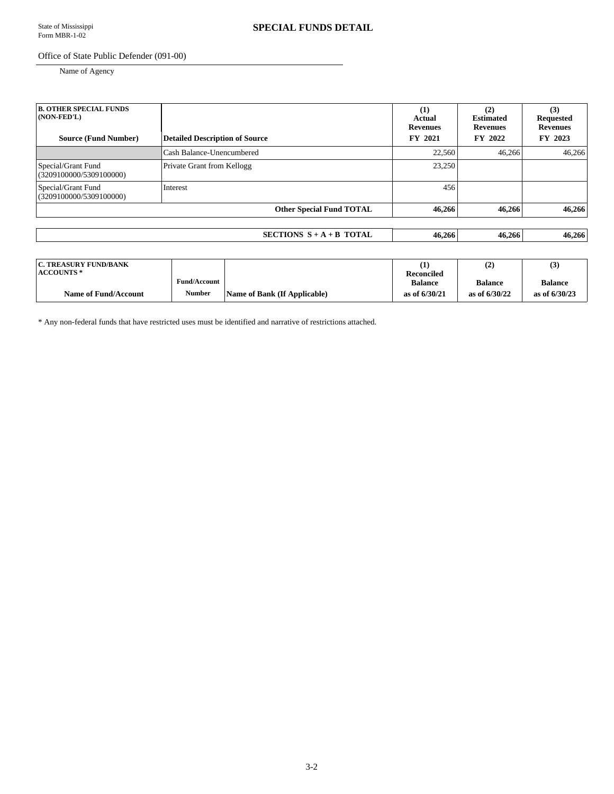Office of State Public Defender (091-00)

Name of Agency

| <b>B. OTHER SPECIAL FUNDS</b><br>(NON-FED'L)<br><b>Source (Fund Number)</b> | Detailed Description of Source  | (1)<br>Actual<br><b>Revenues</b><br>FY 2021 | (2)<br><b>Estimated</b><br><b>Revenues</b><br>FY 2022 | (3)<br><b>Requested</b><br><b>Revenues</b><br>FY 2023 |
|-----------------------------------------------------------------------------|---------------------------------|---------------------------------------------|-------------------------------------------------------|-------------------------------------------------------|
|                                                                             | Cash Balance-Unencumbered       | 22,560                                      | 46,266                                                | 46,266                                                |
| Special/Grant Fund<br>(3209100000/5309100000)                               | Private Grant from Kellogg      | 23,250                                      |                                                       |                                                       |
| Special/Grant Fund<br>(3209100000/5309100000)                               | Interest                        | 456                                         |                                                       |                                                       |
|                                                                             | <b>Other Special Fund TOTAL</b> | 46,266                                      | 46,266                                                | 46,266                                                |
|                                                                             |                                 |                                             |                                                       |                                                       |
|                                                                             | SECTIONS $S + A + B$ TOTAL      | 46,266                                      | 46,266                                                | 46,266                                                |

| <b>C. TREASURY FUND/BANK</b> |                     |                              |                                     | (2             | (3)             |
|------------------------------|---------------------|------------------------------|-------------------------------------|----------------|-----------------|
| <b>ACCOUNTS</b> *            | <b>Fund/Account</b> |                              | <b>Reconciled</b><br><b>Balance</b> | <b>Balance</b> | <b>Balance</b>  |
| Name of Fund/Account         | <b>Number</b>       | Name of Bank (If Applicable) | as of 6/30/21                       | as of 6/30/22  | as of $6/30/23$ |

\* Any non-federal funds that have restricted uses must be identified and narrative of restrictions attached.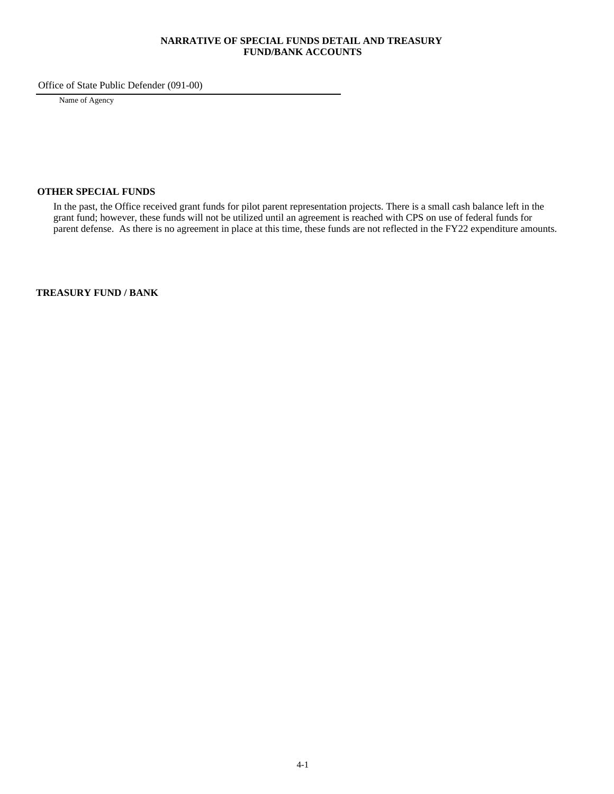#### **NARRATIVE OF SPECIAL FUNDS DETAIL AND TREASURY FUND/BANK ACCOUNTS**

Office of State Public Defender (091-00)

Name of Agency

#### **OTHER SPECIAL FUNDS**

In the past, the Office received grant funds for pilot parent representation projects. There is a small cash balance left in the grant fund; however, these funds will not be utilized until an agreement is reached with CPS on use of federal funds for parent defense. As there is no agreement in place at this time, these funds are not reflected in the FY22 expenditure amounts.

**TREASURY FUND / BANK**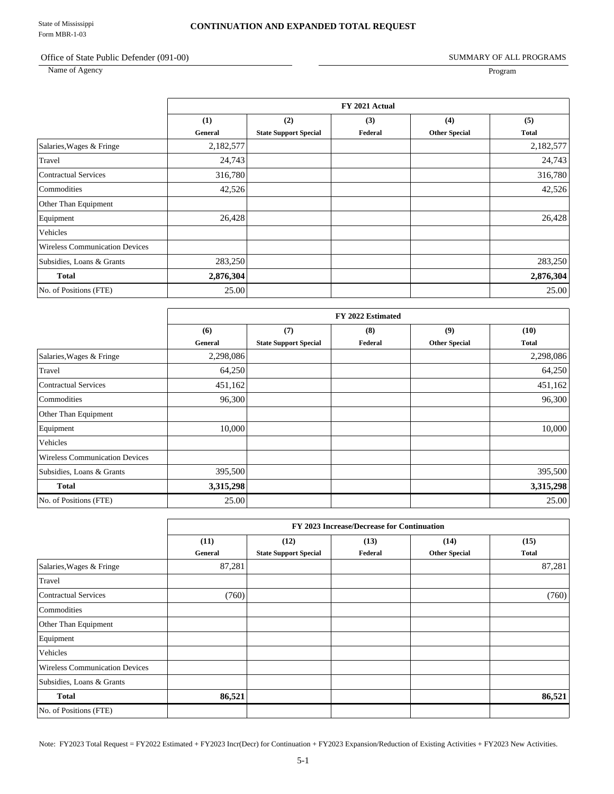#### Office of State Public Defender (091-00)

Name of Agency

SUMMARY OF ALL PROGRAMS

Program

|                                       |           | FY 2021 Actual               |         |                      |              |  |  |  |
|---------------------------------------|-----------|------------------------------|---------|----------------------|--------------|--|--|--|
|                                       | (1)       | (2)                          | (3)     | (4)                  | (5)          |  |  |  |
|                                       | General   | <b>State Support Special</b> | Federal | <b>Other Special</b> | <b>Total</b> |  |  |  |
| Salaries, Wages & Fringe              | 2,182,577 |                              |         |                      | 2,182,577    |  |  |  |
| Travel                                | 24,743    |                              |         |                      | 24,743       |  |  |  |
| Contractual Services                  | 316,780   |                              |         |                      | 316,780      |  |  |  |
| Commodities                           | 42,526    |                              |         |                      | 42,526       |  |  |  |
| Other Than Equipment                  |           |                              |         |                      |              |  |  |  |
| Equipment                             | 26,428    |                              |         |                      | 26,428       |  |  |  |
| Vehicles                              |           |                              |         |                      |              |  |  |  |
| <b>Wireless Communication Devices</b> |           |                              |         |                      |              |  |  |  |
| Subsidies, Loans & Grants             | 283,250   |                              |         |                      | 283,250      |  |  |  |
| <b>Total</b>                          | 2,876,304 |                              |         |                      | 2,876,304    |  |  |  |
| No. of Positions (FTE)                | 25.00     |                              |         |                      | 25.00        |  |  |  |

|                                       |           | FY 2022 Estimated            |         |                      |              |  |  |  |  |
|---------------------------------------|-----------|------------------------------|---------|----------------------|--------------|--|--|--|--|
|                                       | (6)       | (7)                          | (8)     | (9)                  | (10)         |  |  |  |  |
|                                       | General   | <b>State Support Special</b> | Federal | <b>Other Special</b> | <b>Total</b> |  |  |  |  |
| Salaries, Wages & Fringe              | 2,298,086 |                              |         |                      | 2,298,086    |  |  |  |  |
| Travel                                | 64,250    |                              |         |                      | 64,250       |  |  |  |  |
| <b>Contractual Services</b>           | 451,162   |                              |         |                      | 451,162      |  |  |  |  |
| Commodities                           | 96,300    |                              |         |                      | 96,300       |  |  |  |  |
| Other Than Equipment                  |           |                              |         |                      |              |  |  |  |  |
| Equipment                             | 10,000    |                              |         |                      | 10,000       |  |  |  |  |
| Vehicles                              |           |                              |         |                      |              |  |  |  |  |
| <b>Wireless Communication Devices</b> |           |                              |         |                      |              |  |  |  |  |
| Subsidies, Loans & Grants             | 395,500   |                              |         |                      | 395,500      |  |  |  |  |
| <b>Total</b>                          | 3,315,298 |                              |         |                      | 3,315,298    |  |  |  |  |
| No. of Positions (FTE)                | 25.00     |                              |         |                      | 25.00        |  |  |  |  |

|                                       |         | FY 2023 Increase/Decrease for Continuation |         |                      |              |  |  |  |  |
|---------------------------------------|---------|--------------------------------------------|---------|----------------------|--------------|--|--|--|--|
|                                       | (11)    | (12)                                       | (13)    | (14)                 | (15)         |  |  |  |  |
|                                       | General | <b>State Support Special</b>               | Federal | <b>Other Special</b> | <b>Total</b> |  |  |  |  |
| Salaries, Wages & Fringe              | 87,281  |                                            |         |                      | 87,281       |  |  |  |  |
| Travel                                |         |                                            |         |                      |              |  |  |  |  |
| <b>Contractual Services</b>           | (760)   |                                            |         |                      | (760)        |  |  |  |  |
| Commodities                           |         |                                            |         |                      |              |  |  |  |  |
| Other Than Equipment                  |         |                                            |         |                      |              |  |  |  |  |
| Equipment                             |         |                                            |         |                      |              |  |  |  |  |
| Vehicles                              |         |                                            |         |                      |              |  |  |  |  |
| <b>Wireless Communication Devices</b> |         |                                            |         |                      |              |  |  |  |  |
| Subsidies, Loans & Grants             |         |                                            |         |                      |              |  |  |  |  |
| <b>Total</b>                          | 86,521  |                                            |         |                      | 86,521       |  |  |  |  |
| No. of Positions (FTE)                |         |                                            |         |                      |              |  |  |  |  |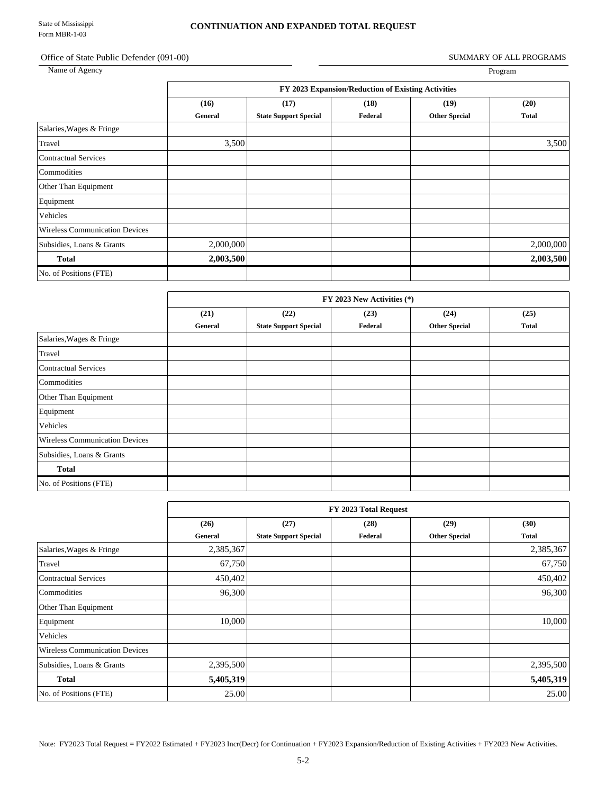#### Office of State Public Defender (091-00)

Name of Agency

SUMMARY OF ALL PROGRAMS

Program

|                                       | FY 2023 Expansion/Reduction of Existing Activities |                                      |                 |                              |              |  |  |
|---------------------------------------|----------------------------------------------------|--------------------------------------|-----------------|------------------------------|--------------|--|--|
|                                       | (16)                                               | (20)                                 |                 |                              |              |  |  |
|                                       | General                                            | (17)<br><b>State Support Special</b> | (18)<br>Federal | (19)<br><b>Other Special</b> | <b>Total</b> |  |  |
| Salaries, Wages & Fringe              |                                                    |                                      |                 |                              |              |  |  |
| Travel                                | 3,500                                              |                                      |                 |                              | 3,500        |  |  |
| <b>Contractual Services</b>           |                                                    |                                      |                 |                              |              |  |  |
| Commodities                           |                                                    |                                      |                 |                              |              |  |  |
| Other Than Equipment                  |                                                    |                                      |                 |                              |              |  |  |
| Equipment                             |                                                    |                                      |                 |                              |              |  |  |
| Vehicles                              |                                                    |                                      |                 |                              |              |  |  |
| <b>Wireless Communication Devices</b> |                                                    |                                      |                 |                              |              |  |  |
| Subsidies, Loans & Grants             | 2,000,000                                          |                                      |                 |                              | 2,000,000    |  |  |
| <b>Total</b>                          | 2,003,500                                          |                                      |                 |                              | 2,003,500    |  |  |
| No. of Positions (FTE)                |                                                    |                                      |                 |                              |              |  |  |

|                                       | FY 2023 New Activities (*) |                              |         |                      |              |  |
|---------------------------------------|----------------------------|------------------------------|---------|----------------------|--------------|--|
|                                       | (21)                       | (22)                         | (23)    | (24)                 | (25)         |  |
|                                       | General                    | <b>State Support Special</b> | Federal | <b>Other Special</b> | <b>Total</b> |  |
| Salaries, Wages & Fringe              |                            |                              |         |                      |              |  |
| Travel                                |                            |                              |         |                      |              |  |
| <b>Contractual Services</b>           |                            |                              |         |                      |              |  |
| Commodities                           |                            |                              |         |                      |              |  |
| Other Than Equipment                  |                            |                              |         |                      |              |  |
| Equipment                             |                            |                              |         |                      |              |  |
| Vehicles                              |                            |                              |         |                      |              |  |
| <b>Wireless Communication Devices</b> |                            |                              |         |                      |              |  |
| Subsidies, Loans & Grants             |                            |                              |         |                      |              |  |
| <b>Total</b>                          |                            |                              |         |                      |              |  |
| No. of Positions (FTE)                |                            |                              |         |                      |              |  |

|                                       | FY 2023 Total Request |                              |         |                      |              |  |
|---------------------------------------|-----------------------|------------------------------|---------|----------------------|--------------|--|
|                                       | (26)                  | (27)                         | (28)    | (29)                 | (30)         |  |
|                                       | General               | <b>State Support Special</b> | Federal | <b>Other Special</b> | <b>Total</b> |  |
| Salaries, Wages & Fringe              | 2,385,367             |                              |         |                      | 2,385,367    |  |
| Travel                                | 67,750                |                              |         |                      | 67,750       |  |
| <b>Contractual Services</b>           | 450,402               |                              |         |                      | 450,402      |  |
| Commodities                           | 96,300                |                              |         |                      | 96,300       |  |
| Other Than Equipment                  |                       |                              |         |                      |              |  |
| Equipment                             | 10,000                |                              |         |                      | 10,000       |  |
| Vehicles                              |                       |                              |         |                      |              |  |
| <b>Wireless Communication Devices</b> |                       |                              |         |                      |              |  |
| Subsidies, Loans & Grants             | 2,395,500             |                              |         |                      | 2,395,500    |  |
| <b>Total</b>                          | 5,405,319             |                              |         |                      | 5,405,319    |  |
| No. of Positions (FTE)                | 25.00                 |                              |         |                      | 25.00        |  |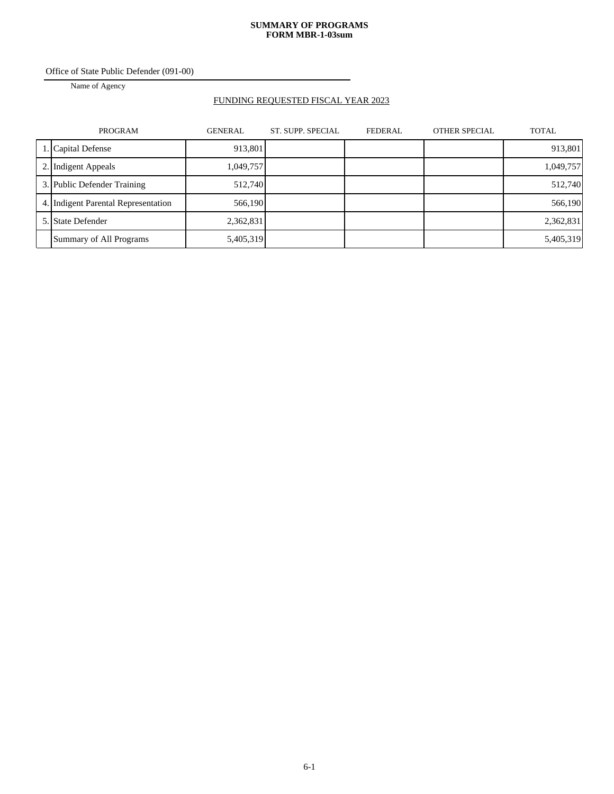#### **SUMMARY OF PROGRAMS FORM MBR-1-03sum**

Office of State Public Defender (091-00)

Name of Agency

#### FUNDING REQUESTED FISCAL YEAR 2023

| <b>PROGRAM</b>                      | <b>GENERAL</b> | ST. SUPP. SPECIAL | FEDERAL | <b>OTHER SPECIAL</b> | <b>TOTAL</b> |
|-------------------------------------|----------------|-------------------|---------|----------------------|--------------|
| 1. Capital Defense                  | 913.801        |                   |         |                      | 913,801      |
| 2. Indigent Appeals                 | 1,049,757      |                   |         |                      | 1,049,757    |
| 3. Public Defender Training         | 512.740        |                   |         |                      | 512,740      |
| 4. Indigent Parental Representation | 566,190        |                   |         |                      | 566,190      |
| 5. State Defender                   | 2,362,831      |                   |         |                      | 2,362,831    |
| Summary of All Programs             | 5,405,319      |                   |         |                      | 5,405,319    |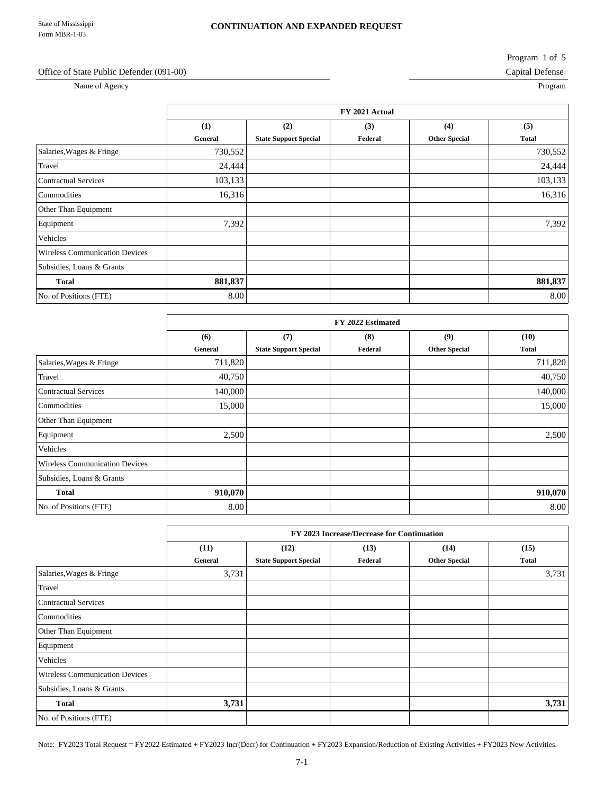Program 1 of 5

#### Office of State Public Defender (091-00) Capital Defense

Name of Agency Program Program

|                                       | FY 2021 Actual |                              |         |                      |              |  |
|---------------------------------------|----------------|------------------------------|---------|----------------------|--------------|--|
|                                       | (1)            | (2)                          | (3)     | (4)                  | (5)          |  |
|                                       | General        | <b>State Support Special</b> | Federal | <b>Other Special</b> | <b>Total</b> |  |
| Salaries, Wages & Fringe              | 730,552        |                              |         |                      | 730,552      |  |
| Travel                                | 24,444         |                              |         |                      | 24,444       |  |
| <b>Contractual Services</b>           | 103,133        |                              |         |                      | 103, 133     |  |
| Commodities                           | 16,316         |                              |         |                      | 16,316       |  |
| Other Than Equipment                  |                |                              |         |                      |              |  |
| Equipment                             | 7,392          |                              |         |                      | 7,392        |  |
| Vehicles                              |                |                              |         |                      |              |  |
| <b>Wireless Communication Devices</b> |                |                              |         |                      |              |  |
| Subsidies, Loans & Grants             |                |                              |         |                      |              |  |
| <b>Total</b>                          | 881,837        |                              |         |                      | 881,837      |  |
| No. of Positions (FTE)                | 8.00           |                              |         |                      | 8.00         |  |

|                                       |         | FY 2022 Estimated            |         |                      |              |  |  |
|---------------------------------------|---------|------------------------------|---------|----------------------|--------------|--|--|
|                                       | (6)     | (7)                          | (8)     | (9)                  | (10)         |  |  |
|                                       | General | <b>State Support Special</b> | Federal | <b>Other Special</b> | <b>Total</b> |  |  |
| Salaries, Wages & Fringe              | 711,820 |                              |         |                      | 711,820      |  |  |
| Travel                                | 40,750  |                              |         |                      | 40,750       |  |  |
| <b>Contractual Services</b>           | 140,000 |                              |         |                      | 140,000      |  |  |
| Commodities                           | 15,000  |                              |         |                      | 15,000       |  |  |
| Other Than Equipment                  |         |                              |         |                      |              |  |  |
| Equipment                             | 2,500   |                              |         |                      | 2,500        |  |  |
| Vehicles                              |         |                              |         |                      |              |  |  |
| <b>Wireless Communication Devices</b> |         |                              |         |                      |              |  |  |
| Subsidies, Loans & Grants             |         |                              |         |                      |              |  |  |
| <b>Total</b>                          | 910,070 |                              |         |                      | 910,070      |  |  |
| No. of Positions (FTE)                | 8.00    |                              |         |                      | 8.00         |  |  |

|                                       | FY 2023 Increase/Decrease for Continuation |                              |         |                      |              |  |
|---------------------------------------|--------------------------------------------|------------------------------|---------|----------------------|--------------|--|
|                                       | (11)                                       | (12)                         | (13)    | (14)                 | (15)         |  |
|                                       | General                                    | <b>State Support Special</b> | Federal | <b>Other Special</b> | <b>Total</b> |  |
| Salaries, Wages & Fringe              | 3,731                                      |                              |         |                      | 3,731        |  |
| Travel                                |                                            |                              |         |                      |              |  |
| <b>Contractual Services</b>           |                                            |                              |         |                      |              |  |
| Commodities                           |                                            |                              |         |                      |              |  |
| Other Than Equipment                  |                                            |                              |         |                      |              |  |
| Equipment                             |                                            |                              |         |                      |              |  |
| Vehicles                              |                                            |                              |         |                      |              |  |
| <b>Wireless Communication Devices</b> |                                            |                              |         |                      |              |  |
| Subsidies, Loans & Grants             |                                            |                              |         |                      |              |  |
| <b>Total</b>                          | 3,731                                      |                              |         |                      | 3,731        |  |
| No. of Positions (FTE)                |                                            |                              |         |                      |              |  |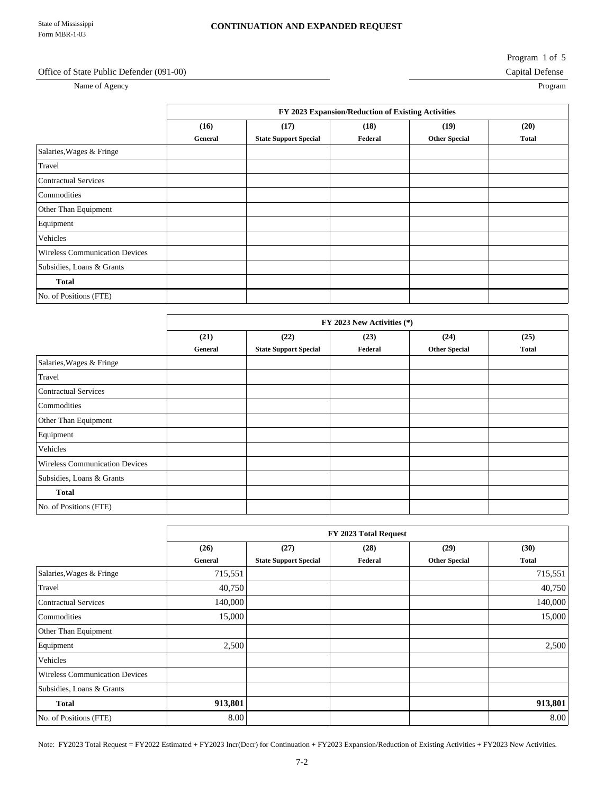Program 1 of 5

#### Office of State Public Defender (091-00) Capital Defense

Name of Agency Program Program

|                                       | FY 2023 Expansion/Reduction of Existing Activities |                              |         |                      |              |  |  |  |
|---------------------------------------|----------------------------------------------------|------------------------------|---------|----------------------|--------------|--|--|--|
|                                       | (16)                                               | (17)                         | (18)    | (19)                 | (20)         |  |  |  |
|                                       | General                                            | <b>State Support Special</b> | Federal | <b>Other Special</b> | <b>Total</b> |  |  |  |
| Salaries, Wages & Fringe              |                                                    |                              |         |                      |              |  |  |  |
| Travel                                |                                                    |                              |         |                      |              |  |  |  |
| <b>Contractual Services</b>           |                                                    |                              |         |                      |              |  |  |  |
| Commodities                           |                                                    |                              |         |                      |              |  |  |  |
| Other Than Equipment                  |                                                    |                              |         |                      |              |  |  |  |
| Equipment                             |                                                    |                              |         |                      |              |  |  |  |
| Vehicles                              |                                                    |                              |         |                      |              |  |  |  |
| <b>Wireless Communication Devices</b> |                                                    |                              |         |                      |              |  |  |  |
| Subsidies, Loans & Grants             |                                                    |                              |         |                      |              |  |  |  |
| <b>Total</b>                          |                                                    |                              |         |                      |              |  |  |  |
| No. of Positions (FTE)                |                                                    |                              |         |                      |              |  |  |  |

|                                       | FY 2023 New Activities (*) |                              |         |                      |              |  |
|---------------------------------------|----------------------------|------------------------------|---------|----------------------|--------------|--|
|                                       | (21)                       | (22)                         | (23)    | (24)                 | (25)         |  |
|                                       | General                    | <b>State Support Special</b> | Federal | <b>Other Special</b> | <b>Total</b> |  |
| Salaries, Wages & Fringe              |                            |                              |         |                      |              |  |
| Travel                                |                            |                              |         |                      |              |  |
| <b>Contractual Services</b>           |                            |                              |         |                      |              |  |
| Commodities                           |                            |                              |         |                      |              |  |
| Other Than Equipment                  |                            |                              |         |                      |              |  |
| Equipment                             |                            |                              |         |                      |              |  |
| Vehicles                              |                            |                              |         |                      |              |  |
| <b>Wireless Communication Devices</b> |                            |                              |         |                      |              |  |
| Subsidies, Loans & Grants             |                            |                              |         |                      |              |  |
| <b>Total</b>                          |                            |                              |         |                      |              |  |
| No. of Positions (FTE)                |                            |                              |         |                      |              |  |

|                                       | FY 2023 Total Request |                              |         |                      |              |  |
|---------------------------------------|-----------------------|------------------------------|---------|----------------------|--------------|--|
|                                       | (26)                  | (27)                         | (28)    | (29)                 | (30)         |  |
|                                       | General               | <b>State Support Special</b> | Federal | <b>Other Special</b> | <b>Total</b> |  |
| Salaries, Wages & Fringe              | 715,551               |                              |         |                      | 715,551      |  |
| Travel                                | 40,750                |                              |         |                      | 40,750       |  |
| <b>Contractual Services</b>           | 140,000               |                              |         |                      | 140,000      |  |
| Commodities                           | 15,000                |                              |         |                      | 15,000       |  |
| Other Than Equipment                  |                       |                              |         |                      |              |  |
| Equipment                             | 2,500                 |                              |         |                      | 2,500        |  |
| Vehicles                              |                       |                              |         |                      |              |  |
| <b>Wireless Communication Devices</b> |                       |                              |         |                      |              |  |
| Subsidies, Loans & Grants             |                       |                              |         |                      |              |  |
| <b>Total</b>                          | 913,801               |                              |         |                      | 913,801      |  |
| No. of Positions (FTE)                | 8.00                  |                              |         |                      | 8.00         |  |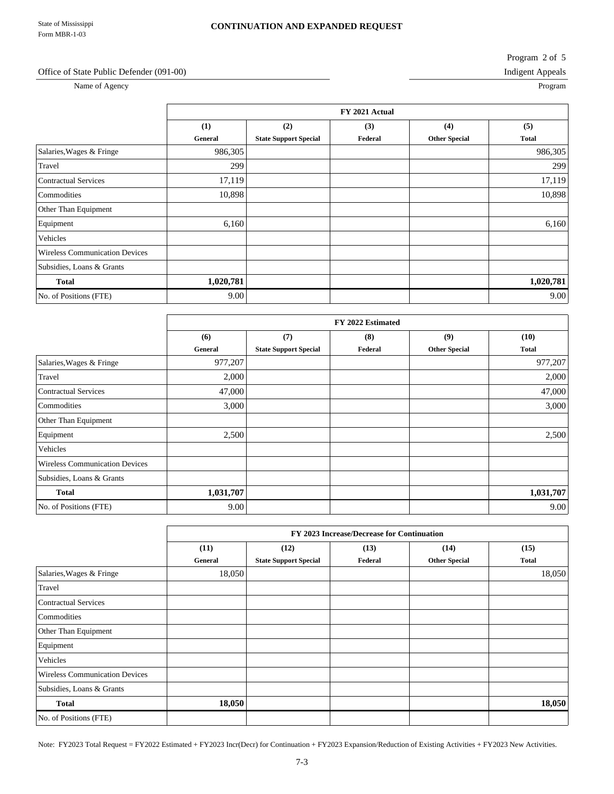Program 2 of 5

#### Office of State Public Defender (091-00) Indigent Appeals

Name of Agency Program Program

|                                       | FY 2021 Actual |                              |         |                      |              |  |
|---------------------------------------|----------------|------------------------------|---------|----------------------|--------------|--|
|                                       | (1)            | (2)                          | (3)     | (4)                  | (5)          |  |
|                                       | General        | <b>State Support Special</b> | Federal | <b>Other Special</b> | <b>Total</b> |  |
| Salaries, Wages & Fringe              | 986,305        |                              |         |                      | 986,305      |  |
| Travel                                | 299            |                              |         |                      | 299          |  |
| <b>Contractual Services</b>           | 17,119         |                              |         |                      | 17,119       |  |
| Commodities                           | 10,898         |                              |         |                      | 10,898       |  |
| Other Than Equipment                  |                |                              |         |                      |              |  |
| Equipment                             | 6,160          |                              |         |                      | 6,160        |  |
| Vehicles                              |                |                              |         |                      |              |  |
| <b>Wireless Communication Devices</b> |                |                              |         |                      |              |  |
| Subsidies, Loans & Grants             |                |                              |         |                      |              |  |
| <b>Total</b>                          | 1,020,781      |                              |         |                      | 1,020,781    |  |
| No. of Positions (FTE)                | 9.00           |                              |         |                      | 9.00         |  |

|                                       | FY 2022 Estimated |                              |         |                      |              |  |
|---------------------------------------|-------------------|------------------------------|---------|----------------------|--------------|--|
|                                       | (6)               | (7)                          | (8)     | (9)                  | (10)         |  |
|                                       | General           | <b>State Support Special</b> | Federal | <b>Other Special</b> | <b>Total</b> |  |
| Salaries, Wages & Fringe              | 977,207           |                              |         |                      | 977,207      |  |
| Travel                                | 2,000             |                              |         |                      | 2,000        |  |
| <b>Contractual Services</b>           | 47,000            |                              |         |                      | 47,000       |  |
| Commodities                           | 3,000             |                              |         |                      | 3,000        |  |
| Other Than Equipment                  |                   |                              |         |                      |              |  |
| Equipment                             | 2,500             |                              |         |                      | 2,500        |  |
| Vehicles                              |                   |                              |         |                      |              |  |
| <b>Wireless Communication Devices</b> |                   |                              |         |                      |              |  |
| Subsidies, Loans & Grants             |                   |                              |         |                      |              |  |
| <b>Total</b>                          | 1,031,707         |                              |         |                      | 1,031,707    |  |
| No. of Positions (FTE)                | 9.00              |                              |         |                      | 9.00         |  |

|                                       | FY 2023 Increase/Decrease for Continuation |                              |         |                      |              |  |
|---------------------------------------|--------------------------------------------|------------------------------|---------|----------------------|--------------|--|
|                                       | (11)                                       | (12)                         | (13)    | (14)                 | (15)         |  |
|                                       | General                                    | <b>State Support Special</b> | Federal | <b>Other Special</b> | <b>Total</b> |  |
| Salaries, Wages & Fringe              | 18,050                                     |                              |         |                      | 18,050       |  |
| Travel                                |                                            |                              |         |                      |              |  |
| <b>Contractual Services</b>           |                                            |                              |         |                      |              |  |
| Commodities                           |                                            |                              |         |                      |              |  |
| Other Than Equipment                  |                                            |                              |         |                      |              |  |
| Equipment                             |                                            |                              |         |                      |              |  |
| Vehicles                              |                                            |                              |         |                      |              |  |
| <b>Wireless Communication Devices</b> |                                            |                              |         |                      |              |  |
| Subsidies, Loans & Grants             |                                            |                              |         |                      |              |  |
| <b>Total</b>                          | 18,050                                     |                              |         |                      | 18,050       |  |
| No. of Positions (FTE)                |                                            |                              |         |                      |              |  |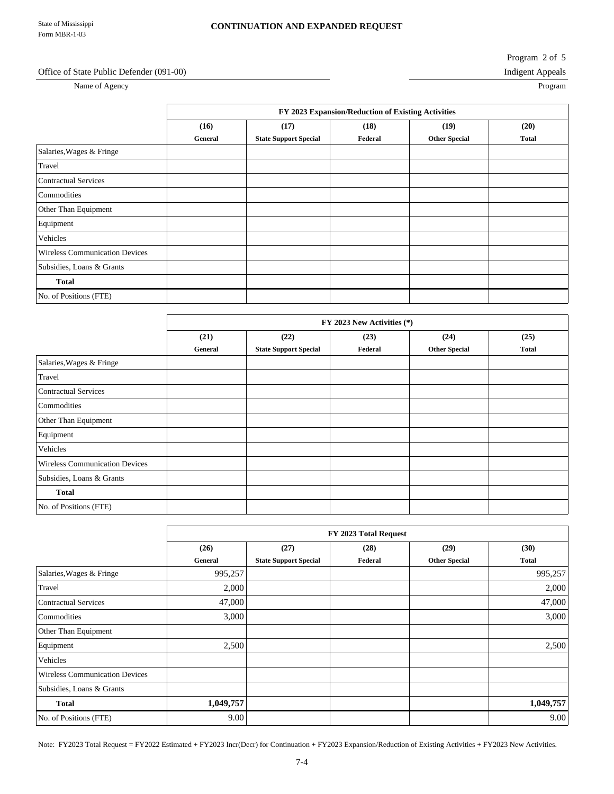Program 2 of 5

#### Office of State Public Defender (091-00) Indigent Appeals

Name of Agency Program Program

|                                       | FY 2023 Expansion/Reduction of Existing Activities |                              |         |                      |              |  |  |
|---------------------------------------|----------------------------------------------------|------------------------------|---------|----------------------|--------------|--|--|
|                                       | (16)                                               | (17)                         | (18)    | (19)                 | (20)         |  |  |
|                                       | General                                            | <b>State Support Special</b> | Federal | <b>Other Special</b> | <b>Total</b> |  |  |
| Salaries, Wages & Fringe              |                                                    |                              |         |                      |              |  |  |
| Travel                                |                                                    |                              |         |                      |              |  |  |
| <b>Contractual Services</b>           |                                                    |                              |         |                      |              |  |  |
| Commodities                           |                                                    |                              |         |                      |              |  |  |
| Other Than Equipment                  |                                                    |                              |         |                      |              |  |  |
| Equipment                             |                                                    |                              |         |                      |              |  |  |
| Vehicles                              |                                                    |                              |         |                      |              |  |  |
| <b>Wireless Communication Devices</b> |                                                    |                              |         |                      |              |  |  |
| Subsidies, Loans & Grants             |                                                    |                              |         |                      |              |  |  |
| <b>Total</b>                          |                                                    |                              |         |                      |              |  |  |
| No. of Positions (FTE)                |                                                    |                              |         |                      |              |  |  |

|                                       | FY 2023 New Activities (*) |                              |         |                      |              |
|---------------------------------------|----------------------------|------------------------------|---------|----------------------|--------------|
|                                       | (21)                       | (22)                         | (23)    | (24)                 | (25)         |
|                                       | General                    | <b>State Support Special</b> | Federal | <b>Other Special</b> | <b>Total</b> |
| Salaries, Wages & Fringe              |                            |                              |         |                      |              |
| Travel                                |                            |                              |         |                      |              |
| <b>Contractual Services</b>           |                            |                              |         |                      |              |
| Commodities                           |                            |                              |         |                      |              |
| Other Than Equipment                  |                            |                              |         |                      |              |
| Equipment                             |                            |                              |         |                      |              |
| Vehicles                              |                            |                              |         |                      |              |
| <b>Wireless Communication Devices</b> |                            |                              |         |                      |              |
| Subsidies, Loans & Grants             |                            |                              |         |                      |              |
| <b>Total</b>                          |                            |                              |         |                      |              |
| No. of Positions (FTE)                |                            |                              |         |                      |              |

|                                       | FY 2023 Total Request |                              |         |                      |              |
|---------------------------------------|-----------------------|------------------------------|---------|----------------------|--------------|
|                                       | (26)                  | (27)                         | (28)    | (29)                 | (30)         |
|                                       | General               | <b>State Support Special</b> | Federal | <b>Other Special</b> | <b>Total</b> |
| Salaries, Wages & Fringe              | 995,257               |                              |         |                      | 995,257      |
| Travel                                | 2,000                 |                              |         |                      | 2,000        |
| <b>Contractual Services</b>           | 47,000                |                              |         |                      | 47,000       |
| Commodities                           | 3,000                 |                              |         |                      | 3,000        |
| Other Than Equipment                  |                       |                              |         |                      |              |
| Equipment                             | 2,500                 |                              |         |                      | 2,500        |
| Vehicles                              |                       |                              |         |                      |              |
| <b>Wireless Communication Devices</b> |                       |                              |         |                      |              |
| Subsidies, Loans & Grants             |                       |                              |         |                      |              |
| <b>Total</b>                          | 1,049,757             |                              |         |                      | 1,049,757    |
| No. of Positions (FTE)                | 9.00                  |                              |         |                      | 9.00         |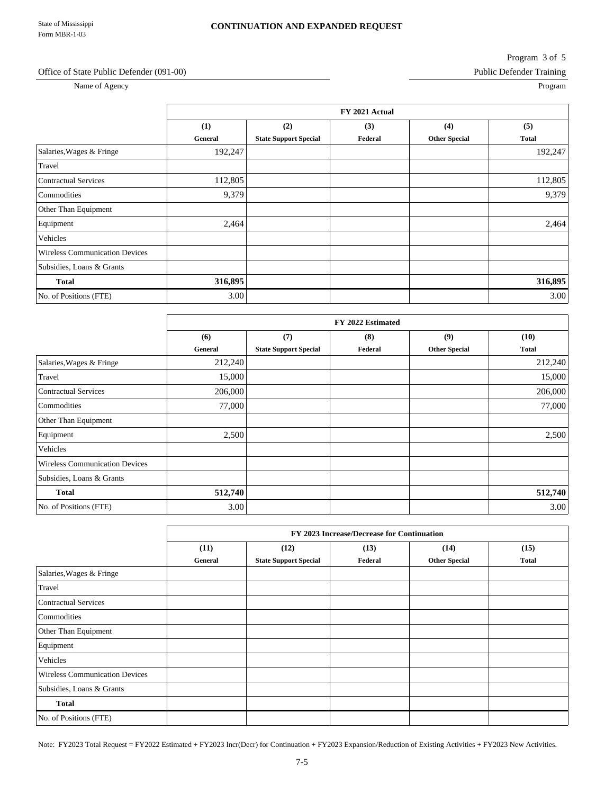#### Program 3 of 5

#### Office of State Public Defender (091-00) Public Defender Training

Name of Agency Program Program

|                                       | FY 2021 Actual |                              |         |                      |              |
|---------------------------------------|----------------|------------------------------|---------|----------------------|--------------|
|                                       | (1)            | (2)                          | (3)     | (4)                  | (5)          |
|                                       | General        | <b>State Support Special</b> | Federal | <b>Other Special</b> | <b>Total</b> |
| Salaries, Wages & Fringe              | 192,247        |                              |         |                      | 192,247      |
| Travel                                |                |                              |         |                      |              |
| <b>Contractual Services</b>           | 112,805        |                              |         |                      | 112,805      |
| Commodities                           | 9,379          |                              |         |                      | 9,379        |
| Other Than Equipment                  |                |                              |         |                      |              |
| Equipment                             | 2,464          |                              |         |                      | 2,464        |
| Vehicles                              |                |                              |         |                      |              |
| <b>Wireless Communication Devices</b> |                |                              |         |                      |              |
| Subsidies, Loans & Grants             |                |                              |         |                      |              |
| <b>Total</b>                          | 316,895        |                              |         |                      | 316,895      |
| No. of Positions (FTE)                | 3.00           |                              |         |                      | 3.00         |

|                                       | FY 2022 Estimated |                              |         |                      |              |
|---------------------------------------|-------------------|------------------------------|---------|----------------------|--------------|
|                                       | (6)               | (7)                          | (8)     | (9)                  | (10)         |
|                                       | General           | <b>State Support Special</b> | Federal | <b>Other Special</b> | <b>Total</b> |
| Salaries, Wages & Fringe              | 212,240           |                              |         |                      | 212,240      |
| Travel                                | 15,000            |                              |         |                      | 15,000       |
| <b>Contractual Services</b>           | 206,000           |                              |         |                      | 206,000      |
| Commodities                           | 77,000            |                              |         |                      | 77,000       |
| Other Than Equipment                  |                   |                              |         |                      |              |
| Equipment                             | 2,500             |                              |         |                      | 2,500        |
| Vehicles                              |                   |                              |         |                      |              |
| <b>Wireless Communication Devices</b> |                   |                              |         |                      |              |
| Subsidies, Loans & Grants             |                   |                              |         |                      |              |
| <b>Total</b>                          | 512,740           |                              |         |                      | 512,740      |
| No. of Positions (FTE)                | 3.00              |                              |         |                      | 3.00         |

|                                       | FY 2023 Increase/Decrease for Continuation |                              |         |                      |              |  |
|---------------------------------------|--------------------------------------------|------------------------------|---------|----------------------|--------------|--|
|                                       | (11)                                       | (12)                         | (13)    | (14)                 | (15)         |  |
|                                       | General                                    | <b>State Support Special</b> | Federal | <b>Other Special</b> | <b>Total</b> |  |
| Salaries, Wages & Fringe              |                                            |                              |         |                      |              |  |
| Travel                                |                                            |                              |         |                      |              |  |
| <b>Contractual Services</b>           |                                            |                              |         |                      |              |  |
| Commodities                           |                                            |                              |         |                      |              |  |
| Other Than Equipment                  |                                            |                              |         |                      |              |  |
| Equipment                             |                                            |                              |         |                      |              |  |
| Vehicles                              |                                            |                              |         |                      |              |  |
| <b>Wireless Communication Devices</b> |                                            |                              |         |                      |              |  |
| Subsidies, Loans & Grants             |                                            |                              |         |                      |              |  |
| <b>Total</b>                          |                                            |                              |         |                      |              |  |
| No. of Positions (FTE)                |                                            |                              |         |                      |              |  |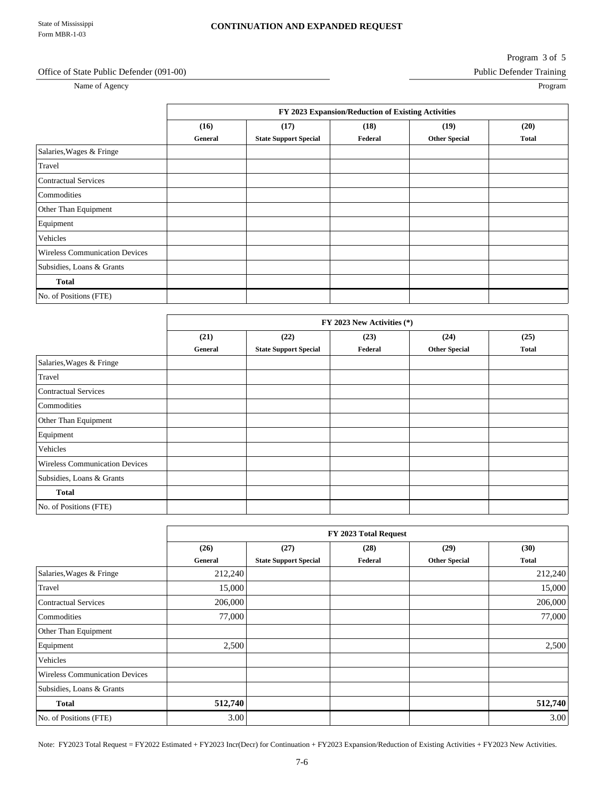#### Program 3 of 5

#### Office of State Public Defender (091-00) Public Defender Training

Name of Agency Program Program

|                                       | FY 2023 Expansion/Reduction of Existing Activities |                              |         |                      |              |  |
|---------------------------------------|----------------------------------------------------|------------------------------|---------|----------------------|--------------|--|
|                                       | (16)                                               | (17)                         | (18)    | (19)                 | (20)         |  |
|                                       | General                                            | <b>State Support Special</b> | Federal | <b>Other Special</b> | <b>Total</b> |  |
| Salaries, Wages & Fringe              |                                                    |                              |         |                      |              |  |
| Travel                                |                                                    |                              |         |                      |              |  |
| <b>Contractual Services</b>           |                                                    |                              |         |                      |              |  |
| Commodities                           |                                                    |                              |         |                      |              |  |
| Other Than Equipment                  |                                                    |                              |         |                      |              |  |
| Equipment                             |                                                    |                              |         |                      |              |  |
| Vehicles                              |                                                    |                              |         |                      |              |  |
| <b>Wireless Communication Devices</b> |                                                    |                              |         |                      |              |  |
| Subsidies, Loans & Grants             |                                                    |                              |         |                      |              |  |
| <b>Total</b>                          |                                                    |                              |         |                      |              |  |
| No. of Positions (FTE)                |                                                    |                              |         |                      |              |  |

|                                       | FY 2023 New Activities (*) |                              |         |                      |              |  |
|---------------------------------------|----------------------------|------------------------------|---------|----------------------|--------------|--|
|                                       | (21)                       | (22)                         | (23)    | (24)                 | (25)         |  |
|                                       | General                    | <b>State Support Special</b> | Federal | <b>Other Special</b> | <b>Total</b> |  |
| Salaries, Wages & Fringe              |                            |                              |         |                      |              |  |
| Travel                                |                            |                              |         |                      |              |  |
| <b>Contractual Services</b>           |                            |                              |         |                      |              |  |
| Commodities                           |                            |                              |         |                      |              |  |
| Other Than Equipment                  |                            |                              |         |                      |              |  |
| Equipment                             |                            |                              |         |                      |              |  |
| Vehicles                              |                            |                              |         |                      |              |  |
| <b>Wireless Communication Devices</b> |                            |                              |         |                      |              |  |
| Subsidies, Loans & Grants             |                            |                              |         |                      |              |  |
| <b>Total</b>                          |                            |                              |         |                      |              |  |
| No. of Positions (FTE)                |                            |                              |         |                      |              |  |

|                                       | FY 2023 Total Request |                              |         |                      |              |
|---------------------------------------|-----------------------|------------------------------|---------|----------------------|--------------|
|                                       | (26)                  | (27)                         | (28)    | (29)                 | (30)         |
|                                       | General               | <b>State Support Special</b> | Federal | <b>Other Special</b> | <b>Total</b> |
| Salaries, Wages & Fringe              | 212,240               |                              |         |                      | 212,240      |
| Travel                                | 15,000                |                              |         |                      | 15,000       |
| <b>Contractual Services</b>           | 206,000               |                              |         |                      | 206,000      |
| Commodities                           | 77,000                |                              |         |                      | 77,000       |
| Other Than Equipment                  |                       |                              |         |                      |              |
| Equipment                             | 2,500                 |                              |         |                      | 2,500        |
| Vehicles                              |                       |                              |         |                      |              |
| <b>Wireless Communication Devices</b> |                       |                              |         |                      |              |
| Subsidies, Loans & Grants             |                       |                              |         |                      |              |
| <b>Total</b>                          | 512,740               |                              |         |                      | 512,740      |
| No. of Positions (FTE)                | 3.00                  |                              |         |                      | 3.00         |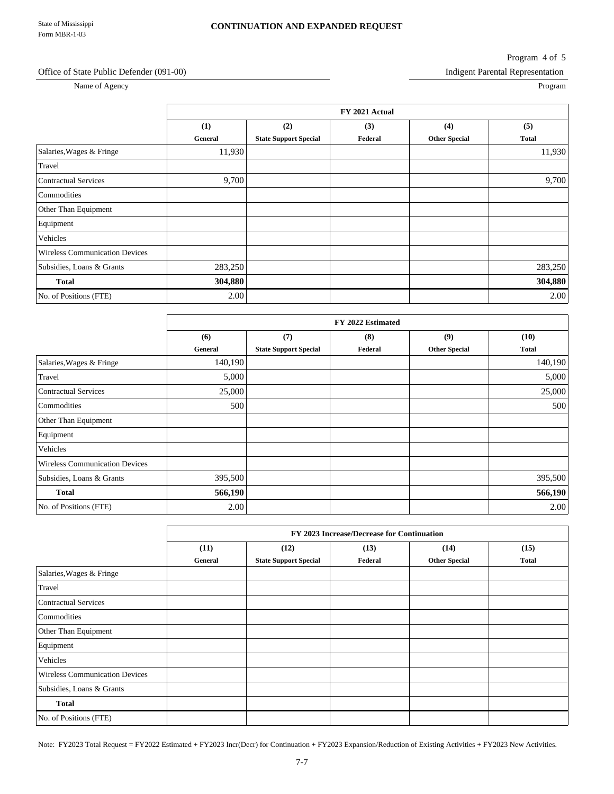#### Program 4 of 5

#### Office of State Public Defender (091-00) Indigent Parental Representation

Name of Agency Program Program

|                                       | FY 2021 Actual |                              |         |                      |              |
|---------------------------------------|----------------|------------------------------|---------|----------------------|--------------|
|                                       | (1)            | (2)                          | (3)     | (4)                  | (5)          |
|                                       | General        | <b>State Support Special</b> | Federal | <b>Other Special</b> | <b>Total</b> |
| Salaries, Wages & Fringe              | 11,930         |                              |         |                      | 11,930       |
| Travel                                |                |                              |         |                      |              |
| <b>Contractual Services</b>           | 9,700          |                              |         |                      | 9,700        |
| Commodities                           |                |                              |         |                      |              |
| Other Than Equipment                  |                |                              |         |                      |              |
| Equipment                             |                |                              |         |                      |              |
| Vehicles                              |                |                              |         |                      |              |
| <b>Wireless Communication Devices</b> |                |                              |         |                      |              |
| Subsidies, Loans & Grants             | 283,250        |                              |         |                      | 283,250      |
| <b>Total</b>                          | 304,880        |                              |         |                      | 304,880      |
| No. of Positions (FTE)                | 2.00           |                              |         |                      | 2.00         |

|                                       | FY 2022 Estimated |                              |         |                      |              |  |
|---------------------------------------|-------------------|------------------------------|---------|----------------------|--------------|--|
|                                       | (6)               | (7)                          | (8)     | (9)                  | (10)         |  |
|                                       | General           | <b>State Support Special</b> | Federal | <b>Other Special</b> | <b>Total</b> |  |
| Salaries, Wages & Fringe              | 140,190           |                              |         |                      | 140,190      |  |
| Travel                                | 5,000             |                              |         |                      | 5,000        |  |
| <b>Contractual Services</b>           | 25,000            |                              |         |                      | 25,000       |  |
| Commodities                           | 500               |                              |         |                      | 500          |  |
| Other Than Equipment                  |                   |                              |         |                      |              |  |
| Equipment                             |                   |                              |         |                      |              |  |
| Vehicles                              |                   |                              |         |                      |              |  |
| <b>Wireless Communication Devices</b> |                   |                              |         |                      |              |  |
| Subsidies, Loans & Grants             | 395,500           |                              |         |                      | 395,500      |  |
| <b>Total</b>                          | 566,190           |                              |         |                      | 566,190      |  |
| No. of Positions (FTE)                | 2.00              |                              |         |                      | 2.00         |  |

|                                       |         |                              | FY 2023 Increase/Decrease for Continuation |                      |              |
|---------------------------------------|---------|------------------------------|--------------------------------------------|----------------------|--------------|
|                                       | (11)    | (12)                         | (13)                                       | (14)                 | (15)         |
|                                       | General | <b>State Support Special</b> | Federal                                    | <b>Other Special</b> | <b>Total</b> |
| Salaries, Wages & Fringe              |         |                              |                                            |                      |              |
| Travel                                |         |                              |                                            |                      |              |
| Contractual Services                  |         |                              |                                            |                      |              |
| Commodities                           |         |                              |                                            |                      |              |
| Other Than Equipment                  |         |                              |                                            |                      |              |
| Equipment                             |         |                              |                                            |                      |              |
| Vehicles                              |         |                              |                                            |                      |              |
| <b>Wireless Communication Devices</b> |         |                              |                                            |                      |              |
| Subsidies, Loans & Grants             |         |                              |                                            |                      |              |
| <b>Total</b>                          |         |                              |                                            |                      |              |
| No. of Positions (FTE)                |         |                              |                                            |                      |              |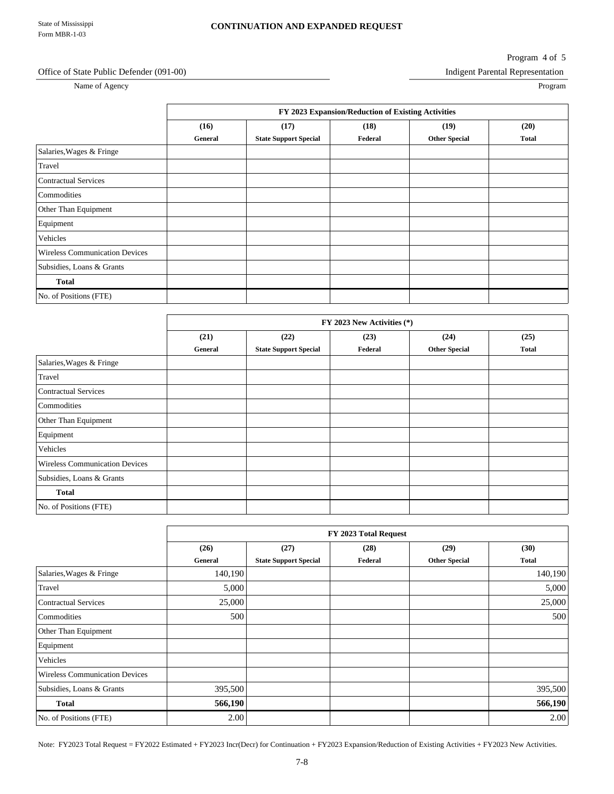#### Program 4 of 5

#### Office of State Public Defender (091-00) Indigent Parental Representation

Name of Agency Program Program

|                                       |         |                              | FY 2023 Expansion/Reduction of Existing Activities |                      |              |
|---------------------------------------|---------|------------------------------|----------------------------------------------------|----------------------|--------------|
|                                       | (16)    | (17)                         | (18)                                               | (19)                 | (20)         |
|                                       | General | <b>State Support Special</b> | Federal                                            | <b>Other Special</b> | <b>Total</b> |
| Salaries, Wages & Fringe              |         |                              |                                                    |                      |              |
| Travel                                |         |                              |                                                    |                      |              |
| <b>Contractual Services</b>           |         |                              |                                                    |                      |              |
| Commodities                           |         |                              |                                                    |                      |              |
| Other Than Equipment                  |         |                              |                                                    |                      |              |
| Equipment                             |         |                              |                                                    |                      |              |
| Vehicles                              |         |                              |                                                    |                      |              |
| <b>Wireless Communication Devices</b> |         |                              |                                                    |                      |              |
| Subsidies, Loans & Grants             |         |                              |                                                    |                      |              |
| <b>Total</b>                          |         |                              |                                                    |                      |              |
| No. of Positions (FTE)                |         |                              |                                                    |                      |              |

|                                       |         |                              | FY 2023 New Activities (*) |                      |              |
|---------------------------------------|---------|------------------------------|----------------------------|----------------------|--------------|
|                                       | (21)    | (22)                         | (23)                       | (24)                 | (25)         |
|                                       | General | <b>State Support Special</b> | Federal                    | <b>Other Special</b> | <b>Total</b> |
| Salaries, Wages & Fringe              |         |                              |                            |                      |              |
| Travel                                |         |                              |                            |                      |              |
| <b>Contractual Services</b>           |         |                              |                            |                      |              |
| Commodities                           |         |                              |                            |                      |              |
| Other Than Equipment                  |         |                              |                            |                      |              |
| Equipment                             |         |                              |                            |                      |              |
| Vehicles                              |         |                              |                            |                      |              |
| <b>Wireless Communication Devices</b> |         |                              |                            |                      |              |
| Subsidies, Loans & Grants             |         |                              |                            |                      |              |
| <b>Total</b>                          |         |                              |                            |                      |              |
| No. of Positions (FTE)                |         |                              |                            |                      |              |

|                                       |         |                              | FY 2023 Total Request |                      |              |
|---------------------------------------|---------|------------------------------|-----------------------|----------------------|--------------|
|                                       | (26)    | (27)                         | (28)                  | (29)                 | (30)         |
|                                       | General | <b>State Support Special</b> | Federal               | <b>Other Special</b> | <b>Total</b> |
| Salaries, Wages & Fringe              | 140,190 |                              |                       |                      | 140,190      |
| Travel                                | 5,000   |                              |                       |                      | 5,000        |
| <b>Contractual Services</b>           | 25,000  |                              |                       |                      | 25,000       |
| Commodities                           | 500     |                              |                       |                      | 500          |
| Other Than Equipment                  |         |                              |                       |                      |              |
| Equipment                             |         |                              |                       |                      |              |
| Vehicles                              |         |                              |                       |                      |              |
| <b>Wireless Communication Devices</b> |         |                              |                       |                      |              |
| Subsidies, Loans & Grants             | 395,500 |                              |                       |                      | 395,500      |
| <b>Total</b>                          | 566,190 |                              |                       |                      | 566,190      |
| No. of Positions (FTE)                | 2.00    |                              |                       |                      | 2.00         |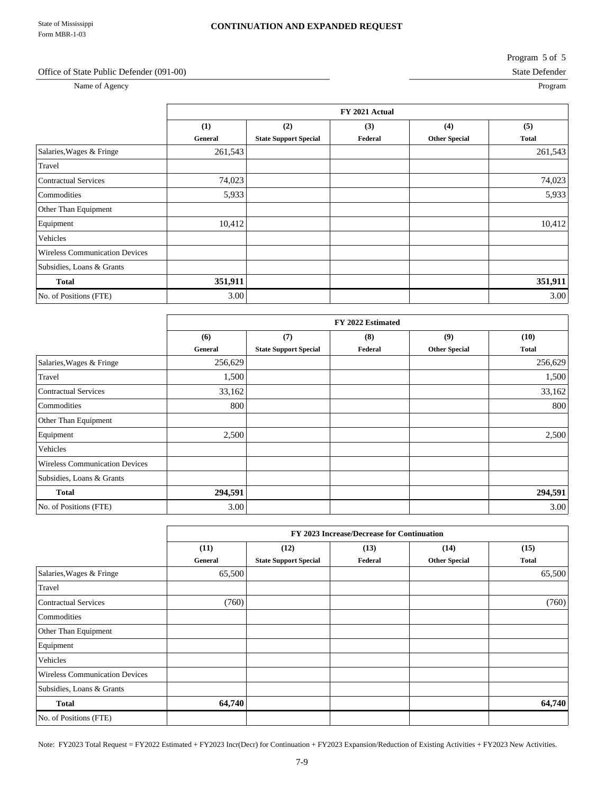Program 5 of 5

#### Office of State Public Defender (091-00) State Defender

Name of Agency Program Program

|                                       |         |                              | FY 2021 Actual |                      |              |
|---------------------------------------|---------|------------------------------|----------------|----------------------|--------------|
|                                       | (1)     | (2)                          | (3)            | (4)                  | (5)          |
|                                       | General | <b>State Support Special</b> | Federal        | <b>Other Special</b> | <b>Total</b> |
| Salaries, Wages & Fringe              | 261,543 |                              |                |                      | 261,543      |
| Travel                                |         |                              |                |                      |              |
| <b>Contractual Services</b>           | 74,023  |                              |                |                      | 74,023       |
| Commodities                           | 5,933   |                              |                |                      | 5,933        |
| Other Than Equipment                  |         |                              |                |                      |              |
| Equipment                             | 10,412  |                              |                |                      | 10,412       |
| Vehicles                              |         |                              |                |                      |              |
| <b>Wireless Communication Devices</b> |         |                              |                |                      |              |
| Subsidies, Loans & Grants             |         |                              |                |                      |              |
| <b>Total</b>                          | 351,911 |                              |                |                      | 351,911      |
| No. of Positions (FTE)                | 3.00    |                              |                |                      | 3.00         |

|                                       |         |                              | FY 2022 Estimated |                      |              |
|---------------------------------------|---------|------------------------------|-------------------|----------------------|--------------|
|                                       | (6)     | (7)                          | (8)               | (9)                  | (10)         |
|                                       | General | <b>State Support Special</b> | Federal           | <b>Other Special</b> | <b>Total</b> |
| Salaries, Wages & Fringe              | 256,629 |                              |                   |                      | 256,629      |
| Travel                                | 1,500   |                              |                   |                      | 1,500        |
| <b>Contractual Services</b>           | 33,162  |                              |                   |                      | 33,162       |
| Commodities                           | 800     |                              |                   |                      | 800          |
| Other Than Equipment                  |         |                              |                   |                      |              |
| Equipment                             | 2,500   |                              |                   |                      | 2,500        |
| Vehicles                              |         |                              |                   |                      |              |
| <b>Wireless Communication Devices</b> |         |                              |                   |                      |              |
| Subsidies, Loans & Grants             |         |                              |                   |                      |              |
| <b>Total</b>                          | 294,591 |                              |                   |                      | 294,591      |
| No. of Positions (FTE)                | 3.00    |                              |                   |                      | 3.00         |

|                                       |         |                              | FY 2023 Increase/Decrease for Continuation |                      |              |
|---------------------------------------|---------|------------------------------|--------------------------------------------|----------------------|--------------|
|                                       | (11)    | (12)                         | (13)                                       | (14)                 | (15)         |
|                                       | General | <b>State Support Special</b> | Federal                                    | <b>Other Special</b> | <b>Total</b> |
| Salaries, Wages & Fringe              | 65,500  |                              |                                            |                      | 65,500       |
| Travel                                |         |                              |                                            |                      |              |
| <b>Contractual Services</b>           | (760)   |                              |                                            |                      | (760)        |
| Commodities                           |         |                              |                                            |                      |              |
| Other Than Equipment                  |         |                              |                                            |                      |              |
| Equipment                             |         |                              |                                            |                      |              |
| Vehicles                              |         |                              |                                            |                      |              |
| <b>Wireless Communication Devices</b> |         |                              |                                            |                      |              |
| Subsidies, Loans & Grants             |         |                              |                                            |                      |              |
| <b>Total</b>                          | 64,740  |                              |                                            |                      | 64,740       |
| No. of Positions (FTE)                |         |                              |                                            |                      |              |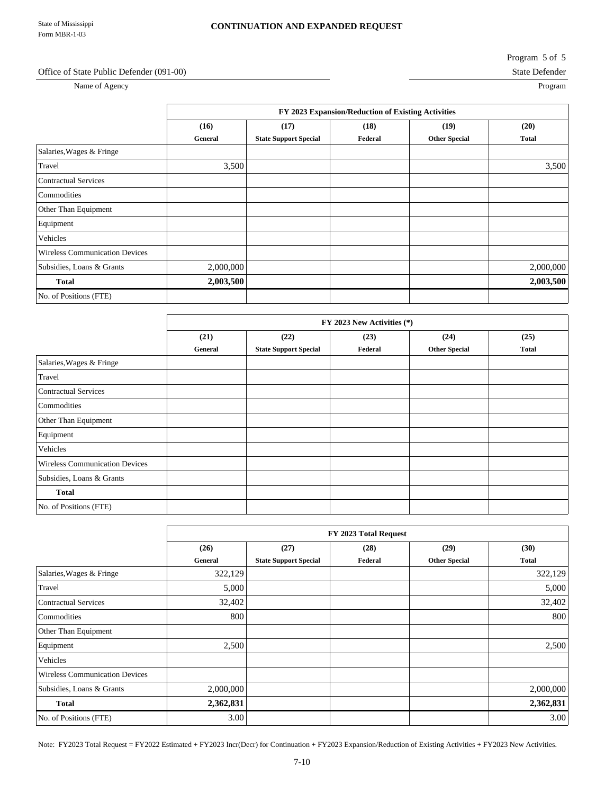Program 5 of 5

#### Office of State Public Defender (091-00) State Defender

Name of Agency Program Program

|                                       |           |                              | FY 2023 Expansion/Reduction of Existing Activities |                      |              |
|---------------------------------------|-----------|------------------------------|----------------------------------------------------|----------------------|--------------|
|                                       | (16)      | (17)                         | (18)                                               | (19)                 | (20)         |
|                                       | General   | <b>State Support Special</b> | Federal                                            | <b>Other Special</b> | <b>Total</b> |
| Salaries, Wages & Fringe              |           |                              |                                                    |                      |              |
| Travel                                | 3,500     |                              |                                                    |                      | 3,500        |
| Contractual Services                  |           |                              |                                                    |                      |              |
| Commodities                           |           |                              |                                                    |                      |              |
| Other Than Equipment                  |           |                              |                                                    |                      |              |
| Equipment                             |           |                              |                                                    |                      |              |
| Vehicles                              |           |                              |                                                    |                      |              |
| <b>Wireless Communication Devices</b> |           |                              |                                                    |                      |              |
| Subsidies, Loans & Grants             | 2,000,000 |                              |                                                    |                      | 2,000,000    |
| <b>Total</b>                          | 2,003,500 |                              |                                                    |                      | 2,003,500    |
| No. of Positions (FTE)                |           |                              |                                                    |                      |              |

|                                       |         |                              | FY 2023 New Activities (*) |                      |              |
|---------------------------------------|---------|------------------------------|----------------------------|----------------------|--------------|
|                                       | (21)    | (22)                         | (23)                       | (24)                 | (25)         |
|                                       | General | <b>State Support Special</b> | Federal                    | <b>Other Special</b> | <b>Total</b> |
| Salaries, Wages & Fringe              |         |                              |                            |                      |              |
| Travel                                |         |                              |                            |                      |              |
| <b>Contractual Services</b>           |         |                              |                            |                      |              |
| Commodities                           |         |                              |                            |                      |              |
| Other Than Equipment                  |         |                              |                            |                      |              |
| Equipment                             |         |                              |                            |                      |              |
| Vehicles                              |         |                              |                            |                      |              |
| <b>Wireless Communication Devices</b> |         |                              |                            |                      |              |
| Subsidies, Loans & Grants             |         |                              |                            |                      |              |
| <b>Total</b>                          |         |                              |                            |                      |              |
| No. of Positions (FTE)                |         |                              |                            |                      |              |

|                                       |           |                              | FY 2023 Total Request |                      |              |
|---------------------------------------|-----------|------------------------------|-----------------------|----------------------|--------------|
|                                       | (26)      | (27)                         | (28)                  | (29)                 | (30)         |
|                                       | General   | <b>State Support Special</b> | Federal               | <b>Other Special</b> | <b>Total</b> |
| Salaries, Wages & Fringe              | 322,129   |                              |                       |                      | 322,129      |
| Travel                                | 5,000     |                              |                       |                      | 5,000        |
| <b>Contractual Services</b>           | 32,402    |                              |                       |                      | 32,402       |
| Commodities                           | 800       |                              |                       |                      | 800          |
| Other Than Equipment                  |           |                              |                       |                      |              |
| Equipment                             | 2,500     |                              |                       |                      | 2,500        |
| Vehicles                              |           |                              |                       |                      |              |
| <b>Wireless Communication Devices</b> |           |                              |                       |                      |              |
| Subsidies, Loans & Grants             | 2,000,000 |                              |                       |                      | 2,000,000    |
| <b>Total</b>                          | 2,362,831 |                              |                       |                      | 2,362,831    |
| No. of Positions (FTE)                | 3.00      |                              |                       |                      | 3.00         |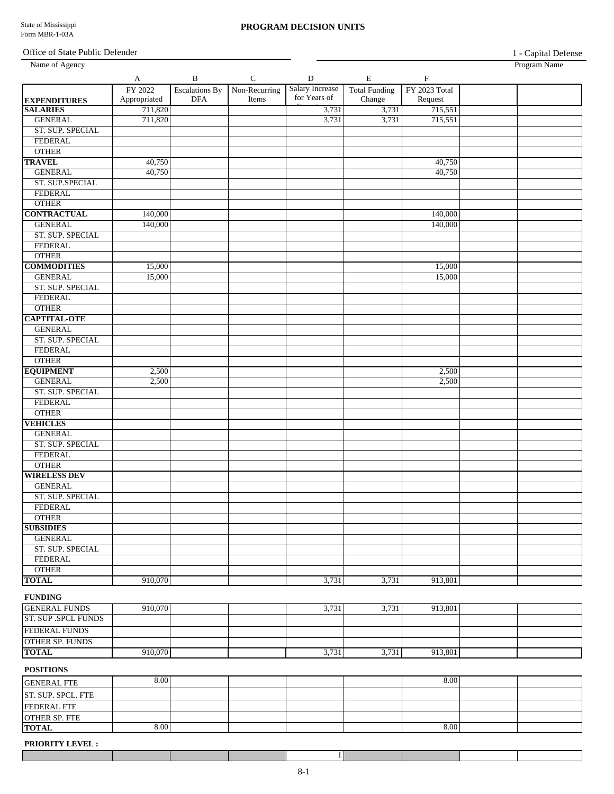#### Office of State Public Defender

1 - Capital Defense

| Name of Agency             | A            | $\, {\bf B}$          | ${\bf C}$     | ${\rm D}$       | E                    | $\mathbf F$   | Program Name |
|----------------------------|--------------|-----------------------|---------------|-----------------|----------------------|---------------|--------------|
|                            | FY 2022      | <b>Escalations By</b> | Non-Recurring | Salary Increase | <b>Total Funding</b> | FY 2023 Total |              |
| <b>EXPENDITURES</b>        | Appropriated | <b>DFA</b>            | Items         | for Years of    | Change               | Request       |              |
| <b>SALARIES</b>            | 711,820      |                       |               | 3,731           | 3,731                | 715,551       |              |
| <b>GENERAL</b>             | 711,820      |                       |               | 3,731           | 3,731                | 715,551       |              |
| ST. SUP. SPECIAL           |              |                       |               |                 |                      |               |              |
| <b>FEDERAL</b>             |              |                       |               |                 |                      |               |              |
| <b>OTHER</b>               |              |                       |               |                 |                      |               |              |
| <b>TRAVEL</b>              | 40,750       |                       |               |                 |                      | 40,750        |              |
| <b>GENERAL</b>             | 40,750       |                       |               |                 |                      | 40,750        |              |
| ST. SUP.SPECIAL            |              |                       |               |                 |                      |               |              |
| <b>FEDERAL</b>             |              |                       |               |                 |                      |               |              |
| <b>OTHER</b>               |              |                       |               |                 |                      |               |              |
| <b>CONTRACTUAL</b>         | 140,000      |                       |               |                 |                      | 140,000       |              |
| <b>GENERAL</b>             | 140,000      |                       |               |                 |                      | 140,000       |              |
| ST. SUP. SPECIAL           |              |                       |               |                 |                      |               |              |
| <b>FEDERAL</b>             |              |                       |               |                 |                      |               |              |
| <b>OTHER</b>               |              |                       |               |                 |                      |               |              |
| <b>COMMODITIES</b>         |              |                       |               |                 |                      |               |              |
|                            | 15,000       |                       |               |                 |                      | 15,000        |              |
| <b>GENERAL</b>             | 15,000       |                       |               |                 |                      | 15,000        |              |
| ST. SUP. SPECIAL           |              |                       |               |                 |                      |               |              |
| <b>FEDERAL</b>             |              |                       |               |                 |                      |               |              |
| <b>OTHER</b>               |              |                       |               |                 |                      |               |              |
| <b>CAPTITAL-OTE</b>        |              |                       |               |                 |                      |               |              |
| <b>GENERAL</b>             |              |                       |               |                 |                      |               |              |
| ST. SUP. SPECIAL           |              |                       |               |                 |                      |               |              |
| <b>FEDERAL</b>             |              |                       |               |                 |                      |               |              |
| <b>OTHER</b>               |              |                       |               |                 |                      |               |              |
| <b>EQUIPMENT</b>           | 2,500        |                       |               |                 |                      | 2,500         |              |
| <b>GENERAL</b>             | 2,500        |                       |               |                 |                      | 2,500         |              |
| ST. SUP. SPECIAL           |              |                       |               |                 |                      |               |              |
| <b>FEDERAL</b>             |              |                       |               |                 |                      |               |              |
| <b>OTHER</b>               |              |                       |               |                 |                      |               |              |
| <b>VEHICLES</b>            |              |                       |               |                 |                      |               |              |
| <b>GENERAL</b>             |              |                       |               |                 |                      |               |              |
| ST. SUP. SPECIAL           |              |                       |               |                 |                      |               |              |
| <b>FEDERAL</b>             |              |                       |               |                 |                      |               |              |
| <b>OTHER</b>               |              |                       |               |                 |                      |               |              |
| <b>WIRELESS DEV</b>        |              |                       |               |                 |                      |               |              |
| <b>GENERAL</b>             |              |                       |               |                 |                      |               |              |
| ST. SUP. SPECIAL           |              |                       |               |                 |                      |               |              |
| <b>FEDERAL</b>             |              |                       |               |                 |                      |               |              |
| <b>OTHER</b>               |              |                       |               |                 |                      |               |              |
| <b>SUBSIDIES</b>           |              |                       |               |                 |                      |               |              |
| <b>GENERAL</b>             |              |                       |               |                 |                      |               |              |
| ST. SUP. SPECIAL           |              |                       |               |                 |                      |               |              |
| <b>FEDERAL</b>             |              |                       |               |                 |                      |               |              |
| <b>OTHER</b>               |              |                       |               |                 |                      |               |              |
| <b>TOTAL</b>               | 910,070      |                       |               | 3,731           | 3,731                | 913,801       |              |
|                            |              |                       |               |                 |                      |               |              |
| <b>FUNDING</b>             |              |                       |               |                 |                      |               |              |
| <b>GENERAL FUNDS</b>       | 910,070      |                       |               | 3,731           | 3,731                | 913,801       |              |
| <b>ST. SUP .SPCL FUNDS</b> |              |                       |               |                 |                      |               |              |
| <b>FEDERAL FUNDS</b>       |              |                       |               |                 |                      |               |              |
|                            |              |                       |               |                 |                      |               |              |
| <b>OTHER SP. FUNDS</b>     |              |                       |               |                 |                      |               |              |
| <b>TOTAL</b>               | 910,070      |                       |               | 3,731           | 3,731                | 913,801       |              |
| <b>POSITIONS</b>           |              |                       |               |                 |                      |               |              |
|                            | 8.00         |                       |               |                 |                      | 8.00          |              |
| <b>GENERAL FTE</b>         |              |                       |               |                 |                      |               |              |
| ST. SUP. SPCL. FTE         |              |                       |               |                 |                      |               |              |
| <b>FEDERAL FTE</b>         |              |                       |               |                 |                      |               |              |
| <b>OTHER SP. FTE</b>       |              |                       |               |                 |                      |               |              |
| <b>TOTAL</b>               | 8.00         |                       |               |                 |                      | 8.00          |              |
|                            |              |                       |               |                 |                      |               |              |
| <b>PRIORITY LEVEL:</b>     |              |                       |               |                 |                      |               |              |
|                            |              |                       |               | $1\vert$        |                      |               |              |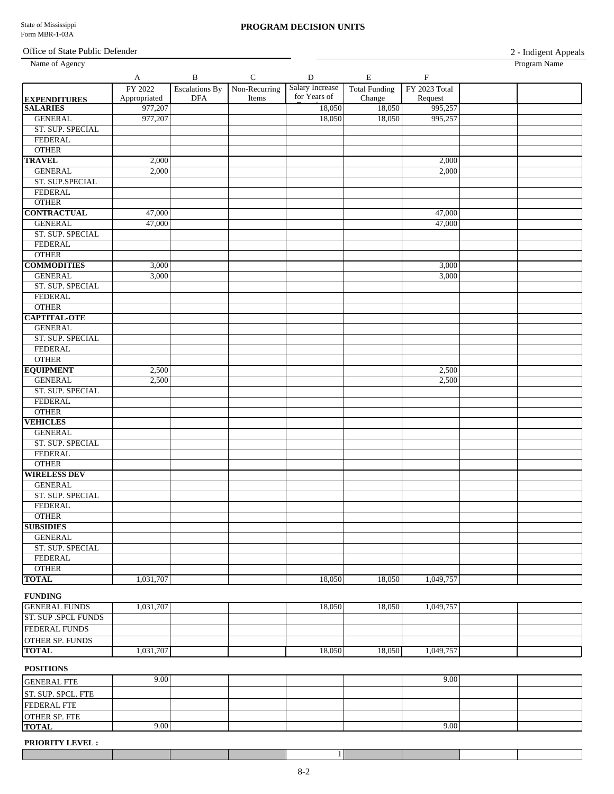#### Office of State Public Defender

| Name of Agency                       |              |                       |               |                        |                      |               | Program Name |
|--------------------------------------|--------------|-----------------------|---------------|------------------------|----------------------|---------------|--------------|
|                                      | A            | $\mathbf{B}$          | $\mathbf C$   | ${\bf D}$              | E                    | $\, {\bf F}$  |              |
|                                      | FY 2022      | <b>Escalations By</b> | Non-Recurring | <b>Salary Increase</b> | <b>Total Funding</b> | FY 2023 Total |              |
| <b>EXPENDITURES</b>                  | Appropriated | <b>DFA</b>            | Items         | for Years of           | Change               | Request       |              |
| <b>SALARIES</b>                      | 977,207      |                       |               | 18,050                 | 18,050               | 995,257       |              |
| <b>GENERAL</b>                       | 977,207      |                       |               | 18,050                 | 18,050               | 995,257       |              |
| ST. SUP. SPECIAL                     |              |                       |               |                        |                      |               |              |
| <b>FEDERAL</b>                       |              |                       |               |                        |                      |               |              |
| <b>OTHER</b>                         |              |                       |               |                        |                      |               |              |
| <b>TRAVEL</b>                        | 2,000        |                       |               |                        |                      | 2,000         |              |
| <b>GENERAL</b>                       | 2,000        |                       |               |                        |                      | 2,000         |              |
| ST. SUP.SPECIAL                      |              |                       |               |                        |                      |               |              |
| <b>FEDERAL</b><br><b>OTHER</b>       |              |                       |               |                        |                      |               |              |
|                                      |              |                       |               |                        |                      |               |              |
| <b>CONTRACTUAL</b><br><b>GENERAL</b> | 47,000       |                       |               |                        |                      | 47,000        |              |
| ST. SUP. SPECIAL                     | 47,000       |                       |               |                        |                      | 47,000        |              |
| <b>FEDERAL</b>                       |              |                       |               |                        |                      |               |              |
| <b>OTHER</b>                         |              |                       |               |                        |                      |               |              |
| <b>COMMODITIES</b>                   | 3,000        |                       |               |                        |                      | 3,000         |              |
| <b>GENERAL</b>                       | 3,000        |                       |               |                        |                      | 3,000         |              |
| ST. SUP. SPECIAL                     |              |                       |               |                        |                      |               |              |
| <b>FEDERAL</b>                       |              |                       |               |                        |                      |               |              |
| <b>OTHER</b>                         |              |                       |               |                        |                      |               |              |
| <b>CAPTITAL-OTE</b>                  |              |                       |               |                        |                      |               |              |
| <b>GENERAL</b>                       |              |                       |               |                        |                      |               |              |
| ST. SUP. SPECIAL                     |              |                       |               |                        |                      |               |              |
| <b>FEDERAL</b>                       |              |                       |               |                        |                      |               |              |
| <b>OTHER</b>                         |              |                       |               |                        |                      |               |              |
| <b>EQUIPMENT</b>                     | 2,500        |                       |               |                        |                      | 2,500         |              |
| <b>GENERAL</b>                       | 2,500        |                       |               |                        |                      | 2,500         |              |
| ST. SUP. SPECIAL                     |              |                       |               |                        |                      |               |              |
| <b>FEDERAL</b>                       |              |                       |               |                        |                      |               |              |
| <b>OTHER</b>                         |              |                       |               |                        |                      |               |              |
| <b>VEHICLES</b>                      |              |                       |               |                        |                      |               |              |
| <b>GENERAL</b>                       |              |                       |               |                        |                      |               |              |
| ST. SUP. SPECIAL                     |              |                       |               |                        |                      |               |              |
| <b>FEDERAL</b>                       |              |                       |               |                        |                      |               |              |
| <b>OTHER</b>                         |              |                       |               |                        |                      |               |              |
| <b>WIRELESS DEV</b>                  |              |                       |               |                        |                      |               |              |
| <b>GENERAL</b>                       |              |                       |               |                        |                      |               |              |
| <b>ST. SUP. SPECIAL</b>              |              |                       |               |                        |                      |               |              |
| <b>FEDERAL</b>                       |              |                       |               |                        |                      |               |              |
| <b>OTHER</b>                         |              |                       |               |                        |                      |               |              |
| <b>SUBSIDIES</b>                     |              |                       |               |                        |                      |               |              |
| <b>GENERAL</b>                       |              |                       |               |                        |                      |               |              |
| ST. SUP. SPECIAL                     |              |                       |               |                        |                      |               |              |
| <b>FEDERAL</b>                       |              |                       |               |                        |                      |               |              |
| <b>OTHER</b>                         |              |                       |               |                        |                      |               |              |
| <b>TOTAL</b>                         | 1,031,707    |                       |               | 18,050                 | 18,050               | 1,049,757     |              |
| <b>FUNDING</b>                       |              |                       |               |                        |                      |               |              |
| <b>GENERAL FUNDS</b>                 | 1,031,707    |                       |               | 18,050                 | 18,050               | 1,049,757     |              |
| <b>ST. SUP .SPCL FUNDS</b>           |              |                       |               |                        |                      |               |              |
| <b>FEDERAL FUNDS</b>                 |              |                       |               |                        |                      |               |              |
| <b>OTHER SP. FUNDS</b>               |              |                       |               |                        |                      |               |              |
| <b>TOTAL</b>                         | 1,031,707    |                       |               | 18,050                 | 18,050               | 1,049,757     |              |
| <b>POSITIONS</b>                     |              |                       |               |                        |                      |               |              |
|                                      | 9.00         |                       |               |                        |                      | 9.00          |              |
| <b>GENERAL FTE</b>                   |              |                       |               |                        |                      |               |              |
| <b>ST. SUP. SPCL. FTE</b>            |              |                       |               |                        |                      |               |              |
| <b>FEDERAL FTE</b>                   |              |                       |               |                        |                      |               |              |
| <b>OTHER SP. FTE</b>                 |              |                       |               |                        |                      |               |              |
| <b>TOTAL</b>                         | 9.00         |                       |               |                        |                      | 9.00          |              |

#### **PRIORITY LEVEL :**

 $\Box$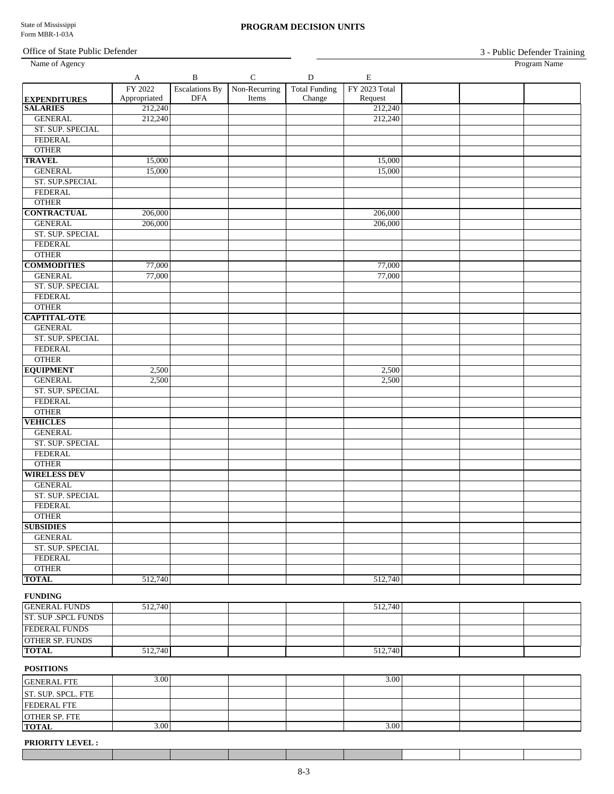Office of State Public Defender

| Name of Agency             |              |                       |               |                      |               |  | Program Name |
|----------------------------|--------------|-----------------------|---------------|----------------------|---------------|--|--------------|
|                            | $\mathbf{A}$ | $\, {\bf B}$          | ${\bf C}$     | $\mathbf D$          | $\mathbf E$   |  |              |
|                            | FY 2022      | <b>Escalations By</b> | Non-Recurring | <b>Total Funding</b> | FY 2023 Total |  |              |
| <b>EXPENDITURES</b>        | Appropriated | <b>DFA</b>            | Items         | Change               | Request       |  |              |
| <b>SALARIES</b>            | 212,240      |                       |               |                      | 212,240       |  |              |
| <b>GENERAL</b>             | 212,240      |                       |               |                      | 212,240       |  |              |
| ST. SUP. SPECIAL           |              |                       |               |                      |               |  |              |
| <b>FEDERAL</b>             |              |                       |               |                      |               |  |              |
| <b>OTHER</b>               |              |                       |               |                      |               |  |              |
| <b>TRAVEL</b>              | 15,000       |                       |               |                      | 15,000        |  |              |
| <b>GENERAL</b>             | 15,000       |                       |               |                      | 15,000        |  |              |
| ST. SUP.SPECIAL            |              |                       |               |                      |               |  |              |
| <b>FEDERAL</b>             |              |                       |               |                      |               |  |              |
| <b>OTHER</b>               |              |                       |               |                      |               |  |              |
| <b>CONTRACTUAL</b>         | 206,000      |                       |               |                      | 206,000       |  |              |
| <b>GENERAL</b>             | 206,000      |                       |               |                      | 206,000       |  |              |
| ST. SUP. SPECIAL           |              |                       |               |                      |               |  |              |
| <b>FEDERAL</b>             |              |                       |               |                      |               |  |              |
| <b>OTHER</b>               |              |                       |               |                      |               |  |              |
| <b>COMMODITIES</b>         | 77,000       |                       |               |                      | 77,000        |  |              |
| <b>GENERAL</b>             | 77,000       |                       |               |                      | 77,000        |  |              |
| ST. SUP. SPECIAL           |              |                       |               |                      |               |  |              |
| <b>FEDERAL</b>             |              |                       |               |                      |               |  |              |
| <b>OTHER</b>               |              |                       |               |                      |               |  |              |
| <b>CAPTITAL-OTE</b>        |              |                       |               |                      |               |  |              |
| <b>GENERAL</b>             |              |                       |               |                      |               |  |              |
| ST. SUP. SPECIAL           |              |                       |               |                      |               |  |              |
| <b>FEDERAL</b>             |              |                       |               |                      |               |  |              |
| <b>OTHER</b>               |              |                       |               |                      |               |  |              |
| <b>EQUIPMENT</b>           | 2,500        |                       |               |                      | 2,500         |  |              |
| <b>GENERAL</b>             | 2,500        |                       |               |                      | 2,500         |  |              |
| ST. SUP. SPECIAL           |              |                       |               |                      |               |  |              |
| <b>FEDERAL</b>             |              |                       |               |                      |               |  |              |
| <b>OTHER</b>               |              |                       |               |                      |               |  |              |
| <b>VEHICLES</b>            |              |                       |               |                      |               |  |              |
| <b>GENERAL</b>             |              |                       |               |                      |               |  |              |
| ST. SUP. SPECIAL           |              |                       |               |                      |               |  |              |
| <b>FEDERAL</b>             |              |                       |               |                      |               |  |              |
| <b>OTHER</b>               |              |                       |               |                      |               |  |              |
| <b>WIRELESS DEV</b>        |              |                       |               |                      |               |  |              |
| <b>GENERAL</b>             |              |                       |               |                      |               |  |              |
| ST. SUP. SPECIAL           |              |                       |               |                      |               |  |              |
| <b>FEDERAL</b>             |              |                       |               |                      |               |  |              |
| <b>OTHER</b>               |              |                       |               |                      |               |  |              |
| <b>SUBSIDIES</b>           |              |                       |               |                      |               |  |              |
| <b>GENERAL</b>             |              |                       |               |                      |               |  |              |
| ST. SUP. SPECIAL           |              |                       |               |                      |               |  |              |
| <b>FEDERAL</b>             |              |                       |               |                      |               |  |              |
| <b>OTHER</b>               |              |                       |               |                      |               |  |              |
| <b>TOTAL</b>               | 512,740      |                       |               |                      | 512,740       |  |              |
|                            |              |                       |               |                      |               |  |              |
| <b>FUNDING</b>             |              |                       |               |                      |               |  |              |
| <b>GENERAL FUNDS</b>       | 512,740      |                       |               |                      | 512,740       |  |              |
| <b>ST. SUP .SPCL FUNDS</b> |              |                       |               |                      |               |  |              |
| <b>FEDERAL FUNDS</b>       |              |                       |               |                      |               |  |              |
| <b>OTHER SP. FUNDS</b>     |              |                       |               |                      |               |  |              |
| <b>TOTAL</b>               | 512,740      |                       |               |                      | 512,740       |  |              |
| <b>POSITIONS</b>           |              |                       |               |                      |               |  |              |
| <b>GENERAL FTE</b>         | 3.00         |                       |               |                      | 3.00          |  |              |
|                            |              |                       |               |                      |               |  |              |
| ST. SUP. SPCL. FTE         |              |                       |               |                      |               |  |              |
| <b>FEDERAL FTE</b>         |              |                       |               |                      |               |  |              |
| <b>OTHER SP. FTE</b>       |              |                       |               |                      |               |  |              |
| <b>TOTAL</b>               | 3.00         |                       |               |                      | 3.00          |  |              |
|                            |              |                       |               |                      |               |  |              |

# **PRIORITY LEVEL :**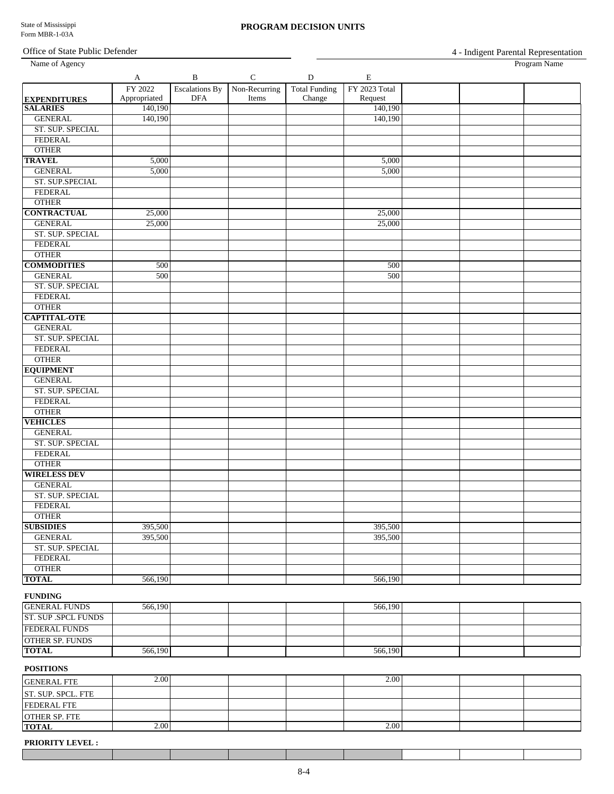#### Office of State Public Defender

4 - Indigent Parental Representation

| Name of Agency                      |              |                       |               |                      |                    |  | Program Name |
|-------------------------------------|--------------|-----------------------|---------------|----------------------|--------------------|--|--------------|
|                                     | A            | $\, {\bf B}$          | ${\bf C}$     | $\mathbf D$          | $\bf E$            |  |              |
|                                     | FY 2022      | <b>Escalations By</b> | Non-Recurring | <b>Total Funding</b> | FY 2023 Total      |  |              |
| <b>EXPENDITURES</b>                 | Appropriated | <b>DFA</b>            | Items         | Change               | Request            |  |              |
| <b>SALARIES</b>                     | 140,190      |                       |               |                      | 140,190            |  |              |
| <b>GENERAL</b>                      | 140,190      |                       |               |                      | 140,190            |  |              |
| ST. SUP. SPECIAL                    |              |                       |               |                      |                    |  |              |
| <b>FEDERAL</b>                      |              |                       |               |                      |                    |  |              |
| <b>OTHER</b>                        |              |                       |               |                      |                    |  |              |
| <b>TRAVEL</b>                       | 5,000        |                       |               |                      | 5,000              |  |              |
| <b>GENERAL</b>                      | 5,000        |                       |               |                      | 5,000              |  |              |
| ST. SUP.SPECIAL                     |              |                       |               |                      |                    |  |              |
| <b>FEDERAL</b>                      |              |                       |               |                      |                    |  |              |
| <b>OTHER</b>                        |              |                       |               |                      |                    |  |              |
| <b>CONTRACTUAL</b>                  | 25,000       |                       |               |                      | 25,000             |  |              |
| <b>GENERAL</b>                      | 25,000       |                       |               |                      | 25,000             |  |              |
| ST. SUP. SPECIAL                    |              |                       |               |                      |                    |  |              |
| <b>FEDERAL</b>                      |              |                       |               |                      |                    |  |              |
| <b>OTHER</b>                        |              |                       |               |                      |                    |  |              |
| <b>COMMODITIES</b>                  | 500          |                       |               |                      | 500                |  |              |
| <b>GENERAL</b>                      | 500          |                       |               |                      | 500                |  |              |
| ST. SUP. SPECIAL                    |              |                       |               |                      |                    |  |              |
| <b>FEDERAL</b>                      |              |                       |               |                      |                    |  |              |
| <b>OTHER</b>                        |              |                       |               |                      |                    |  |              |
| <b>CAPTITAL-OTE</b>                 |              |                       |               |                      |                    |  |              |
| <b>GENERAL</b>                      |              |                       |               |                      |                    |  |              |
| ST. SUP. SPECIAL                    |              |                       |               |                      |                    |  |              |
| <b>FEDERAL</b>                      |              |                       |               |                      |                    |  |              |
| <b>OTHER</b>                        |              |                       |               |                      |                    |  |              |
| <b>EQUIPMENT</b>                    |              |                       |               |                      |                    |  |              |
| <b>GENERAL</b>                      |              |                       |               |                      |                    |  |              |
| ST. SUP. SPECIAL                    |              |                       |               |                      |                    |  |              |
| <b>FEDERAL</b>                      |              |                       |               |                      |                    |  |              |
| <b>OTHER</b>                        |              |                       |               |                      |                    |  |              |
| <b>VEHICLES</b>                     |              |                       |               |                      |                    |  |              |
| <b>GENERAL</b>                      |              |                       |               |                      |                    |  |              |
| ST. SUP. SPECIAL                    |              |                       |               |                      |                    |  |              |
| <b>FEDERAL</b>                      |              |                       |               |                      |                    |  |              |
| <b>OTHER</b><br><b>WIRELESS DEV</b> |              |                       |               |                      |                    |  |              |
| <b>GENERAL</b>                      |              |                       |               |                      |                    |  |              |
| <b>ST. SUP. SPECIAL</b>             |              |                       |               |                      |                    |  |              |
| <b>FEDERAL</b>                      |              |                       |               |                      |                    |  |              |
| <b>OTHER</b>                        |              |                       |               |                      |                    |  |              |
| <b>SUBSIDIES</b>                    | 395,500      |                       |               |                      |                    |  |              |
| <b>GENERAL</b>                      | 395,500      |                       |               |                      | 395,500<br>395,500 |  |              |
| ST. SUP. SPECIAL                    |              |                       |               |                      |                    |  |              |
| <b>FEDERAL</b>                      |              |                       |               |                      |                    |  |              |
| <b>OTHER</b>                        |              |                       |               |                      |                    |  |              |
| <b>TOTAL</b>                        | 566,190      |                       |               |                      | 566,190            |  |              |
|                                     |              |                       |               |                      |                    |  |              |
| <b>FUNDING</b>                      |              |                       |               |                      |                    |  |              |
| <b>GENERAL FUNDS</b>                | 566,190      |                       |               |                      | 566,190            |  |              |
| <b>ST. SUP .SPCL FUNDS</b>          |              |                       |               |                      |                    |  |              |
| <b>FEDERAL FUNDS</b>                |              |                       |               |                      |                    |  |              |
| <b>OTHER SP. FUNDS</b>              |              |                       |               |                      |                    |  |              |
| <b>TOTAL</b>                        | 566,190      |                       |               |                      | 566,190            |  |              |
|                                     |              |                       |               |                      |                    |  |              |
| <b>POSITIONS</b>                    |              |                       |               |                      |                    |  |              |
| <b>GENERAL FTE</b>                  | 2.00         |                       |               |                      | 2.00               |  |              |
| ST. SUP. SPCL. FTE                  |              |                       |               |                      |                    |  |              |
| <b>FEDERAL FTE</b>                  |              |                       |               |                      |                    |  |              |
| <b>OTHER SP. FTE</b>                |              |                       |               |                      |                    |  |              |
| <b>TOTAL</b>                        | 2.00         |                       |               |                      | 2.00               |  |              |
|                                     |              |                       |               |                      |                    |  |              |
| <b>PRIORITY LEVEL:</b>              |              |                       |               |                      |                    |  |              |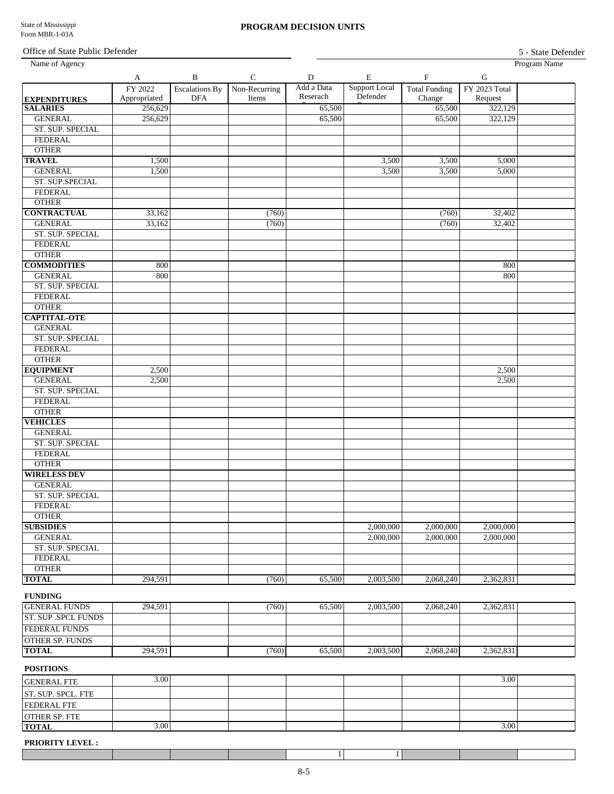Office of State Public Defender

| Name of Agency                     |                         |                                     |                        |                        |                                  |                                |                          | Program Name |
|------------------------------------|-------------------------|-------------------------------------|------------------------|------------------------|----------------------------------|--------------------------------|--------------------------|--------------|
|                                    | A                       | $\, {\bf B}$                        | ${\bf C}$              | D                      | $\,$ E                           | $\rm F$                        | ${\bf G}$                |              |
| <b>EXPENDITURES</b>                | FY 2022<br>Appropriated | <b>Escalations By</b><br><b>DFA</b> | Non-Recurring<br>Items | Add a Data<br>Reserach | <b>Support Local</b><br>Defender | <b>Total Funding</b><br>Change | FY 2023 Total<br>Request |              |
| <b>SALARIES</b>                    | 256,629                 |                                     |                        | 65,500                 |                                  | 65,500                         | 322,129                  |              |
| <b>GENERAL</b>                     | 256,629                 |                                     |                        | 65,500                 |                                  | 65,500                         | 322,129                  |              |
| ST. SUP. SPECIAL                   |                         |                                     |                        |                        |                                  |                                |                          |              |
| <b>FEDERAL</b>                     |                         |                                     |                        |                        |                                  |                                |                          |              |
| <b>OTHER</b>                       |                         |                                     |                        |                        |                                  |                                |                          |              |
| <b>TRAVEL</b>                      | 1,500                   |                                     |                        |                        | 3,500                            | 3,500                          | 5,000                    |              |
| <b>GENERAL</b>                     | 1,500                   |                                     |                        |                        | 3,500                            | 3,500                          | 5,000                    |              |
| ST. SUP.SPECIAL                    |                         |                                     |                        |                        |                                  |                                |                          |              |
| <b>FEDERAL</b>                     |                         |                                     |                        |                        |                                  |                                |                          |              |
| <b>OTHER</b>                       |                         |                                     |                        |                        |                                  |                                |                          |              |
| <b>CONTRACTUAL</b>                 | 33,162                  |                                     | (760)                  |                        |                                  | (760)                          | 32,402                   |              |
| <b>GENERAL</b>                     |                         |                                     |                        |                        |                                  | (760)                          |                          |              |
|                                    | 33,162                  |                                     | (760)                  |                        |                                  |                                | 32,402                   |              |
| ST. SUP. SPECIAL<br><b>FEDERAL</b> |                         |                                     |                        |                        |                                  |                                |                          |              |
|                                    |                         |                                     |                        |                        |                                  |                                |                          |              |
| <b>OTHER</b>                       |                         |                                     |                        |                        |                                  |                                |                          |              |
| <b>COMMODITIES</b>                 | 800                     |                                     |                        |                        |                                  |                                | 800                      |              |
| <b>GENERAL</b>                     | 800                     |                                     |                        |                        |                                  |                                | 800                      |              |
| <b>ST. SUP. SPECIAL</b>            |                         |                                     |                        |                        |                                  |                                |                          |              |
| <b>FEDERAL</b>                     |                         |                                     |                        |                        |                                  |                                |                          |              |
| <b>OTHER</b>                       |                         |                                     |                        |                        |                                  |                                |                          |              |
| <b>CAPTITAL-OTE</b>                |                         |                                     |                        |                        |                                  |                                |                          |              |
| <b>GENERAL</b>                     |                         |                                     |                        |                        |                                  |                                |                          |              |
| ST. SUP. SPECIAL                   |                         |                                     |                        |                        |                                  |                                |                          |              |
| <b>FEDERAL</b>                     |                         |                                     |                        |                        |                                  |                                |                          |              |
| <b>OTHER</b>                       |                         |                                     |                        |                        |                                  |                                |                          |              |
| <b>EQUIPMENT</b>                   | 2,500                   |                                     |                        |                        |                                  |                                | 2,500                    |              |
| <b>GENERAL</b>                     | 2,500                   |                                     |                        |                        |                                  |                                | 2,500                    |              |
| ST. SUP. SPECIAL                   |                         |                                     |                        |                        |                                  |                                |                          |              |
| <b>FEDERAL</b>                     |                         |                                     |                        |                        |                                  |                                |                          |              |
| <b>OTHER</b>                       |                         |                                     |                        |                        |                                  |                                |                          |              |
| <b>VEHICLES</b>                    |                         |                                     |                        |                        |                                  |                                |                          |              |
| <b>GENERAL</b>                     |                         |                                     |                        |                        |                                  |                                |                          |              |
| ST. SUP. SPECIAL                   |                         |                                     |                        |                        |                                  |                                |                          |              |
| <b>FEDERAL</b>                     |                         |                                     |                        |                        |                                  |                                |                          |              |
| <b>OTHER</b>                       |                         |                                     |                        |                        |                                  |                                |                          |              |
| <b>WIRELESS DEV</b>                |                         |                                     |                        |                        |                                  |                                |                          |              |
| <b>GENERAL</b>                     |                         |                                     |                        |                        |                                  |                                |                          |              |
| ST. SUP. SPECIAL                   |                         |                                     |                        |                        |                                  |                                |                          |              |
| <b>FEDERAL</b>                     |                         |                                     |                        |                        |                                  |                                |                          |              |
| <b>OTHER</b>                       |                         |                                     |                        |                        |                                  |                                |                          |              |
| <b>SUBSIDIES</b>                   |                         |                                     |                        |                        | 2,000,000                        | 2,000,000                      | 2,000,000                |              |
| <b>GENERAL</b>                     |                         |                                     |                        |                        | 2,000,000                        | 2,000,000                      | 2,000,000                |              |
| ST. SUP. SPECIAL                   |                         |                                     |                        |                        |                                  |                                |                          |              |
| <b>FEDERAL</b>                     |                         |                                     |                        |                        |                                  |                                |                          |              |
| <b>OTHER</b>                       |                         |                                     |                        |                        |                                  |                                |                          |              |
| <b>TOTAL</b>                       | 294,591                 |                                     | (760)                  | 65,500                 | 2,003,500                        | 2,068,240                      | 2,362,831                |              |
|                                    |                         |                                     |                        |                        |                                  |                                |                          |              |
| <b>FUNDING</b>                     |                         |                                     |                        |                        |                                  |                                |                          |              |
| <b>GENERAL FUNDS</b>               | 294,591                 |                                     | (760)                  | 65,500                 | 2,003,500                        | 2,068,240                      | 2,362,831                |              |
| <b>ST. SUP .SPCL FUNDS</b>         |                         |                                     |                        |                        |                                  |                                |                          |              |
| <b>FEDERAL FUNDS</b>               |                         |                                     |                        |                        |                                  |                                |                          |              |
| <b>OTHER SP. FUNDS</b>             |                         |                                     |                        |                        |                                  |                                |                          |              |
| <b>TOTAL</b>                       | 294,591                 |                                     | (760)                  | 65,500                 | 2,003,500                        | 2,068,240                      | 2,362,831                |              |
| <b>POSITIONS</b>                   |                         |                                     |                        |                        |                                  |                                |                          |              |
| <b>GENERAL FTE</b>                 | 3.00                    |                                     |                        |                        |                                  |                                | 3.00                     |              |
|                                    |                         |                                     |                        |                        |                                  |                                |                          |              |
| ST. SUP. SPCL. FTE                 |                         |                                     |                        |                        |                                  |                                |                          |              |
| <b>FEDERAL FTE</b>                 |                         |                                     |                        |                        |                                  |                                |                          |              |
| <b>OTHER SP. FTE</b>               |                         |                                     |                        |                        |                                  |                                |                          |              |
| <b>TOTAL</b>                       | 3.00                    |                                     |                        |                        |                                  |                                | 3.00                     |              |
|                                    |                         |                                     |                        |                        |                                  |                                |                          |              |

#### **PRIORITY LEVEL :**

 $\Box$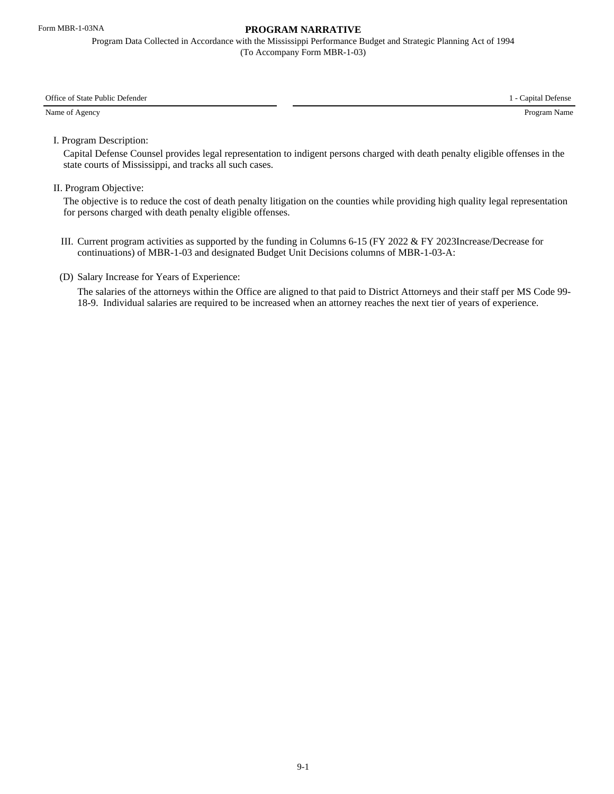(To Accompany Form MBR-1-03) Program Data Collected in Accordance with the Mississippi Performance Budget and Strategic Planning Act of 1994

| Office of State Public Defender | Capital Defense |
|---------------------------------|-----------------|
| Name of Agency                  | Program Name    |

I. Program Description:

Capital Defense Counsel provides legal representation to indigent persons charged with death penalty eligible offenses in the state courts of Mississippi, and tracks all such cases.

II. Program Objective:

The objective is to reduce the cost of death penalty litigation on the counties while providing high quality legal representation for persons charged with death penalty eligible offenses.

- III. Current program activities as supported by the funding in Columns 6-15 (FY 2022 & FY 2023Increase/Decrease for continuations) of MBR-1-03 and designated Budget Unit Decisions columns of MBR-1-03-A:
- (D) Salary Increase for Years of Experience:

The salaries of the attorneys within the Office are aligned to that paid to District Attorneys and their staff per MS Code 99- 18-9. Individual salaries are required to be increased when an attorney reaches the next tier of years of experience.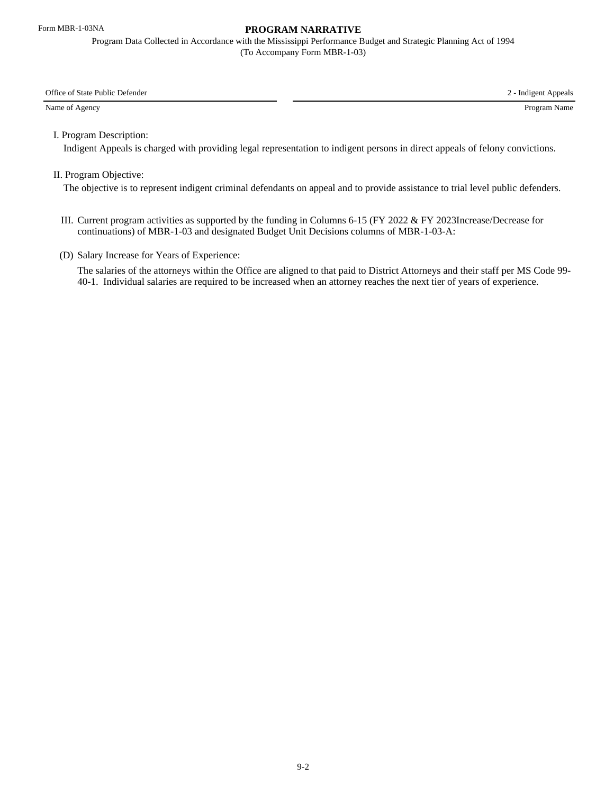(To Accompany Form MBR-1-03) Program Data Collected in Accordance with the Mississippi Performance Budget and Strategic Planning Act of 1994

Office of State Public Defender 2 - Indigent Appeals

Name of Agency Program Name

I. Program Description:

Indigent Appeals is charged with providing legal representation to indigent persons in direct appeals of felony convictions.

II. Program Objective:

The objective is to represent indigent criminal defendants on appeal and to provide assistance to trial level public defenders.

- III. Current program activities as supported by the funding in Columns 6-15 (FY 2022 & FY 2023Increase/Decrease for continuations) of MBR-1-03 and designated Budget Unit Decisions columns of MBR-1-03-A:
- (D) Salary Increase for Years of Experience:

The salaries of the attorneys within the Office are aligned to that paid to District Attorneys and their staff per MS Code 99- 40-1. Individual salaries are required to be increased when an attorney reaches the next tier of years of experience.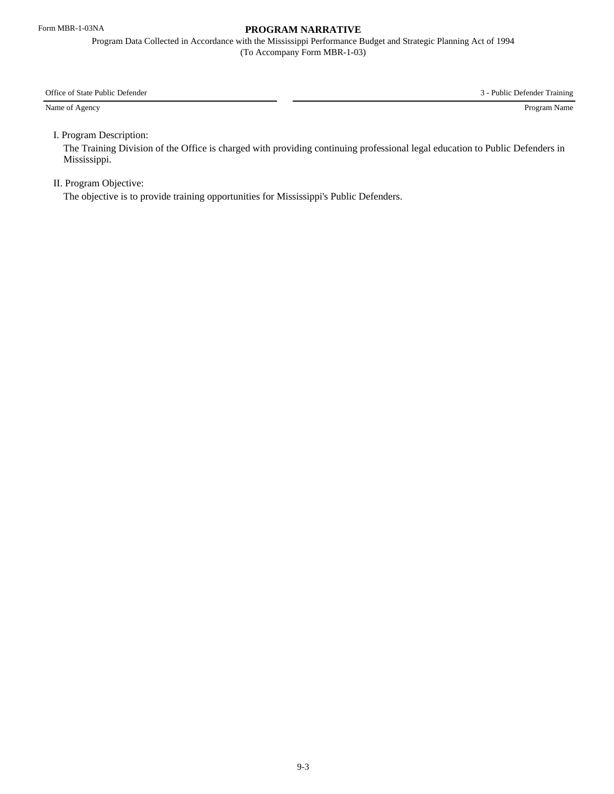(To Accompany Form MBR-1-03) Program Data Collected in Accordance with the Mississippi Performance Budget and Strategic Planning Act of 1994

Office of State Public Defender 3 - Public Defender Training

Name of Agency Program Name

I. Program Description:

The Training Division of the Office is charged with providing continuing professional legal education to Public Defenders in Mississippi.

#### II. Program Objective:

The objective is to provide training opportunities for Mississippi's Public Defenders.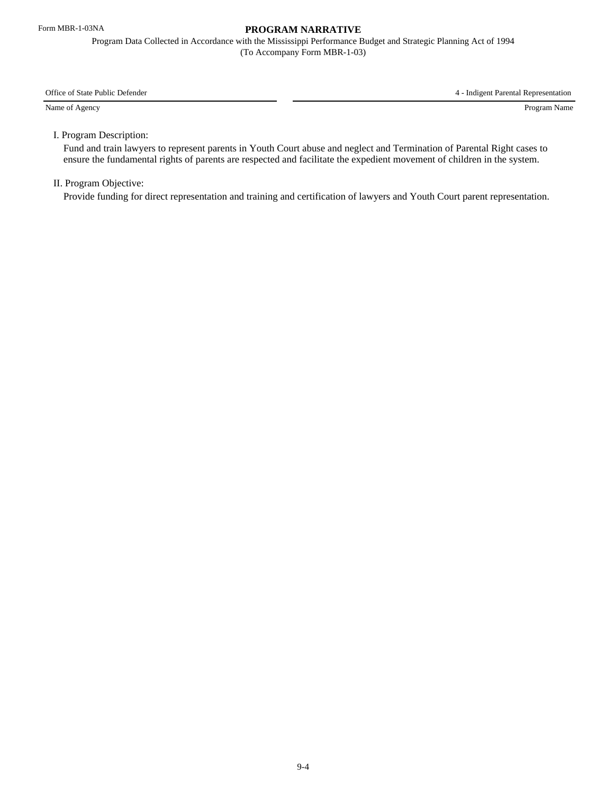(To Accompany Form MBR-1-03) Program Data Collected in Accordance with the Mississippi Performance Budget and Strategic Planning Act of 1994

Office of State Public Defender 4 - Indigent Parental Representation 4 - Indigent Parental Representation

Name of Agency Program Name (Program Name of Agency Program Name of Agency Program Name

#### I. Program Description:

Fund and train lawyers to represent parents in Youth Court abuse and neglect and Termination of Parental Right cases to ensure the fundamental rights of parents are respected and facilitate the expedient movement of children in the system.

II. Program Objective:

Provide funding for direct representation and training and certification of lawyers and Youth Court parent representation.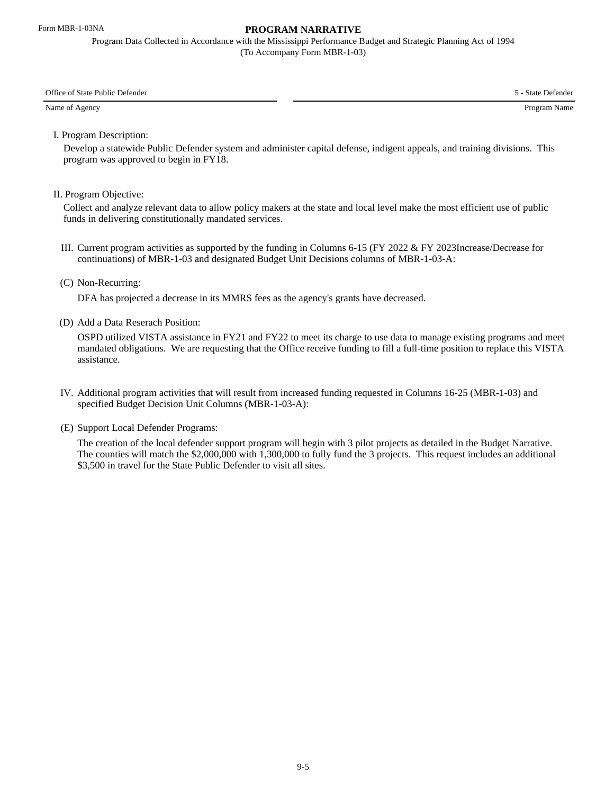(To Accompany Form MBR-1-03) Program Data Collected in Accordance with the Mississippi Performance Budget and Strategic Planning Act of 1994

Office of State Public Defender 5 - State Defender

Name of Agency Program Name

I. Program Description:

Develop a statewide Public Defender system and administer capital defense, indigent appeals, and training divisions. This program was approved to begin in FY18.

II. Program Objective:

Collect and analyze relevant data to allow policy makers at the state and local level make the most efficient use of public funds in delivering constitutionally mandated services.

- III. Current program activities as supported by the funding in Columns 6-15 (FY 2022 & FY 2023Increase/Decrease for continuations) of MBR-1-03 and designated Budget Unit Decisions columns of MBR-1-03-A:
- (C) Non-Recurring:

DFA has projected a decrease in its MMRS fees as the agency's grants have decreased.

(D) Add a Data Reserach Position:

OSPD utilized VISTA assistance in FY21 and FY22 to meet its charge to use data to manage existing programs and meet mandated obligations. We are requesting that the Office receive funding to fill a full-time position to replace this VISTA assistance.

- IV. Additional program activities that will result from increased funding requested in Columns 16-25 (MBR-1-03) and specified Budget Decision Unit Columns (MBR-1-03-A):
- (E) Support Local Defender Programs:

The creation of the local defender support program will begin with 3 pilot projects as detailed in the Budget Narrative. The counties will match the \$2,000,000 with 1,300,000 to fully fund the 3 projects. This request includes an additional \$3,500 in travel for the State Public Defender to visit all sites.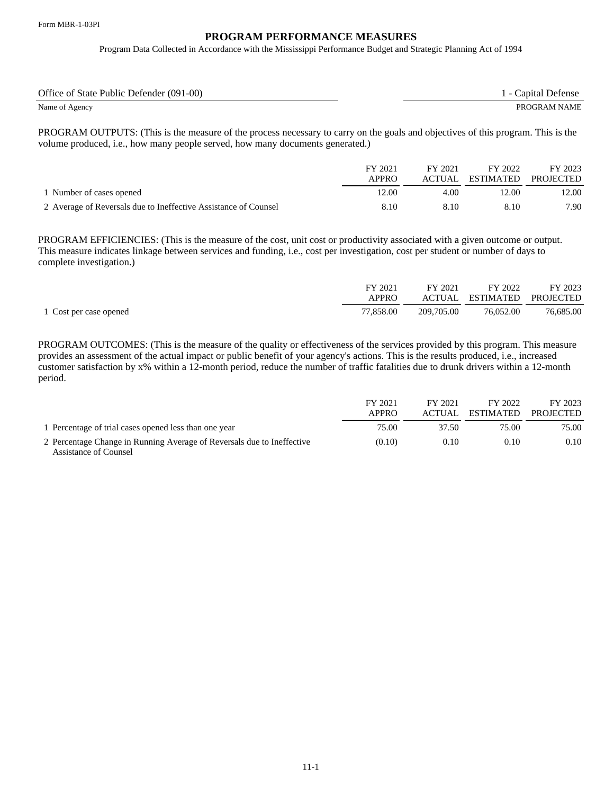Program Data Collected in Accordance with the Mississippi Performance Budget and Strategic Planning Act of 1994

| Office of State Public Defender (091-00) | Capital Defense |
|------------------------------------------|-----------------|
| Name of Agency                           | PROGRAM NAME    |

PROGRAM OUTPUTS: (This is the measure of the process necessary to carry on the goals and objectives of this program. This is the volume produced, i.e., how many people served, how many documents generated.)

|                                                                 | FY 2021<br>APPRO | FY 2021 | FY 2022<br>ACTUAL ESTIMATED | FY 2023<br>PROJECTED |
|-----------------------------------------------------------------|------------------|---------|-----------------------------|----------------------|
| 1 Number of cases opened                                        | 12.00            | 4.00    | 12.00                       | 12.00                |
| 2 Average of Reversals due to Ineffective Assistance of Counsel | 8.10             | 8.10    | 8.10                        | 7.90                 |

PROGRAM EFFICIENCIES: (This is the measure of the cost, unit cost or productivity associated with a given outcome or output. This measure indicates linkage between services and funding, i.e., cost per investigation, cost per student or number of days to complete investigation.)

|                        | FY 2021   | FY 2021    | FY 2022                    | FY 2023   |
|------------------------|-----------|------------|----------------------------|-----------|
|                        | APPRO     |            | ACTUAL ESTIMATED PROJECTED |           |
| 1 Cost per case opened | 77.858.00 | 209,705.00 | 76.052.00                  | 76.685.00 |

|                                                                                                        | FY 2021<br>APPRO | FY 2021<br>ACTUAL | FY 2022<br>ESTIMATED | FY 2023<br>PROJECTED |
|--------------------------------------------------------------------------------------------------------|------------------|-------------------|----------------------|----------------------|
| 1 Percentage of trial cases opened less than one year                                                  | 75.00            | 37.50             | 75.00                | 75.00                |
| 2 Percentage Change in Running Average of Reversals due to Ineffective<br><b>Assistance of Counsel</b> | (0.10)           | 0.10              | 0.10                 | 0.10                 |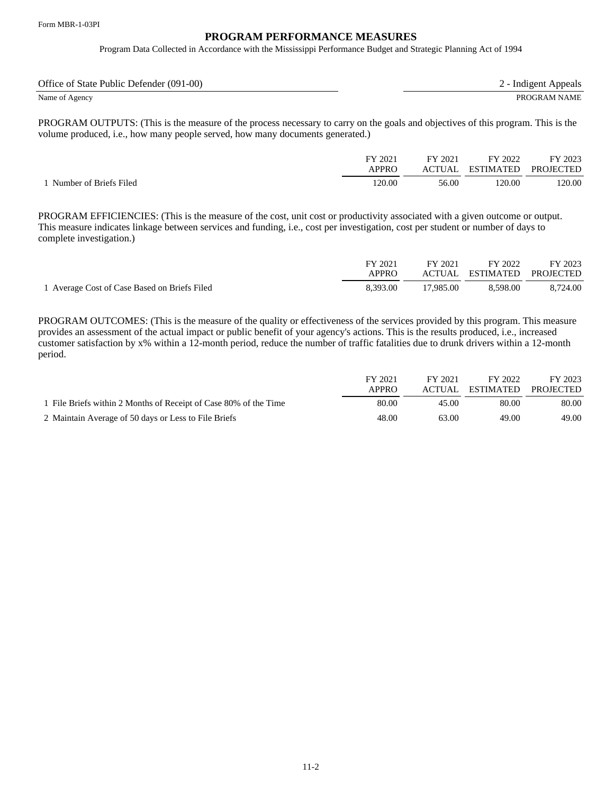Program Data Collected in Accordance with the Mississippi Performance Budget and Strategic Planning Act of 1994

| Office of State Public Defender (091-00) | - Indigent Appeals |
|------------------------------------------|--------------------|
| Name of Agency                           | PROGRAM NAME       |

PROGRAM OUTPUTS: (This is the measure of the process necessary to carry on the goals and objectives of this program. This is the volume produced, i.e., how many people served, how many documents generated.)

|                        | FY 2021<br>APPRO | FY 2021 | FY 2022<br>ACTUAL ESTIMATED | FY 2023<br>PROJECTED |
|------------------------|------------------|---------|-----------------------------|----------------------|
| Number of Briefs Filed | 120.00           | 56.00   | 120.00                      | 120.00               |

PROGRAM EFFICIENCIES: (This is the measure of the cost, unit cost or productivity associated with a given outcome or output. This measure indicates linkage between services and funding, i.e., cost per investigation, cost per student or number of days to complete investigation.)

|                                              | FY 2021<br>APPRO | FY 2021   | FY 2022<br>ACTUAL ESTIMATED PROJECTED | FY 2023  |
|----------------------------------------------|------------------|-----------|---------------------------------------|----------|
| 1 Average Cost of Case Based on Briefs Filed | 8.393.00         | 17.985.00 | 8.598.00                              | 8.724.00 |

|                                                                  | FY 2021<br>APPRO | FY 2021<br><b>ACTUAL</b> | FY 2022<br>ESTIMATED | FY 2023<br><b>PROJECTED</b> |
|------------------------------------------------------------------|------------------|--------------------------|----------------------|-----------------------------|
| 1 File Briefs within 2 Months of Receipt of Case 80% of the Time | 80.00            | 45.00                    | 80.00                | 80.00                       |
| 2 Maintain Average of 50 days or Less to File Briefs             | 48.00            | 63.00                    | 49.00                | 49.00                       |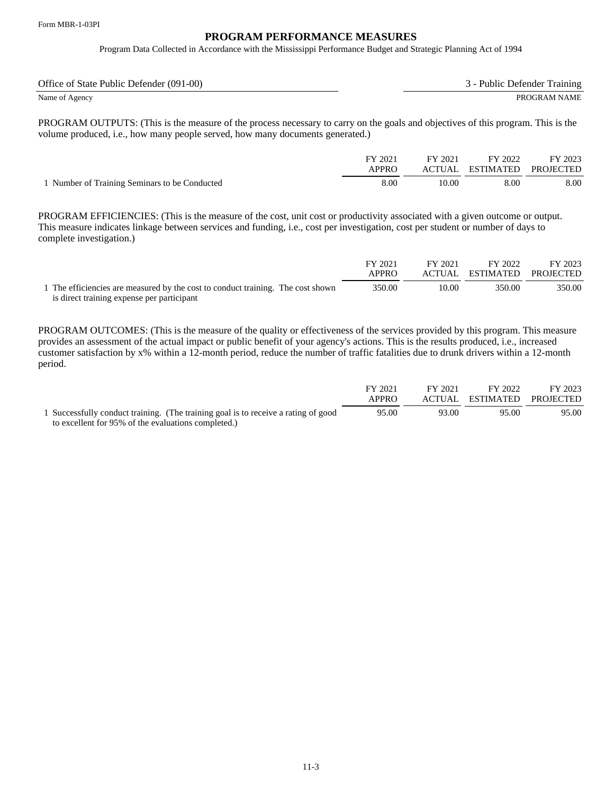Program Data Collected in Accordance with the Mississippi Performance Budget and Strategic Planning Act of 1994

| Office of State Public Defender (091-00) | s - Public Defender Training |
|------------------------------------------|------------------------------|
| Name of Agency                           | PROGRAM NAME                 |

PROGRAM OUTPUTS: (This is the measure of the process necessary to carry on the goals and objectives of this program. This is the volume produced, i.e., how many people served, how many documents generated.)

|                                               | FY 2021<br>APPRO | FY 2021 | FY 2022<br>ACTUAL ESTIMATED PROJECTED | FY 2023 |
|-----------------------------------------------|------------------|---------|---------------------------------------|---------|
|                                               |                  |         |                                       |         |
| 1 Number of Training Seminars to be Conducted | 8.00             | 10.00   | 8.00                                  | 8.00    |

PROGRAM EFFICIENCIES: (This is the measure of the cost, unit cost or productivity associated with a given outcome or output. This measure indicates linkage between services and funding, i.e., cost per investigation, cost per student or number of days to complete investigation.)

|                                                                                                                               | FY 2021<br><b>APPRO</b> | FY 2021 | FY 2022<br>ACTUAL ESTIMATED PROJECTED | FY 2023 |
|-------------------------------------------------------------------------------------------------------------------------------|-------------------------|---------|---------------------------------------|---------|
| 1 The efficiencies are measured by the cost to conduct training. The cost shown<br>is direct training expense per participant | 350.00                  | 10.00   | 350.00                                | 350.00  |

|                                                                                  | FY 2021<br>APPRO | FY 2021 | FY 2022<br>ACTUAL ESTIMATED | FY 2023<br><b>PROJECTED</b> |
|----------------------------------------------------------------------------------|------------------|---------|-----------------------------|-----------------------------|
| Successfully conduct training. (The training goal is to receive a rating of good | 95.00            | 93.00   | 95.00                       | 95.00                       |
| to excellent for 95% of the evaluations completed.)                              |                  |         |                             |                             |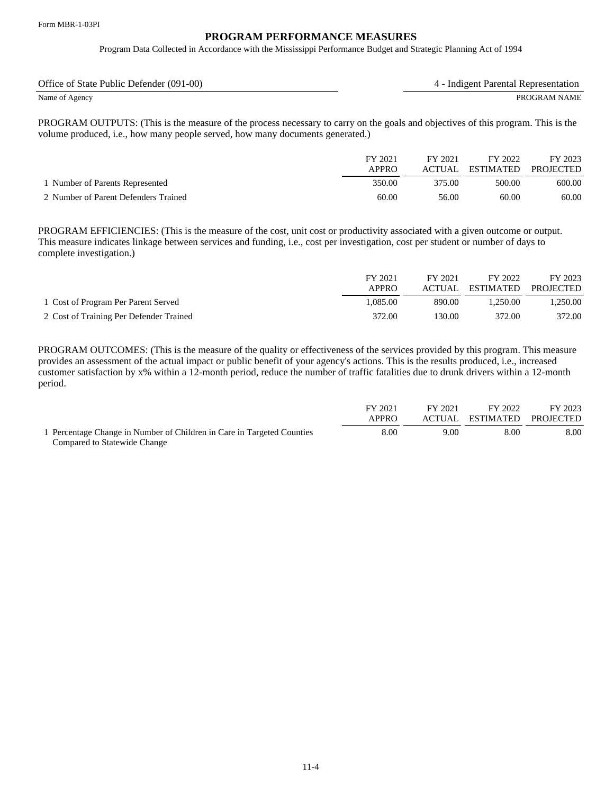Program Data Collected in Accordance with the Mississippi Performance Budget and Strategic Planning Act of 1994

| Office of State Public Defender (091-00) | 4 - Indigent Parental Representation |
|------------------------------------------|--------------------------------------|
| Name of Agency                           | PROGRAM NAME                         |

PROGRAM OUTPUTS: (This is the measure of the process necessary to carry on the goals and objectives of this program. This is the volume produced, i.e., how many people served, how many documents generated.)

|                                      | FY 2021<br>APPRO | FY 2021<br>ACTUAL | FY 2022<br>ESTIMATED | FY 2023<br><b>PROJECTED</b> |
|--------------------------------------|------------------|-------------------|----------------------|-----------------------------|
| 1 Number of Parents Represented      | 350.00           | 375.00            | 500.00               | 600.00                      |
| 2 Number of Parent Defenders Trained | 60.00            | 56.00             | 60.00                | 60.00                       |

PROGRAM EFFICIENCIES: (This is the measure of the cost, unit cost or productivity associated with a given outcome or output. This measure indicates linkage between services and funding, i.e., cost per investigation, cost per student or number of days to complete investigation.)

|                                         | FY 2021<br><b>APPRO</b> | FY 2021 | FY 2022<br>ACTUAL ESTIMATED | FY 2023<br>PROJECTED |
|-----------------------------------------|-------------------------|---------|-----------------------------|----------------------|
| 1 Cost of Program Per Parent Served     | 1.085.00                | 890.00  | 1.250.00                    | 1.250.00             |
| 2 Cost of Training Per Defender Trained | 372.00                  | 130.00  | 372.00                      | 372.00               |

|                                                                        | FY 2021<br>APPRO | FY 2021 | FY 2022<br>ACTUAL ESTIMATED | FY 2023<br>PROJECTED |
|------------------------------------------------------------------------|------------------|---------|-----------------------------|----------------------|
| 1 Percentage Change in Number of Children in Care in Targeted Counties | 8.00             | 9.00    | 8.00                        | 8.00                 |
| Compared to Statewide Change                                           |                  |         |                             |                      |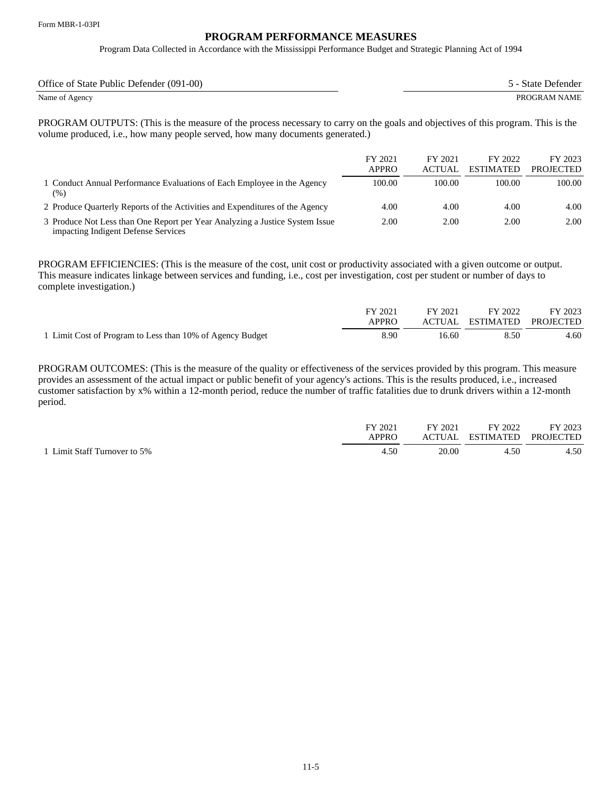Program Data Collected in Accordance with the Mississippi Performance Budget and Strategic Planning Act of 1994

| Office of State Public Defender (091-00) | 5 - State Defender |
|------------------------------------------|--------------------|
| Name of Agency                           | PROGRAM NAME       |

PROGRAM OUTPUTS: (This is the measure of the process necessary to carry on the goals and objectives of this program. This is the volume produced, i.e., how many people served, how many documents generated.)

|                                                                                                                     | FY 2021<br>APPRO | FY 2021<br><b>ACTUAL</b> | FY 2022<br>ESTIMATED | FY 2023<br><b>PROJECTED</b> |
|---------------------------------------------------------------------------------------------------------------------|------------------|--------------------------|----------------------|-----------------------------|
| 1 Conduct Annual Performance Evaluations of Each Employee in the Agency<br>(%)                                      | 100.00           | 100.00                   | 100.00               | 100.00                      |
| 2 Produce Quarterly Reports of the Activities and Expenditures of the Agency                                        | 4.00             | 4.00                     | 4.00                 | 4.00                        |
| 3 Produce Not Less than One Report per Year Analyzing a Justice System Issue<br>impacting Indigent Defense Services | 2.00             | 2.00                     | 2.00                 | 2.00                        |

PROGRAM EFFICIENCIES: (This is the measure of the cost, unit cost or productivity associated with a given outcome or output. This measure indicates linkage between services and funding, i.e., cost per investigation, cost per student or number of days to complete investigation.)

|                                                           | FY 2021<br>APPRO | FY 2021 | FY 2022<br>ACTUAL ESTIMATED PROJECTED | FY 2023 |
|-----------------------------------------------------------|------------------|---------|---------------------------------------|---------|
| 1 Limit Cost of Program to Less than 10% of Agency Budget | 8.90             | 16.60   | 8.50                                  | 4.60    |

|                              | FY 2021<br>APPRO | FY 2021 | FY 2022<br>ACTUAL ESTIMATED PROJECTED | FY 2023 |
|------------------------------|------------------|---------|---------------------------------------|---------|
| 1 Limit Staff Turnover to 5% | 4.50             | 20.00   | 4.50                                  | 4.50    |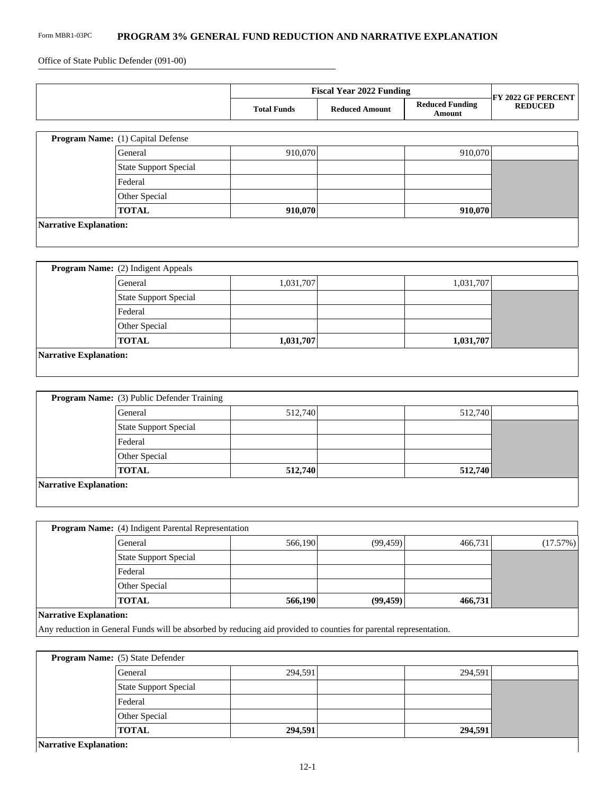#### Form MBR1-03PC **PROGRAM 3% GENERAL FUND REDUCTION AND NARRATIVE EXPLANATION**

Office of State Public Defender (091-00)

|                               |                                                                                                                   |                    | <b>Fiscal Year 2022 Funding</b> |                                         |                                      |
|-------------------------------|-------------------------------------------------------------------------------------------------------------------|--------------------|---------------------------------|-----------------------------------------|--------------------------------------|
|                               |                                                                                                                   | <b>Total Funds</b> | <b>Reduced Amount</b>           | <b>Reduced Funding</b><br><b>Amount</b> | FY 2022 GF PERCENT<br><b>REDUCED</b> |
|                               | Program Name: (1) Capital Defense                                                                                 |                    |                                 |                                         |                                      |
|                               | General                                                                                                           | 910,070            |                                 | 910,070                                 |                                      |
|                               | <b>State Support Special</b>                                                                                      |                    |                                 |                                         |                                      |
|                               | Federal                                                                                                           |                    |                                 |                                         |                                      |
|                               | Other Special                                                                                                     |                    |                                 |                                         |                                      |
|                               | <b>TOTAL</b>                                                                                                      | 910,070            |                                 | 910,070                                 |                                      |
| <b>Narrative Explanation:</b> |                                                                                                                   |                    |                                 |                                         |                                      |
|                               | Program Name: (2) Indigent Appeals                                                                                |                    |                                 |                                         |                                      |
|                               | General                                                                                                           | 1,031,707          |                                 | 1,031,707                               |                                      |
|                               | <b>State Support Special</b>                                                                                      |                    |                                 |                                         |                                      |
|                               | Federal                                                                                                           |                    |                                 |                                         |                                      |
|                               | Other Special                                                                                                     |                    |                                 |                                         |                                      |
|                               | <b>TOTAL</b>                                                                                                      | 1,031,707          |                                 | 1,031,707                               |                                      |
|                               | Program Name: (3) Public Defender Training                                                                        |                    |                                 |                                         |                                      |
|                               | General                                                                                                           | 512,740            |                                 | 512,740                                 |                                      |
|                               | <b>State Support Special</b>                                                                                      |                    |                                 |                                         |                                      |
|                               | Federal                                                                                                           |                    |                                 |                                         |                                      |
|                               | Other Special                                                                                                     |                    |                                 |                                         |                                      |
|                               | <b>TOTAL</b>                                                                                                      | 512,740            |                                 | 512,740                                 |                                      |
| <b>Narrative Explanation:</b> | Program Name: (4) Indigent Parental Representation                                                                |                    |                                 |                                         |                                      |
|                               | General                                                                                                           | 566,190            | (99, 459)                       | 466,731                                 | (17.57%)                             |
|                               | <b>State Support Special</b>                                                                                      |                    |                                 |                                         |                                      |
|                               | Federal                                                                                                           |                    |                                 |                                         |                                      |
|                               | Other Special                                                                                                     |                    |                                 |                                         |                                      |
|                               | <b>TOTAL</b>                                                                                                      | 566,190            | (99, 459)                       | 466,731                                 |                                      |
| <b>Narrative Explanation:</b> | Any reduction in General Funds will be absorbed by reducing aid provided to counties for parental representation. |                    |                                 |                                         |                                      |
|                               | Program Name: (5) State Defender                                                                                  |                    |                                 |                                         |                                      |
|                               | General                                                                                                           | 294,591            |                                 | 294,591                                 |                                      |
|                               | <b>State Support Special</b>                                                                                      |                    |                                 |                                         |                                      |
|                               | Federal                                                                                                           |                    |                                 |                                         |                                      |
|                               | Other Special                                                                                                     |                    |                                 |                                         |                                      |
|                               | <b>TOTAL</b>                                                                                                      | 294,591            |                                 | 294,591                                 |                                      |

**Narrative Explanation:**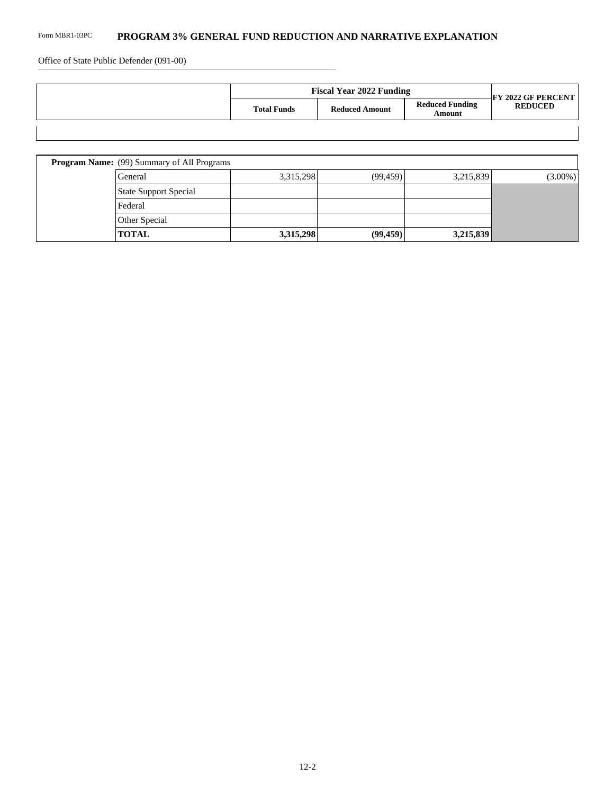#### Form MBR1-03PC **PROGRAM 3% GENERAL FUND REDUCTION AND NARRATIVE EXPLANATION**

Office of State Public Defender (091-00)

| <b>Fiscal Year 2022 Funding</b> | FY 2022 GF PERCENT    |                                  |                |
|---------------------------------|-----------------------|----------------------------------|----------------|
| <b>Total Funds</b>              | <b>Reduced Amount</b> | <b>Reduced Funding</b><br>Amount | <b>REDUCED</b> |
|                                 |                       |                                  |                |

| <b>Program Name:</b> (99) Summary of All Programs |           |           |           |            |
|---------------------------------------------------|-----------|-----------|-----------|------------|
| General                                           | 3,315,298 | (99, 459) | 3,215,839 | $(3.00\%)$ |
| <b>State Support Special</b>                      |           |           |           |            |
| Federal                                           |           |           |           |            |
| Other Special                                     |           |           |           |            |
| <b>TOTAL</b>                                      | 3,315,298 | (99, 459) | 3,215,839 |            |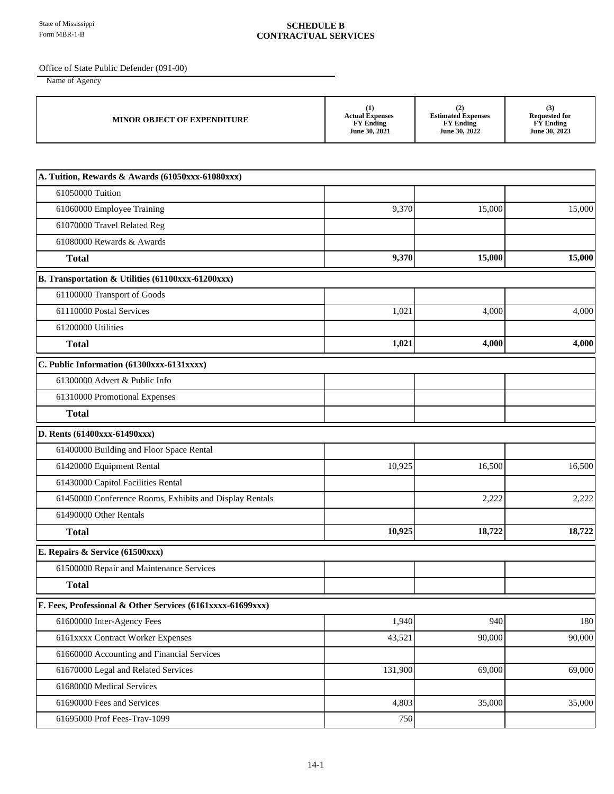#### **SCHEDULE B CONTRACTUAL SERVICES**

Office of State Public Defender (091-00)

| <b>MINOR OBJECT OF EXPENDITURE</b>                         | (1)<br><b>Actual Expenses</b><br><b>FY Ending</b><br>June 30, 2021 | (2)<br><b>Estimated Expenses</b><br><b>FY Ending</b><br>June 30, 2022 | (3)<br><b>Requested for</b><br><b>FY Ending</b><br>June 30, 2023 |
|------------------------------------------------------------|--------------------------------------------------------------------|-----------------------------------------------------------------------|------------------------------------------------------------------|
|                                                            |                                                                    |                                                                       |                                                                  |
| A. Tuition, Rewards & Awards (61050xxx-61080xxx)           |                                                                    |                                                                       |                                                                  |
| 61050000 Tuition                                           |                                                                    |                                                                       |                                                                  |
| 61060000 Employee Training                                 | 9,370                                                              | 15,000                                                                | 15,000                                                           |
| 61070000 Travel Related Reg                                |                                                                    |                                                                       |                                                                  |
| 61080000 Rewards & Awards                                  |                                                                    |                                                                       |                                                                  |
| <b>Total</b>                                               | 9,370                                                              | 15,000                                                                | 15,000                                                           |
| B. Transportation & Utilities (61100xxx-61200xxx)          |                                                                    |                                                                       |                                                                  |
| 61100000 Transport of Goods                                |                                                                    |                                                                       |                                                                  |
| 61110000 Postal Services                                   | 1,021                                                              | 4,000                                                                 | 4,000                                                            |
| 61200000 Utilities                                         |                                                                    |                                                                       |                                                                  |
| <b>Total</b>                                               | 1,021                                                              | 4,000                                                                 | 4,000                                                            |
| C. Public Information (61300xxx-6131xxxx)                  |                                                                    |                                                                       |                                                                  |
| 61300000 Advert & Public Info                              |                                                                    |                                                                       |                                                                  |
| 61310000 Promotional Expenses                              |                                                                    |                                                                       |                                                                  |
| <b>Total</b>                                               |                                                                    |                                                                       |                                                                  |
| D. Rents (61400xxx-61490xxx)                               |                                                                    |                                                                       |                                                                  |
| 61400000 Building and Floor Space Rental                   |                                                                    |                                                                       |                                                                  |
| 61420000 Equipment Rental                                  | 10,925                                                             | 16,500                                                                | 16,500                                                           |
| 61430000 Capitol Facilities Rental                         |                                                                    |                                                                       |                                                                  |
| 61450000 Conference Rooms, Exhibits and Display Rentals    |                                                                    | 2,222                                                                 | 2,222                                                            |
| 61490000 Other Rentals                                     |                                                                    |                                                                       |                                                                  |
| <b>Total</b>                                               | 10,925                                                             | 18,722                                                                | 18,722                                                           |
| E. Repairs & Service (61500xxx)                            |                                                                    |                                                                       |                                                                  |
| 61500000 Repair and Maintenance Services                   |                                                                    |                                                                       |                                                                  |
| <b>Total</b>                                               |                                                                    |                                                                       |                                                                  |
| F. Fees, Professional & Other Services (6161xxxx-61699xxx) |                                                                    |                                                                       |                                                                  |
| 61600000 Inter-Agency Fees                                 | 1,940                                                              | 940                                                                   | 180                                                              |
| 6161xxxx Contract Worker Expenses                          | 43,521                                                             | 90,000                                                                | 90,000                                                           |
| 61660000 Accounting and Financial Services                 |                                                                    |                                                                       |                                                                  |
| 61670000 Legal and Related Services                        | 131,900                                                            | 69,000                                                                | 69,000                                                           |
| 61680000 Medical Services                                  |                                                                    |                                                                       |                                                                  |
| 61690000 Fees and Services                                 | 4,803                                                              | 35,000                                                                | 35,000                                                           |
| 61695000 Prof Fees-Trav-1099                               | 750                                                                |                                                                       |                                                                  |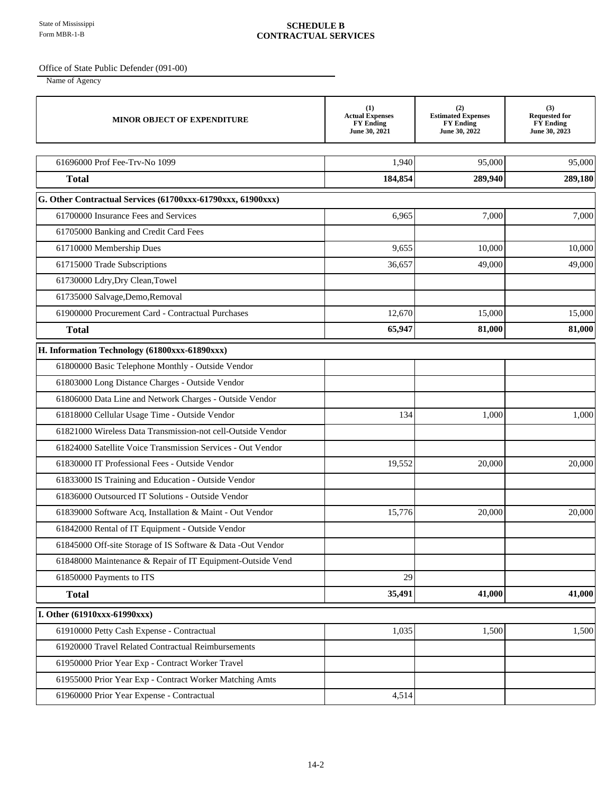#### **SCHEDULE B CONTRACTUAL SERVICES**

Office of State Public Defender (091-00)

| <b>MINOR OBJECT OF EXPENDITURE</b>                          | (1)<br><b>Actual Expenses</b><br><b>FY Ending</b><br>June 30, 2021 | (2)<br><b>Estimated Expenses</b><br><b>FY Ending</b><br>June 30, 2022 | (3)<br><b>Requested for</b><br><b>FY Ending</b><br>June 30, 2023 |
|-------------------------------------------------------------|--------------------------------------------------------------------|-----------------------------------------------------------------------|------------------------------------------------------------------|
| 61696000 Prof Fee-Trv-No 1099                               | 1,940                                                              | 95,000                                                                | 95,000                                                           |
| <b>Total</b>                                                | 184,854                                                            | 289,940                                                               | 289,180                                                          |
| G. Other Contractual Services (61700xxx-61790xxx, 61900xxx) |                                                                    |                                                                       |                                                                  |
| 61700000 Insurance Fees and Services                        | 6,965                                                              | 7,000                                                                 | 7,000                                                            |
| 61705000 Banking and Credit Card Fees                       |                                                                    |                                                                       |                                                                  |
| 61710000 Membership Dues                                    | 9,655                                                              | 10,000                                                                | 10,000                                                           |
| 61715000 Trade Subscriptions                                | 36,657                                                             | 49,000                                                                | 49,000                                                           |
| 61730000 Ldry, Dry Clean, Towel                             |                                                                    |                                                                       |                                                                  |
| 61735000 Salvage, Demo, Removal                             |                                                                    |                                                                       |                                                                  |
| 61900000 Procurement Card - Contractual Purchases           | 12,670                                                             | 15,000                                                                | 15,000                                                           |
| <b>Total</b>                                                | 65,947                                                             | 81,000                                                                | 81,000                                                           |
| H. Information Technology (61800xxx-61890xxx)               |                                                                    |                                                                       |                                                                  |
| 61800000 Basic Telephone Monthly - Outside Vendor           |                                                                    |                                                                       |                                                                  |
| 61803000 Long Distance Charges - Outside Vendor             |                                                                    |                                                                       |                                                                  |
| 61806000 Data Line and Network Charges - Outside Vendor     |                                                                    |                                                                       |                                                                  |
| 61818000 Cellular Usage Time - Outside Vendor               | 134                                                                | 1,000                                                                 | 1,000                                                            |
| 61821000 Wireless Data Transmission-not cell-Outside Vendor |                                                                    |                                                                       |                                                                  |
| 61824000 Satellite Voice Transmission Services - Out Vendor |                                                                    |                                                                       |                                                                  |
| 61830000 IT Professional Fees - Outside Vendor              | 19,552                                                             | 20,000                                                                | 20,000                                                           |
| 61833000 IS Training and Education - Outside Vendor         |                                                                    |                                                                       |                                                                  |
| 61836000 Outsourced IT Solutions - Outside Vendor           |                                                                    |                                                                       |                                                                  |
| 61839000 Software Acq, Installation & Maint - Out Vendor    | 15,776                                                             | 20,000                                                                | 20,000                                                           |
| 61842000 Rental of IT Equipment - Outside Vendor            |                                                                    |                                                                       |                                                                  |
| 61845000 Off-site Storage of IS Software & Data -Out Vendor |                                                                    |                                                                       |                                                                  |
| 61848000 Maintenance & Repair of IT Equipment-Outside Vend  |                                                                    |                                                                       |                                                                  |
| 61850000 Payments to ITS                                    | 29                                                                 |                                                                       |                                                                  |
| <b>Total</b>                                                | 35,491                                                             | 41,000                                                                | 41,000                                                           |
| I. Other (61910xxx-61990xxx)                                |                                                                    |                                                                       |                                                                  |
| 61910000 Petty Cash Expense - Contractual                   | 1,035                                                              | 1,500                                                                 | 1,500                                                            |
| 61920000 Travel Related Contractual Reimbursements          |                                                                    |                                                                       |                                                                  |
| 61950000 Prior Year Exp - Contract Worker Travel            |                                                                    |                                                                       |                                                                  |
| 61955000 Prior Year Exp - Contract Worker Matching Amts     |                                                                    |                                                                       |                                                                  |
| 61960000 Prior Year Expense - Contractual                   | 4,514                                                              |                                                                       |                                                                  |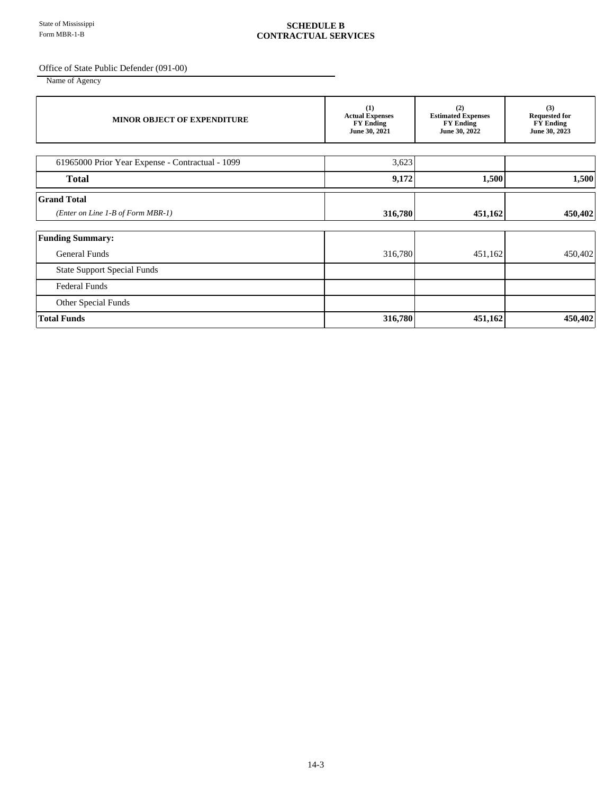#### **SCHEDULE B CONTRACTUAL SERVICES**

Office of State Public Defender (091-00)

| <b>MINOR OBJECT OF EXPENDITURE</b>               | (1)<br><b>Actual Expenses</b><br><b>FY Ending</b><br>June 30, 2021 | (2)<br><b>Estimated Expenses</b><br><b>FY Ending</b><br>June 30, 2022 | (3)<br><b>Requested for</b><br><b>FY Ending</b><br>June 30, 2023 |
|--------------------------------------------------|--------------------------------------------------------------------|-----------------------------------------------------------------------|------------------------------------------------------------------|
| 61965000 Prior Year Expense - Contractual - 1099 | 3,623                                                              |                                                                       |                                                                  |
| <b>Total</b>                                     | 9,172                                                              | 1,500                                                                 | 1,500                                                            |
| <b>Grand Total</b>                               |                                                                    |                                                                       |                                                                  |
| (Enter on Line 1-B of Form MBR-1)                | 316,780                                                            | 451,162                                                               | 450,402                                                          |
| <b>Funding Summary:</b>                          |                                                                    |                                                                       |                                                                  |
| <b>General Funds</b>                             | 316,780                                                            | 451,162                                                               | 450,402                                                          |
| <b>State Support Special Funds</b>               |                                                                    |                                                                       |                                                                  |
| <b>Federal Funds</b>                             |                                                                    |                                                                       |                                                                  |
| Other Special Funds                              |                                                                    |                                                                       |                                                                  |
| <b>Total Funds</b>                               | 316,780                                                            | 451,162                                                               | 450,402                                                          |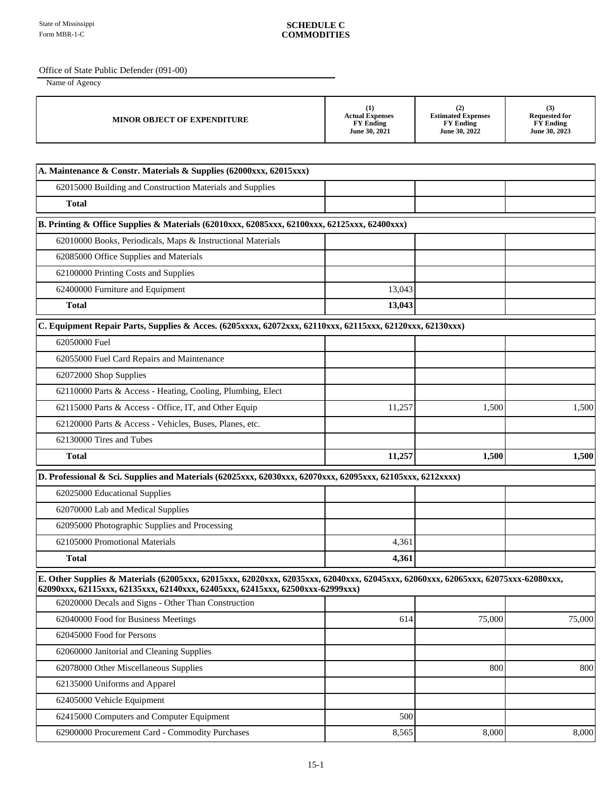#### **SCHEDULE C COMMODITIES**

Office of State Public Defender (091-00)

| <b>MINOR OBJECT OF EXPENDITURE</b>                                                                                                                                                                                  | (1)<br><b>Actual Expenses</b><br><b>FY Ending</b><br>June 30, 2021 | (2)<br><b>Estimated Expenses</b><br><b>FY Ending</b><br>June 30, 2022 | (3)<br><b>Requested for</b><br><b>FY Ending</b><br>June 30, 2023 |
|---------------------------------------------------------------------------------------------------------------------------------------------------------------------------------------------------------------------|--------------------------------------------------------------------|-----------------------------------------------------------------------|------------------------------------------------------------------|
|                                                                                                                                                                                                                     |                                                                    |                                                                       |                                                                  |
| A. Maintenance & Constr. Materials & Supplies (62000xxx, 62015xxx)                                                                                                                                                  |                                                                    |                                                                       |                                                                  |
| 62015000 Building and Construction Materials and Supplies                                                                                                                                                           |                                                                    |                                                                       |                                                                  |
| <b>Total</b>                                                                                                                                                                                                        |                                                                    |                                                                       |                                                                  |
| B. Printing & Office Supplies & Materials (62010xxx, 62085xxx, 62100xxx, 62125xxx, 62400xxx)                                                                                                                        |                                                                    |                                                                       |                                                                  |
| 62010000 Books, Periodicals, Maps & Instructional Materials                                                                                                                                                         |                                                                    |                                                                       |                                                                  |
| 62085000 Office Supplies and Materials                                                                                                                                                                              |                                                                    |                                                                       |                                                                  |
| 62100000 Printing Costs and Supplies                                                                                                                                                                                |                                                                    |                                                                       |                                                                  |
| 62400000 Furniture and Equipment                                                                                                                                                                                    | 13,043                                                             |                                                                       |                                                                  |
| <b>Total</b>                                                                                                                                                                                                        | 13,043                                                             |                                                                       |                                                                  |
| C. Equipment Repair Parts, Supplies & Acces. (6205xxxx, 62072xxx, 62110xxx, 62115xxx, 62120xxx, 62130xxx)                                                                                                           |                                                                    |                                                                       |                                                                  |
| 62050000 Fuel                                                                                                                                                                                                       |                                                                    |                                                                       |                                                                  |
| 62055000 Fuel Card Repairs and Maintenance                                                                                                                                                                          |                                                                    |                                                                       |                                                                  |
| 62072000 Shop Supplies                                                                                                                                                                                              |                                                                    |                                                                       |                                                                  |
| 62110000 Parts & Access - Heating, Cooling, Plumbing, Elect                                                                                                                                                         |                                                                    |                                                                       |                                                                  |
| 62115000 Parts & Access - Office, IT, and Other Equip                                                                                                                                                               | 11,257                                                             | 1,500                                                                 | 1,500                                                            |
| 62120000 Parts & Access - Vehicles, Buses, Planes, etc.                                                                                                                                                             |                                                                    |                                                                       |                                                                  |
| 62130000 Tires and Tubes                                                                                                                                                                                            |                                                                    |                                                                       |                                                                  |
| <b>Total</b>                                                                                                                                                                                                        | 11,257                                                             | 1,500                                                                 | 1,500                                                            |
| D. Professional & Sci. Supplies and Materials (62025xxx, 62030xxx, 62070xxx, 62095xxx, 62105xxx, 6212xxxx)                                                                                                          |                                                                    |                                                                       |                                                                  |
| 62025000 Educational Supplies                                                                                                                                                                                       |                                                                    |                                                                       |                                                                  |
| 62070000 Lab and Medical Supplies                                                                                                                                                                                   |                                                                    |                                                                       |                                                                  |
| 62095000 Photographic Supplies and Processing                                                                                                                                                                       |                                                                    |                                                                       |                                                                  |
| 62105000 Promotional Materials                                                                                                                                                                                      | 4,361                                                              |                                                                       |                                                                  |
| <b>Total</b>                                                                                                                                                                                                        | 4,361                                                              |                                                                       |                                                                  |
| E. Other Supplies & Materials (62005xxx, 62015xxx, 62020xxx, 62035xxx, 62040xxx, 62045xxx, 62060xxx, 62065xxx, 62075xxx-62080xxx,<br>62090xxx, 62115xxx, 62135xxx, 62140xxx, 62405xxx, 62415xxx, 62500xxx-62999xxx) |                                                                    |                                                                       |                                                                  |
| 62020000 Decals and Signs - Other Than Construction                                                                                                                                                                 |                                                                    |                                                                       |                                                                  |
| 62040000 Food for Business Meetings                                                                                                                                                                                 | 614                                                                | 75,000                                                                | 75,000                                                           |
| 62045000 Food for Persons                                                                                                                                                                                           |                                                                    |                                                                       |                                                                  |
| 62060000 Janitorial and Cleaning Supplies                                                                                                                                                                           |                                                                    |                                                                       |                                                                  |
| 62078000 Other Miscellaneous Supplies                                                                                                                                                                               |                                                                    | 800                                                                   | 800                                                              |
| 62135000 Uniforms and Apparel                                                                                                                                                                                       |                                                                    |                                                                       |                                                                  |
| 62405000 Vehicle Equipment                                                                                                                                                                                          |                                                                    |                                                                       |                                                                  |
| 62415000 Computers and Computer Equipment                                                                                                                                                                           | 500                                                                |                                                                       |                                                                  |
| 62900000 Procurement Card - Commodity Purchases                                                                                                                                                                     | 8,565                                                              | 8,000                                                                 | 8,000                                                            |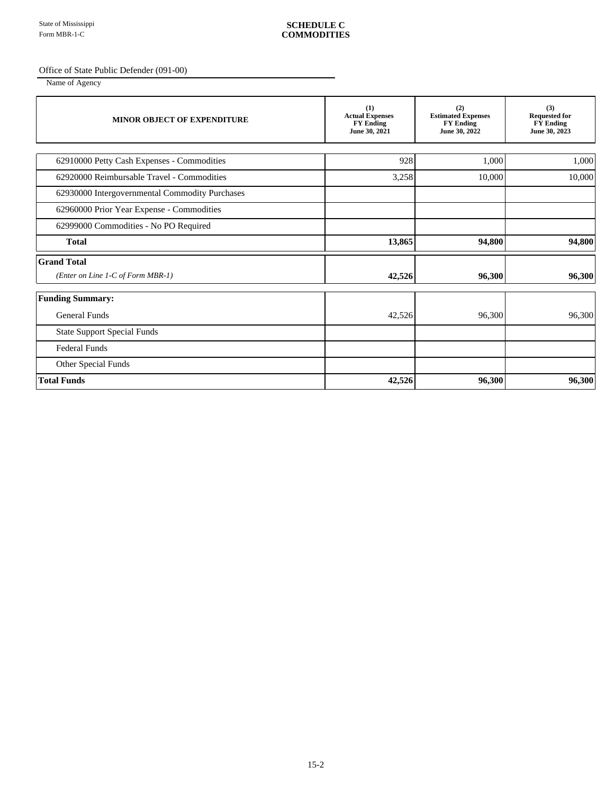#### Office of State Public Defender (091-00)

| <b>MINOR OBJECT OF EXPENDITURE</b>             | (1)<br><b>Actual Expenses</b><br><b>FY Ending</b><br>June 30, 2021 | (2)<br><b>Estimated Expenses</b><br><b>FY Ending</b><br>June 30, 2022 | (3)<br><b>Requested for</b><br><b>FY Ending</b><br>June 30, 2023 |
|------------------------------------------------|--------------------------------------------------------------------|-----------------------------------------------------------------------|------------------------------------------------------------------|
| 62910000 Petty Cash Expenses - Commodities     | 928                                                                | 1,000                                                                 | 1,000                                                            |
| 62920000 Reimbursable Travel - Commodities     | 3,258                                                              | 10,000                                                                | 10,000                                                           |
| 62930000 Intergovernmental Commodity Purchases |                                                                    |                                                                       |                                                                  |
| 62960000 Prior Year Expense - Commodities      |                                                                    |                                                                       |                                                                  |
| 62999000 Commodities - No PO Required          |                                                                    |                                                                       |                                                                  |
| <b>Total</b>                                   | 13,865                                                             | 94,800                                                                | 94,800                                                           |
| <b>Grand Total</b>                             |                                                                    |                                                                       |                                                                  |
| (Enter on Line 1-C of Form MBR-1)              | 42,526                                                             | 96,300                                                                | 96,300                                                           |
| <b>Funding Summary:</b>                        |                                                                    |                                                                       |                                                                  |
| <b>General Funds</b>                           | 42,526                                                             | 96,300                                                                | 96,300                                                           |
| <b>State Support Special Funds</b>             |                                                                    |                                                                       |                                                                  |
| <b>Federal Funds</b>                           |                                                                    |                                                                       |                                                                  |
| Other Special Funds                            |                                                                    |                                                                       |                                                                  |
| <b>Total Funds</b>                             | 42,526                                                             | 96,300                                                                | 96,300                                                           |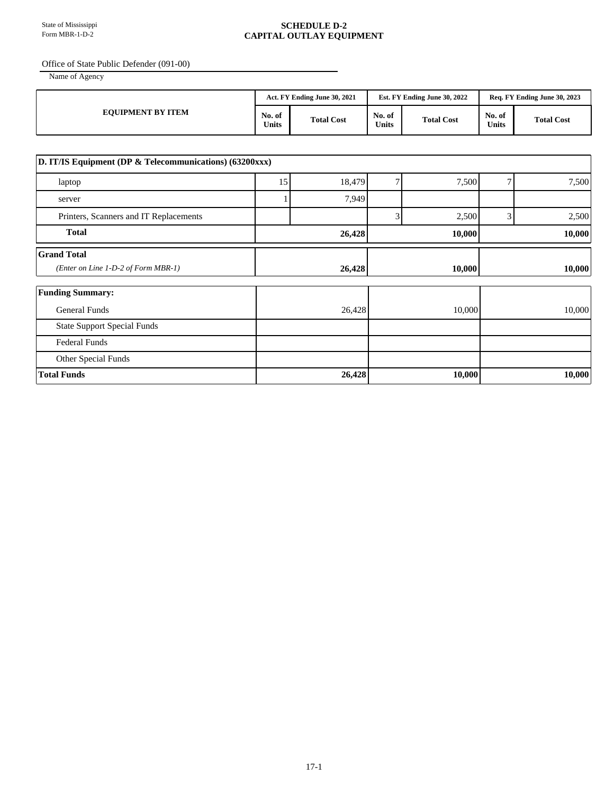#### **SCHEDULE D-2 CAPITAL OUTLAY EQUIPMENT**

Office of State Public Defender (091-00)

|                          | Act. FY Ending June 30, 2021 |                   | Est. FY Ending June 30, 2022 |                   | Rea. FY Ending June 30, 2023 |                   |
|--------------------------|------------------------------|-------------------|------------------------------|-------------------|------------------------------|-------------------|
| <b>EQUIPMENT BY ITEM</b> | No. of<br><b>Units</b>       | <b>Total Cost</b> | No. of<br><b>Units</b>       | <b>Total Cost</b> | No. of<br><b>Units</b>       | <b>Total Cost</b> |

| D. IT/IS Equipment (DP & Telecommunications) (63200xxx) |    |        |        |        |        |        |  |
|---------------------------------------------------------|----|--------|--------|--------|--------|--------|--|
| laptop                                                  | 15 | 18,479 | 7      | 7,500  | 7      | 7,500  |  |
| server                                                  |    | 7,949  |        |        |        |        |  |
| Printers, Scanners and IT Replacements                  |    |        | 3      | 2,500  | 3      | 2,500  |  |
| <b>Total</b>                                            |    | 26,428 |        | 10,000 |        | 10,000 |  |
| <b>Grand Total</b>                                      |    |        |        |        |        |        |  |
| (Enter on Line 1-D-2 of Form MBR-1)                     |    | 26,428 |        | 10,000 |        | 10,000 |  |
| <b>Funding Summary:</b>                                 |    |        |        |        |        |        |  |
| <b>General Funds</b>                                    |    | 26,428 | 10,000 |        | 10,000 |        |  |
| <b>State Support Special Funds</b>                      |    |        |        |        |        |        |  |
| <b>Federal Funds</b>                                    |    |        |        |        |        |        |  |
| Other Special Funds                                     |    |        |        |        |        |        |  |
| <b>Total Funds</b>                                      |    | 26,428 |        | 10,000 |        | 10,000 |  |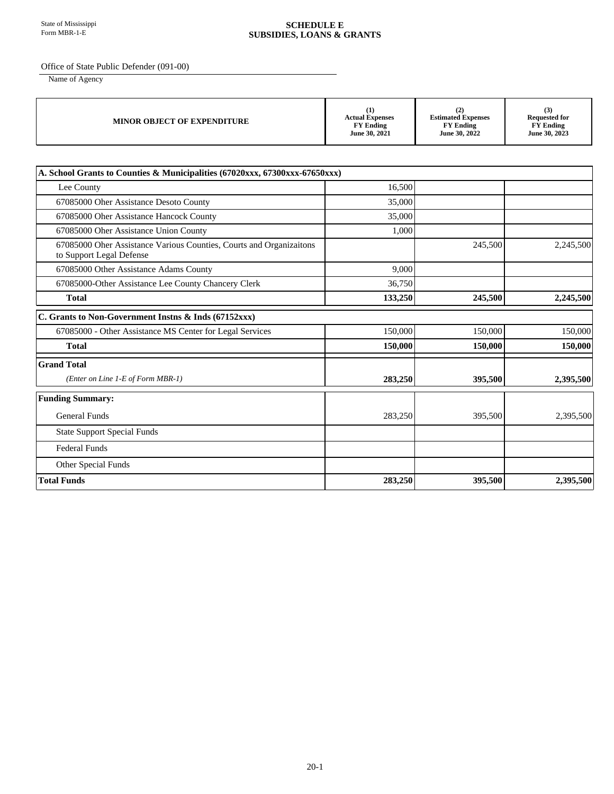#### **SCHEDULE E SUBSIDIES, LOANS & GRANTS**

Office of State Public Defender (091-00)

| <b>MINOR OBJECT OF EXPENDITURE</b> | (1)                    | (2)                       | (3)                  |
|------------------------------------|------------------------|---------------------------|----------------------|
|                                    | <b>Actual Expenses</b> | <b>Estimated Expenses</b> | <b>Requested for</b> |
|                                    | <b>FY Ending</b>       | <b>FY Ending</b>          | <b>FY Ending</b>     |
|                                    | June 30, 2021          | June 30, 2022             | June 30, 2023        |

| A. School Grants to Counties & Municipalities (67020xxx, 67300xxx-67650xxx)                     |         |         |           |
|-------------------------------------------------------------------------------------------------|---------|---------|-----------|
| Lee County                                                                                      | 16,500  |         |           |
| 67085000 Oher Assistance Desoto County                                                          | 35,000  |         |           |
| 67085000 Oher Assistance Hancock County                                                         | 35,000  |         |           |
| 67085000 Oher Assistance Union County                                                           | 1,000   |         |           |
| 67085000 Oher Assistance Various Counties, Courts and Organizaitons<br>to Support Legal Defense |         | 245,500 | 2,245,500 |
| 67085000 Other Assistance Adams County                                                          | 9.000   |         |           |
| 67085000-Other Assistance Lee County Chancery Clerk                                             | 36,750  |         |           |
| <b>Total</b>                                                                                    | 133,250 | 245,500 | 2,245,500 |
| C. Grants to Non-Government Instns & Inds (67152xxx)                                            |         |         |           |
| 67085000 - Other Assistance MS Center for Legal Services                                        | 150,000 | 150,000 | 150,000   |
| <b>Total</b>                                                                                    | 150,000 | 150,000 | 150,000   |
| <b>Grand Total</b>                                                                              |         |         |           |
| (Enter on Line 1-E of Form MBR-1)                                                               | 283,250 | 395,500 | 2,395,500 |
| <b>Funding Summary:</b>                                                                         |         |         |           |
| <b>General Funds</b>                                                                            | 283,250 | 395,500 | 2,395,500 |
| <b>State Support Special Funds</b>                                                              |         |         |           |
| <b>Federal Funds</b>                                                                            |         |         |           |
| Other Special Funds                                                                             |         |         |           |
| <b>Total Funds</b>                                                                              | 283,250 | 395,500 | 2,395,500 |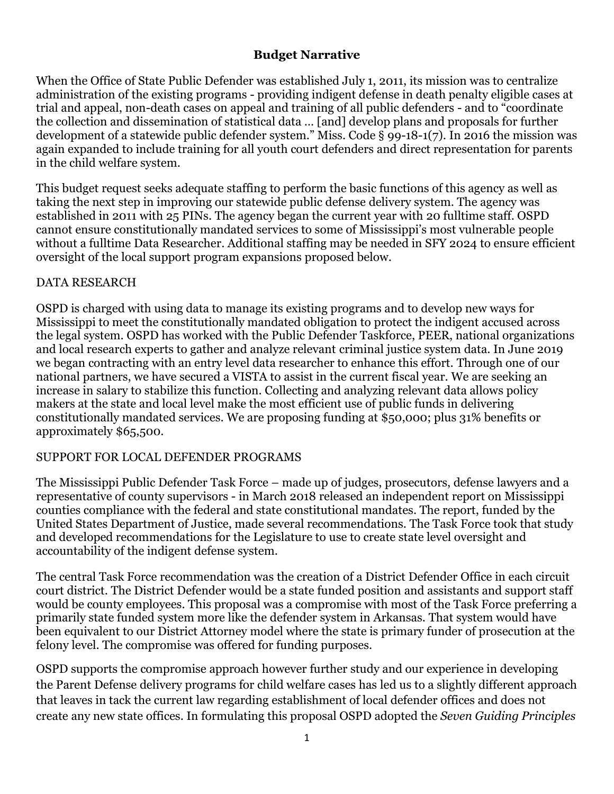# **Budget Narrative**

When the Office of State Public Defender was established July 1, 2011, its mission was to centralize administration of the existing programs - providing indigent defense in death penalty eligible cases at trial and appeal, non-death cases on appeal and training of all public defenders - and to "coordinate the collection and dissemination of statistical data … [and] develop plans and proposals for further development of a statewide public defender system." Miss. Code § 99-18-1(7). In 2016 the mission was again expanded to include training for all youth court defenders and direct representation for parents in the child welfare system.

This budget request seeks adequate staffing to perform the basic functions of this agency as well as taking the next step in improving our statewide public defense delivery system. The agency was established in 2011 with 25 PINs. The agency began the current year with 20 fulltime staff. OSPD cannot ensure constitutionally mandated services to some of Mississippi's most vulnerable people without a fulltime Data Researcher. Additional staffing may be needed in SFY 2024 to ensure efficient oversight of the local support program expansions proposed below.

# DATA RESEARCH

OSPD is charged with using data to manage its existing programs and to develop new ways for Mississippi to meet the constitutionally mandated obligation to protect the indigent accused across the legal system. OSPD has worked with the Public Defender Taskforce, PEER, national organizations and local research experts to gather and analyze relevant criminal justice system data. In June 2019 we began contracting with an entry level data researcher to enhance this effort. Through one of our national partners, we have secured a VISTA to assist in the current fiscal year. We are seeking an increase in salary to stabilize this function. Collecting and analyzing relevant data allows policy makers at the state and local level make the most efficient use of public funds in delivering constitutionally mandated services. We are proposing funding at \$50,000; plus 31% benefits or approximately \$65,500.

# SUPPORT FOR LOCAL DEFENDER PROGRAMS

The Mississippi Public Defender Task Force – made up of judges, prosecutors, defense lawyers and a representative of county supervisors - in March 2018 released an independent report on Mississippi counties compliance with the federal and state constitutional mandates. The report, funded by the United States Department of Justice, made several recommendations. The Task Force took that study and developed recommendations for the Legislature to use to create state level oversight and accountability of the indigent defense system.

The central Task Force recommendation was the creation of a District Defender Office in each circuit court district. The District Defender would be a state funded position and assistants and support staff would be county employees. This proposal was a compromise with most of the Task Force preferring a primarily state funded system more like the defender system in Arkansas. That system would have been equivalent to our District Attorney model where the state is primary funder of prosecution at the felony level. The compromise was offered for funding purposes.

OSPD supports the compromise approach however further study and our experience in developing the Parent Defense delivery programs for child welfare cases has led us to a slightly different approach that leaves in tack the current law regarding establishment of local defender offices and does not create any new state offices. In formulating this proposal OSPD adopted the *Seven Guiding Principles*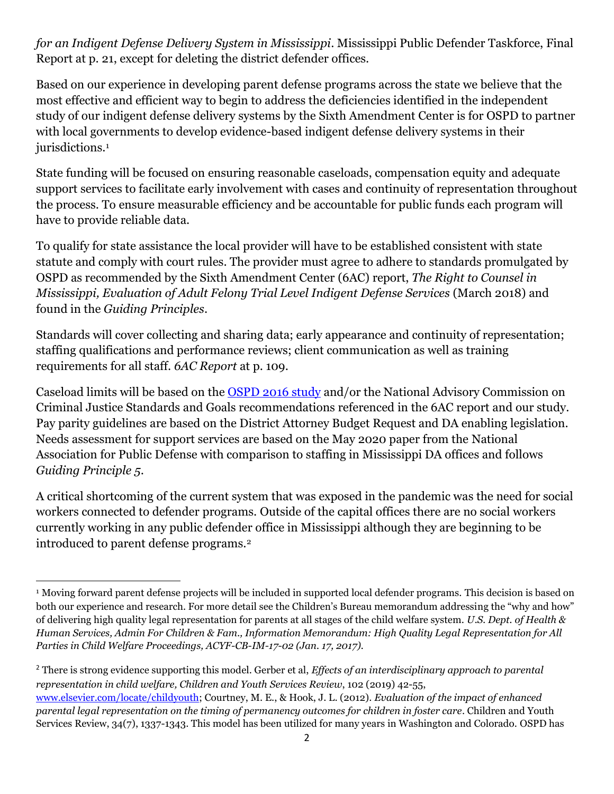*for an Indigent Defense Delivery System in Mississippi*. Mississippi Public Defender Taskforce, Final Report at p. 21, except for deleting the district defender offices.

Based on our experience in developing parent defense programs across the state we believe that the most effective and efficient way to begin to address the deficiencies identified in the independent study of our indigent defense delivery systems by the Sixth Amendment Center is for OSPD to partner with local governments to develop evidence-based indigent defense delivery systems in their jurisdictions.<sup>1</sup>

State funding will be focused on ensuring reasonable caseloads, compensation equity and adequate support services to facilitate early involvement with cases and continuity of representation throughout the process. To ensure measurable efficiency and be accountable for public funds each program will have to provide reliable data.

To qualify for state assistance the local provider will have to be established consistent with state statute and comply with court rules. The provider must agree to adhere to standards promulgated by OSPD as recommended by the Sixth Amendment Center (6AC) report, *The Right to Counsel in Mississippi, Evaluation of Adult Felony Trial Level Indigent Defense Services* (March 2018) and found in the *Guiding Principles*.

Standards will cover collecting and sharing data; early appearance and continuity of representation; staffing qualifications and performance reviews; client communication as well as training requirements for all staff. *6AC Report* at p. 109.

Caseload limits will be based on the [OSPD 2016 study](http://www.ospd.ms.gov/Task%20Force/ASSESSMENT%20OF%20CASELOADS%20IN%20STATE%20AND%20LOCAL%20INDIGENT%20DEFENSE%20SYSTEMS%20IN%20MISSISSIPPI%20-%20Dec%202016.pdf) and/or the National Advisory Commission on Criminal Justice Standards and Goals recommendations referenced in the 6AC report and our study. Pay parity guidelines are based on the District Attorney Budget Request and DA enabling legislation. Needs assessment for support services are based on the May 2020 paper from the National Association for Public Defense with comparison to staffing in Mississippi DA offices and follows *Guiding Principle 5*.

A critical shortcoming of the current system that was exposed in the pandemic was the need for social workers connected to defender programs. Outside of the capital offices there are no social workers currently working in any public defender office in Mississippi although they are beginning to be introduced to parent defense programs.<sup>2</sup>

<sup>1</sup> Moving forward parent defense projects will be included in supported local defender programs. This decision is based on both our experience and research. For more detail see the Children's Bureau memorandum addressing the "why and how" of delivering high quality legal representation for parents at all stages of the child welfare system. *U.S. Dept. of Health & Human Services, Admin For Children & Fam., Information Memorandum: High Quality Legal Representation for All Parties in Child Welfare Proceedings, ACYF-CB-IM-17-02 (Jan. 17, 2017).*

<sup>2</sup> There is strong evidence supporting this model. Gerber et al, *Effects of an interdisciplinary approach to parental representation in child welfare, Children and Youth Services Review*, 102 (2019) 42-55, [www.elsevier.com/locate/childyouth;](http://www.elsevier.com/locate/childyouth) Courtney, M. E., & Hook, J. L. (2012). *Evaluation of the impact of enhanced parental legal representation on the timing of permanency outcomes for children in foster care*. Children and Youth Services Review, 34(7), 1337-1343. This model has been utilized for many years in Washington and Colorado. OSPD has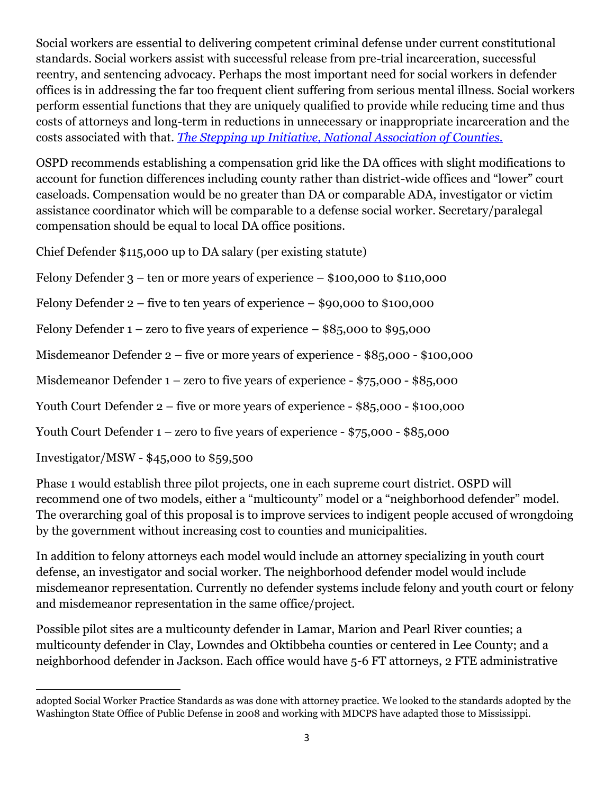Social workers are essential to delivering competent criminal defense under current constitutional standards. Social workers assist with successful release from pre-trial incarceration, successful reentry, and sentencing advocacy. Perhaps the most important need for social workers in defender offices is in addressing the far too frequent client suffering from serious mental illness. Social workers perform essential functions that they are uniquely qualified to provide while reducing time and thus costs of attorneys and long-term in reductions in unnecessary or inappropriate incarceration and the costs associated with that. *[The Stepping up Initiative, National Association of Counties.](https://stepuptogether.org/)*

OSPD recommends establishing a compensation grid like the DA offices with slight modifications to account for function differences including county rather than district-wide offices and "lower" court caseloads. Compensation would be no greater than DA or comparable ADA, investigator or victim assistance coordinator which will be comparable to a defense social worker. Secretary/paralegal compensation should be equal to local DA office positions.

Chief Defender \$115,000 up to DA salary (per existing statute)

Felony Defender  $3$  – ten or more years of experience – \$100,000 to \$110,000

Felony Defender 2 – five to ten years of experience – \$90,000 to \$100,000

Felony Defender  $1 -$ zero to five years of experience  $-$  \$85,000 to \$95,000

Misdemeanor Defender 2 – five or more years of experience - \$85,000 - \$100,000

Misdemeanor Defender 1 – zero to five years of experience - \$75,000 - \$85,000

Youth Court Defender 2 – five or more years of experience - \$85,000 - \$100,000

Youth Court Defender 1 – zero to five years of experience - \$75,000 - \$85,000

Investigator/MSW - \$45,000 to \$59,500

Phase 1 would establish three pilot projects, one in each supreme court district. OSPD will recommend one of two models, either a "multicounty" model or a "neighborhood defender" model. The overarching goal of this proposal is to improve services to indigent people accused of wrongdoing by the government without increasing cost to counties and municipalities.

In addition to felony attorneys each model would include an attorney specializing in youth court defense, an investigator and social worker. The neighborhood defender model would include misdemeanor representation. Currently no defender systems include felony and youth court or felony and misdemeanor representation in the same office/project.

Possible pilot sites are a multicounty defender in Lamar, Marion and Pearl River counties; a multicounty defender in Clay, Lowndes and Oktibbeha counties or centered in Lee County; and a neighborhood defender in Jackson. Each office would have 5-6 FT attorneys, 2 FTE administrative

adopted Social Worker Practice Standards as was done with attorney practice. We looked to the standards adopted by the Washington State Office of Public Defense in 2008 and working with MDCPS have adapted those to Mississippi.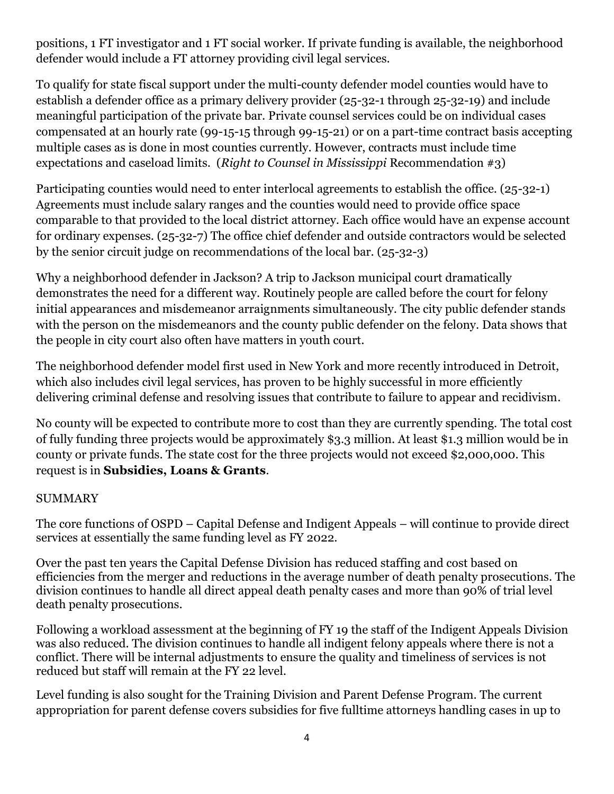positions, 1 FT investigator and 1 FT social worker. If private funding is available, the neighborhood defender would include a FT attorney providing civil legal services.

To qualify for state fiscal support under the multi-county defender model counties would have to establish a defender office as a primary delivery provider (25-32-1 through 25-32-19) and include meaningful participation of the private bar. Private counsel services could be on individual cases compensated at an hourly rate (99-15-15 through 99-15-21) or on a part-time contract basis accepting multiple cases as is done in most counties currently. However, contracts must include time expectations and caseload limits. (*Right to Counsel in Mississippi* Recommendation #3)

Participating counties would need to enter interlocal agreements to establish the office. (25-32-1) Agreements must include salary ranges and the counties would need to provide office space comparable to that provided to the local district attorney. Each office would have an expense account for ordinary expenses. (25-32-7) The office chief defender and outside contractors would be selected by the senior circuit judge on recommendations of the local bar. (25-32-3)

Why a neighborhood defender in Jackson? A trip to Jackson municipal court dramatically demonstrates the need for a different way. Routinely people are called before the court for felony initial appearances and misdemeanor arraignments simultaneously. The city public defender stands with the person on the misdemeanors and the county public defender on the felony. Data shows that the people in city court also often have matters in youth court.

The neighborhood defender model first used in New York and more recently introduced in Detroit, which also includes civil legal services, has proven to be highly successful in more efficiently delivering criminal defense and resolving issues that contribute to failure to appear and recidivism.

No county will be expected to contribute more to cost than they are currently spending. The total cost of fully funding three projects would be approximately \$3.3 million. At least \$1.3 million would be in county or private funds. The state cost for the three projects would not exceed \$2,000,000. This request is in **Subsidies, Loans & Grants**.

# **SUMMARY**

The core functions of OSPD – Capital Defense and Indigent Appeals – will continue to provide direct services at essentially the same funding level as FY 2022.

Over the past ten years the Capital Defense Division has reduced staffing and cost based on efficiencies from the merger and reductions in the average number of death penalty prosecutions. The division continues to handle all direct appeal death penalty cases and more than 90% of trial level death penalty prosecutions.

Following a workload assessment at the beginning of FY 19 the staff of the Indigent Appeals Division was also reduced. The division continues to handle all indigent felony appeals where there is not a conflict. There will be internal adjustments to ensure the quality and timeliness of services is not reduced but staff will remain at the FY 22 level.

Level funding is also sought for the Training Division and Parent Defense Program. The current appropriation for parent defense covers subsidies for five fulltime attorneys handling cases in up to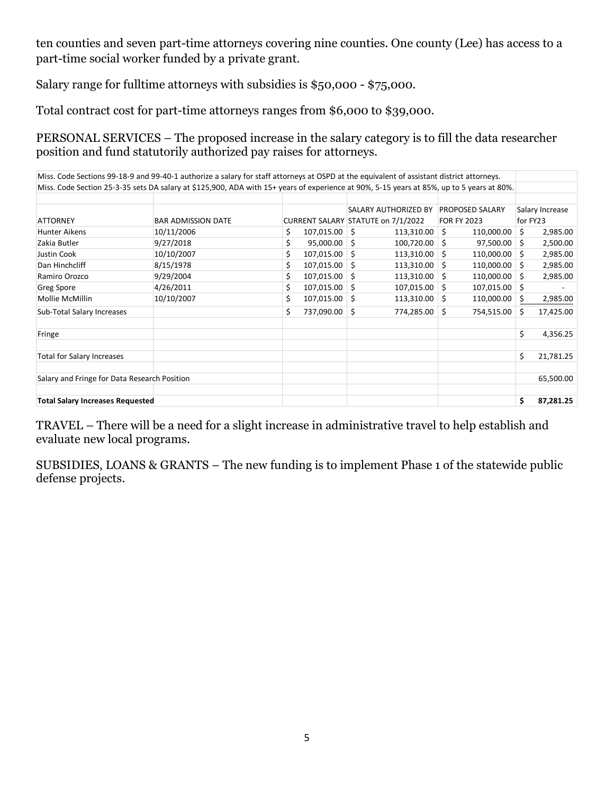ten counties and seven part-time attorneys covering nine counties. One county (Lee) has access to a part-time social worker funded by a private grant.

Salary range for fulltime attorneys with subsidies is \$50,000 - \$75,000.

Total contract cost for part-time attorneys ranges from \$6,000 to \$39,000.

PERSONAL SERVICES – The proposed increase in the salary category is to fill the data researcher position and fund statutorily authorized pay raises for attorneys.

| Miss. Code Sections 99-18-9 and 99-40-1 authorize a salary for staff attorneys at OSPD at the equivalent of assistant district attorneys. |                                                                                                                                           |    |                 |     |                                    |    |                        |          |                 |
|-------------------------------------------------------------------------------------------------------------------------------------------|-------------------------------------------------------------------------------------------------------------------------------------------|----|-----------------|-----|------------------------------------|----|------------------------|----------|-----------------|
|                                                                                                                                           | Miss. Code Section 25-3-35 sets DA salary at \$125,900, ADA with 15+ years of experience at 90%, 5-15 years at 85%, up to 5 years at 80%. |    |                 |     |                                    |    |                        |          |                 |
|                                                                                                                                           |                                                                                                                                           |    |                 |     |                                    |    |                        |          |                 |
|                                                                                                                                           |                                                                                                                                           |    |                 |     | <b>SALARY AUTHORIZED BY</b>        |    | <b>PROPOSED SALARY</b> |          | Salary Increase |
| <b>ATTORNEY</b>                                                                                                                           | <b>BAR ADMISSION DATE</b>                                                                                                                 |    |                 |     | CURRENT SALARY STATUTE on 7/1/2022 |    | <b>FOR FY 2023</b>     | for FY23 |                 |
| <b>Hunter Aikens</b>                                                                                                                      | 10/11/2006                                                                                                                                | \$ | $107,015.00$ \$ |     | 113,310.00                         | Ŝ  | 110,000.00             | Ś.       | 2,985.00        |
| Zakia Butler                                                                                                                              | 9/27/2018                                                                                                                                 | \$ | 95,000.00       | Ŝ.  | 100,720.00                         | S. | 97,500.00              | Ŝ.       | 2,500.00        |
| Justin Cook                                                                                                                               | 10/10/2007                                                                                                                                | \$ | 107,015.00      | Ŝ.  | $113,310.00$ \$                    |    | 110,000.00             | Ś.       | 2,985.00        |
| Dan Hinchcliff                                                                                                                            | 8/15/1978                                                                                                                                 | \$ | 107,015.00      | \$  | $113,310.00$ \$                    |    | 110,000.00             | Ś.       | 2,985.00        |
| Ramiro Orozco                                                                                                                             | 9/29/2004                                                                                                                                 | \$ | $107,015.00$ \$ |     | $113,310.00$ \$                    |    | 110,000.00             | Ŝ.       | 2,985.00        |
| <b>Greg Spore</b>                                                                                                                         | 4/26/2011                                                                                                                                 | \$ | 107,015.00      | Ŝ.  | 107,015.00                         | S. | 107,015.00             | Ś.       |                 |
| Mollie McMillin                                                                                                                           | 10/10/2007                                                                                                                                | \$ | 107,015.00      | \$. | $113,310.00$ \$                    |    | 110,000.00             | \$       | 2,985.00        |
| Sub-Total Salary Increases                                                                                                                |                                                                                                                                           | Ś. | 737,090.00      | Ŝ.  | 774,285.00                         | Ŝ. | 754,515.00             | Ś.       | 17,425.00       |
|                                                                                                                                           |                                                                                                                                           |    |                 |     |                                    |    |                        |          |                 |
| Fringe                                                                                                                                    |                                                                                                                                           |    |                 |     |                                    |    |                        | \$       | 4,356.25        |
|                                                                                                                                           |                                                                                                                                           |    |                 |     |                                    |    |                        |          |                 |
| <b>Total for Salary Increases</b>                                                                                                         |                                                                                                                                           |    |                 |     |                                    |    |                        | \$       | 21,781.25       |
|                                                                                                                                           |                                                                                                                                           |    |                 |     |                                    |    |                        |          |                 |
| Salary and Fringe for Data Research Position                                                                                              |                                                                                                                                           |    |                 |     |                                    |    |                        |          | 65,500.00       |
|                                                                                                                                           |                                                                                                                                           |    |                 |     |                                    |    |                        |          |                 |
| <b>Total Salary Increases Requested</b>                                                                                                   |                                                                                                                                           |    |                 |     |                                    |    |                        | \$       | 87,281.25       |

TRAVEL – There will be a need for a slight increase in administrative travel to help establish and evaluate new local programs.

SUBSIDIES, LOANS & GRANTS – The new funding is to implement Phase 1 of the statewide public defense projects.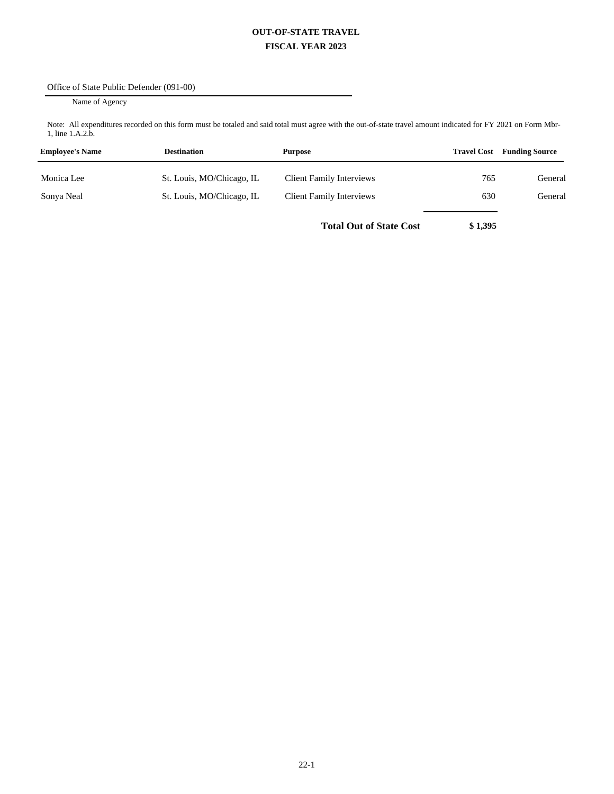#### **OUT-OF-STATE TRAVEL FISCAL YEAR 2023**

#### Office of State Public Defender (091-00)

#### Name of Agency

Note: All expenditures recorded on this form must be totaled and said total must agree with the out-of-state travel amount indicated for FY 2021 on Form Mbr-1, line 1.A.2.b.

| <b>Employee's Name</b> | <b>Destination</b>        | <b>Purpose</b>                  | <b>Travel Cost</b> | <b>Funding Source</b> |
|------------------------|---------------------------|---------------------------------|--------------------|-----------------------|
| Monica Lee             | St. Louis, MO/Chicago, IL | <b>Client Family Interviews</b> | 765                | General               |
| Sonya Neal             | St. Louis, MO/Chicago, IL | <b>Client Family Interviews</b> | 630                | General               |
|                        |                           | <b>Total Out of State Cost</b>  | \$1,395            |                       |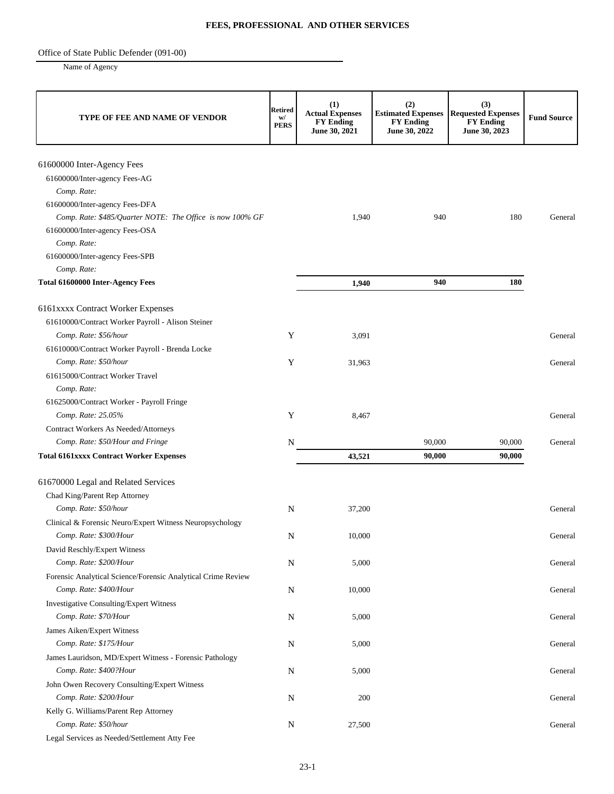#### **FEES, PROFESSIONAL AND OTHER SERVICES**

Office of State Public Defender (091-00)

| TYPE OF FEE AND NAME OF VENDOR                               | <b>Retired</b><br>w/<br><b>PERS</b> | (1)<br><b>Actual Expenses</b><br><b>FY Ending</b><br>June 30, 2021 | (2)<br><b>Estimated Expenses</b><br><b>FY Ending</b><br>June 30, 2022 | (3)<br><b>Requested Expenses</b><br><b>FY Ending</b><br>June 30, 2023 | <b>Fund Source</b> |
|--------------------------------------------------------------|-------------------------------------|--------------------------------------------------------------------|-----------------------------------------------------------------------|-----------------------------------------------------------------------|--------------------|
| 61600000 Inter-Agency Fees                                   |                                     |                                                                    |                                                                       |                                                                       |                    |
| 61600000/Inter-agency Fees-AG                                |                                     |                                                                    |                                                                       |                                                                       |                    |
| Comp. Rate:                                                  |                                     |                                                                    |                                                                       |                                                                       |                    |
| 61600000/Inter-agency Fees-DFA                               |                                     |                                                                    |                                                                       |                                                                       |                    |
| Comp. Rate: \$485/Quarter NOTE: The Office is now 100% GF    |                                     | 1,940                                                              | 940                                                                   | 180                                                                   | General            |
| 61600000/Inter-agency Fees-OSA                               |                                     |                                                                    |                                                                       |                                                                       |                    |
| Comp. Rate:                                                  |                                     |                                                                    |                                                                       |                                                                       |                    |
| 61600000/Inter-agency Fees-SPB                               |                                     |                                                                    |                                                                       |                                                                       |                    |
| Comp. Rate:                                                  |                                     |                                                                    |                                                                       |                                                                       |                    |
| Total 61600000 Inter-Agency Fees                             |                                     | 1,940                                                              | 940                                                                   | 180                                                                   |                    |
| 6161xxxx Contract Worker Expenses                            |                                     |                                                                    |                                                                       |                                                                       |                    |
| 61610000/Contract Worker Payroll - Alison Steiner            |                                     |                                                                    |                                                                       |                                                                       |                    |
| Comp. Rate: \$56/hour                                        | Y                                   | 3,091                                                              |                                                                       |                                                                       | General            |
| 61610000/Contract Worker Payroll - Brenda Locke              |                                     |                                                                    |                                                                       |                                                                       |                    |
| Comp. Rate: \$50/hour                                        | Y                                   | 31,963                                                             |                                                                       |                                                                       | General            |
| 61615000/Contract Worker Travel                              |                                     |                                                                    |                                                                       |                                                                       |                    |
| Comp. Rate:                                                  |                                     |                                                                    |                                                                       |                                                                       |                    |
| 61625000/Contract Worker - Payroll Fringe                    |                                     |                                                                    |                                                                       |                                                                       |                    |
| Comp. Rate: 25.05%                                           | Y                                   | 8,467                                                              |                                                                       |                                                                       | General            |
| Contract Workers As Needed/Attorneys                         |                                     |                                                                    |                                                                       |                                                                       |                    |
| Comp. Rate: \$50/Hour and Fringe                             | N                                   |                                                                    | 90,000                                                                | 90,000                                                                | General            |
| <b>Total 6161xxxx Contract Worker Expenses</b>               |                                     | 43,521                                                             | 90,000                                                                | 90,000                                                                |                    |
| 61670000 Legal and Related Services                          |                                     |                                                                    |                                                                       |                                                                       |                    |
| Chad King/Parent Rep Attorney                                |                                     |                                                                    |                                                                       |                                                                       |                    |
| Comp. Rate: \$50/hour                                        | $\mathbf N$                         | 37,200                                                             |                                                                       |                                                                       | General            |
| Clinical & Forensic Neuro/Expert Witness Neuropsychology     |                                     |                                                                    |                                                                       |                                                                       |                    |
| Comp. Rate: \$300/Hour                                       | N                                   | 10,000                                                             |                                                                       |                                                                       | General            |
| David Reschly/Expert Witness                                 |                                     |                                                                    |                                                                       |                                                                       |                    |
| Comp. Rate: \$200/Hour                                       | N                                   | 5,000                                                              |                                                                       |                                                                       | General            |
| Forensic Analytical Science/Forensic Analytical Crime Review |                                     |                                                                    |                                                                       |                                                                       |                    |
| Comp. Rate: \$400/Hour                                       | N                                   | 10,000                                                             |                                                                       |                                                                       | General            |
| Investigative Consulting/Expert Witness                      |                                     |                                                                    |                                                                       |                                                                       |                    |
| Comp. Rate: \$70/Hour                                        | N                                   | 5,000                                                              |                                                                       |                                                                       | General            |
| James Aiken/Expert Witness                                   |                                     |                                                                    |                                                                       |                                                                       |                    |
| Comp. Rate: \$175/Hour                                       | N                                   | 5,000                                                              |                                                                       |                                                                       | General            |
| James Lauridson, MD/Expert Witness - Forensic Pathology      |                                     |                                                                    |                                                                       |                                                                       |                    |
| Comp. Rate: \$400?Hour                                       | N                                   | 5,000                                                              |                                                                       |                                                                       | General            |
| John Owen Recovery Consulting/Expert Witness                 |                                     |                                                                    |                                                                       |                                                                       |                    |
| Comp. Rate: \$200/Hour                                       | N                                   | 200                                                                |                                                                       |                                                                       | General            |
| Kelly G. Williams/Parent Rep Attorney                        |                                     |                                                                    |                                                                       |                                                                       |                    |
| Comp. Rate: \$50/hour                                        | N                                   | 27,500                                                             |                                                                       |                                                                       | General            |
| Legal Services as Needed/Settlement Atty Fee                 |                                     |                                                                    |                                                                       |                                                                       |                    |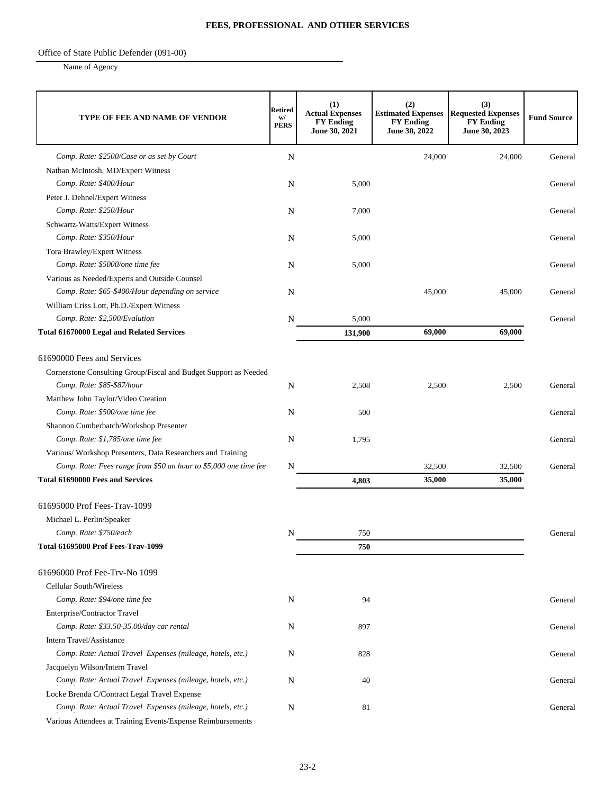#### **FEES, PROFESSIONAL AND OTHER SERVICES**

#### Office of State Public Defender (091-00)

| TYPE OF FEE AND NAME OF VENDOR                                   | <b>Retired</b><br>w/<br><b>PERS</b> | (1)<br><b>Actual Expenses</b><br><b>FY Ending</b><br>June 30, 2021 | (2)<br><b>Estimated Expenses</b><br><b>FY Ending</b><br>June 30, 2022 | (3)<br><b>Requested Expenses</b><br><b>FY Ending</b><br>June 30, 2023 | <b>Fund Source</b> |
|------------------------------------------------------------------|-------------------------------------|--------------------------------------------------------------------|-----------------------------------------------------------------------|-----------------------------------------------------------------------|--------------------|
| Comp. Rate: \$2500/Case or as set by Court                       | $\mathbf N$                         |                                                                    | 24,000                                                                | 24,000                                                                | General            |
| Nathan McIntosh, MD/Expert Witness                               |                                     |                                                                    |                                                                       |                                                                       |                    |
| Comp. Rate: \$400/Hour                                           | N                                   | 5,000                                                              |                                                                       |                                                                       | General            |
| Peter J. Dehnel/Expert Witness                                   |                                     |                                                                    |                                                                       |                                                                       |                    |
| Comp. Rate: \$250/Hour                                           | N                                   | 7,000                                                              |                                                                       |                                                                       | General            |
| Schwartz-Watts/Expert Witness                                    |                                     |                                                                    |                                                                       |                                                                       |                    |
| Comp. Rate: \$350/Hour                                           | N                                   | 5,000                                                              |                                                                       |                                                                       | General            |
| Tora Brawley/Expert Witness                                      |                                     |                                                                    |                                                                       |                                                                       |                    |
| Comp. Rate: \$5000/one time fee                                  | N                                   | 5,000                                                              |                                                                       |                                                                       | General            |
| Various as Needed/Experts and Outside Counsel                    |                                     |                                                                    |                                                                       |                                                                       |                    |
| Comp. Rate: \$65-\$400/Hour depending on service                 | N                                   |                                                                    | 45,000                                                                | 45,000                                                                | General            |
| William Criss Lott, Ph.D./Expert Witness                         |                                     |                                                                    |                                                                       |                                                                       |                    |
| Comp. Rate: \$2,500/Evalution                                    | N                                   | 5,000                                                              |                                                                       |                                                                       | General            |
| <b>Total 61670000 Legal and Related Services</b>                 |                                     | 131,900                                                            | 69,000                                                                | 69,000                                                                |                    |
|                                                                  |                                     |                                                                    |                                                                       |                                                                       |                    |
| 61690000 Fees and Services                                       |                                     |                                                                    |                                                                       |                                                                       |                    |
| Cornerstone Consulting Group/Fiscal and Budget Support as Needed |                                     |                                                                    |                                                                       |                                                                       |                    |
| Comp. Rate: \$85-\$87/hour                                       | $\mathbf N$                         | 2,508                                                              | 2,500                                                                 | 2,500                                                                 | General            |
| Matthew John Taylor/Video Creation                               |                                     |                                                                    |                                                                       |                                                                       |                    |
| Comp. Rate: \$500/one time fee                                   | N                                   | 500                                                                |                                                                       |                                                                       | General            |
| Shannon Cumberbatch/Workshop Presenter                           |                                     |                                                                    |                                                                       |                                                                       |                    |
| Comp. Rate: \$1,785/one time fee                                 | $\mathbf N$                         | 1,795                                                              |                                                                       |                                                                       | General            |
| Various/ Workshop Presenters, Data Researchers and Training      |                                     |                                                                    |                                                                       |                                                                       |                    |
| Comp. Rate: Fees range from \$50 an hour to \$5,000 one time fee | N                                   |                                                                    | 32,500                                                                | 32,500                                                                | General            |
| <b>Total 61690000 Fees and Services</b>                          |                                     | 4,803                                                              | 35,000                                                                | 35,000                                                                |                    |
| 61695000 Prof Fees-Tray-1099                                     |                                     |                                                                    |                                                                       |                                                                       |                    |
| Michael L. Perlin/Speaker                                        |                                     |                                                                    |                                                                       |                                                                       |                    |
| Comp. Rate: \$750/each                                           | N                                   | 750                                                                |                                                                       |                                                                       | General            |
| <b>Total 61695000 Prof Fees-Trav-1099</b>                        |                                     | 750                                                                |                                                                       |                                                                       |                    |
|                                                                  |                                     |                                                                    |                                                                       |                                                                       |                    |
| 61696000 Prof Fee-Trv-No 1099                                    |                                     |                                                                    |                                                                       |                                                                       |                    |
| Cellular South/Wireless                                          |                                     |                                                                    |                                                                       |                                                                       |                    |
| Comp. Rate: \$94/one time fee                                    | N                                   | 94                                                                 |                                                                       |                                                                       | General            |
| Enterprise/Contractor Travel                                     |                                     |                                                                    |                                                                       |                                                                       |                    |
| Comp. Rate: \$33.50-35.00/day car rental                         | N                                   | 897                                                                |                                                                       |                                                                       | General            |
| Intern Travel/Assistance                                         |                                     |                                                                    |                                                                       |                                                                       |                    |
| Comp. Rate: Actual Travel Expenses (mileage, hotels, etc.)       | N                                   | 828                                                                |                                                                       |                                                                       | General            |
| Jacquelyn Wilson/Intern Travel                                   |                                     |                                                                    |                                                                       |                                                                       |                    |
| Comp. Rate: Actual Travel Expenses (mileage, hotels, etc.)       | N                                   | 40                                                                 |                                                                       |                                                                       | General            |
| Locke Brenda C/Contract Legal Travel Expense                     |                                     |                                                                    |                                                                       |                                                                       |                    |
| Comp. Rate: Actual Travel Expenses (mileage, hotels, etc.)       | $\mathbf N$                         | 81                                                                 |                                                                       |                                                                       | General            |
| Various Attendees at Training Events/Expense Reimbursements      |                                     |                                                                    |                                                                       |                                                                       |                    |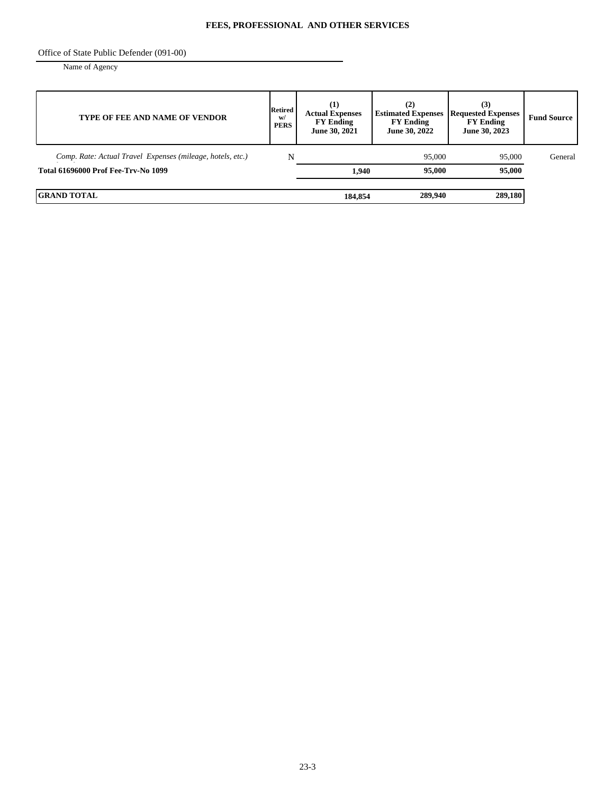#### **FEES, PROFESSIONAL AND OTHER SERVICES**

Office of State Public Defender (091-00)

| <b>TYPE OF FEE AND NAME OF VENDOR</b>                      | <b>Retired</b><br>w/<br><b>PERS</b> | (1)<br><b>Actual Expenses</b><br><b>FY Ending</b><br>June 30, 2021 | (2)<br><b>Estimated Expenses</b><br><b>FY Ending</b><br>June 30, 2022 | (3)<br><b>Requested Expenses</b><br><b>FY Ending</b><br>June 30, 2023 | <b>Fund Source</b> |
|------------------------------------------------------------|-------------------------------------|--------------------------------------------------------------------|-----------------------------------------------------------------------|-----------------------------------------------------------------------|--------------------|
| Comp. Rate: Actual Travel Expenses (mileage, hotels, etc.) | N                                   |                                                                    | 95,000                                                                | 95,000                                                                | General            |
| <b>Total 61696000 Prof Fee-Trv-No 1099</b>                 |                                     | 1.940                                                              | 95,000                                                                | 95,000                                                                |                    |
| <b>GRAND TOTAL</b>                                         |                                     | 184,854                                                            | 289,940                                                               | 289,180                                                               |                    |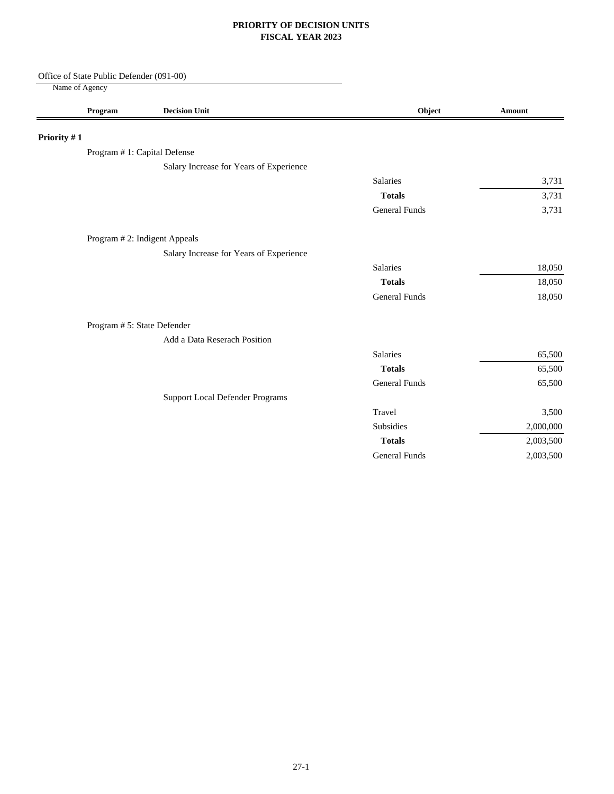#### **PRIORITY OF DECISION UNITS FISCAL YEAR 2023**

Office of State Public Defender (091-00)

|             | Program                      | <b>Decision Unit</b>                    | Object               | Amount    |
|-------------|------------------------------|-----------------------------------------|----------------------|-----------|
| Priority #1 |                              |                                         |                      |           |
|             | Program #1: Capital Defense  |                                         |                      |           |
|             |                              | Salary Increase for Years of Experience |                      |           |
|             |                              |                                         | Salaries             | 3,731     |
|             |                              |                                         | <b>Totals</b>        | 3,731     |
|             |                              |                                         | <b>General Funds</b> | 3,731     |
|             | Program #2: Indigent Appeals |                                         |                      |           |
|             |                              | Salary Increase for Years of Experience |                      |           |
|             |                              |                                         | Salaries             | 18,050    |
|             |                              |                                         | <b>Totals</b>        | 18,050    |
|             |                              |                                         | <b>General Funds</b> | 18,050    |
|             | Program # 5: State Defender  |                                         |                      |           |
|             |                              | Add a Data Reserach Position            |                      |           |
|             |                              |                                         | Salaries             | 65,500    |
|             |                              |                                         | <b>Totals</b>        | 65,500    |
|             |                              |                                         | <b>General Funds</b> | 65,500    |
|             |                              | <b>Support Local Defender Programs</b>  |                      |           |
|             |                              |                                         | Travel               | 3,500     |
|             |                              |                                         | Subsidies            | 2,000,000 |
|             |                              |                                         | <b>Totals</b>        | 2,003,500 |
|             |                              |                                         | General Funds        | 2,003,500 |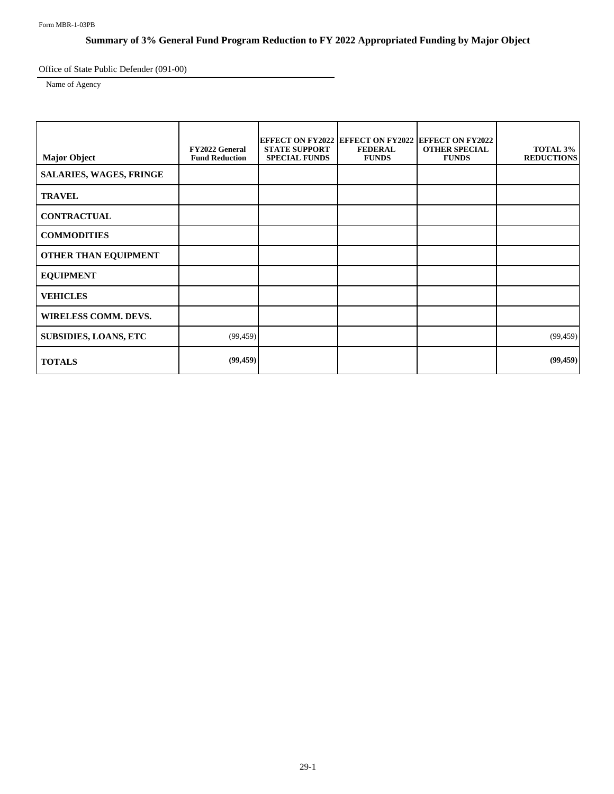### **Summary of 3% General Fund Program Reduction to FY 2022 Appropriated Funding by Major Object**

Office of State Public Defender (091-00)

| <b>Major Object</b>          | <b>FY2022 General</b><br><b>Fund Reduction</b> | <b>STATE SUPPORT</b><br><b>SPECIAL FUNDS</b> | <b>EFFECT ON FY2022 EFFECT ON FY2022 EFFECT ON FY2022</b><br><b>FEDERAL</b><br><b>FUNDS</b> | <b>OTHER SPECIAL</b><br><b>FUNDS</b> | TOTAL 3%<br><b>REDUCTIONS</b> |
|------------------------------|------------------------------------------------|----------------------------------------------|---------------------------------------------------------------------------------------------|--------------------------------------|-------------------------------|
| SALARIES, WAGES, FRINGE      |                                                |                                              |                                                                                             |                                      |                               |
| <b>TRAVEL</b>                |                                                |                                              |                                                                                             |                                      |                               |
| <b>CONTRACTUAL</b>           |                                                |                                              |                                                                                             |                                      |                               |
| <b>COMMODITIES</b>           |                                                |                                              |                                                                                             |                                      |                               |
| <b>OTHER THAN EQUIPMENT</b>  |                                                |                                              |                                                                                             |                                      |                               |
| <b>EQUIPMENT</b>             |                                                |                                              |                                                                                             |                                      |                               |
| <b>VEHICLES</b>              |                                                |                                              |                                                                                             |                                      |                               |
| WIRELESS COMM. DEVS.         |                                                |                                              |                                                                                             |                                      |                               |
| <b>SUBSIDIES, LOANS, ETC</b> | (99, 459)                                      |                                              |                                                                                             |                                      | (99, 459)                     |
| <b>TOTALS</b>                | (99, 459)                                      |                                              |                                                                                             |                                      | (99, 459)                     |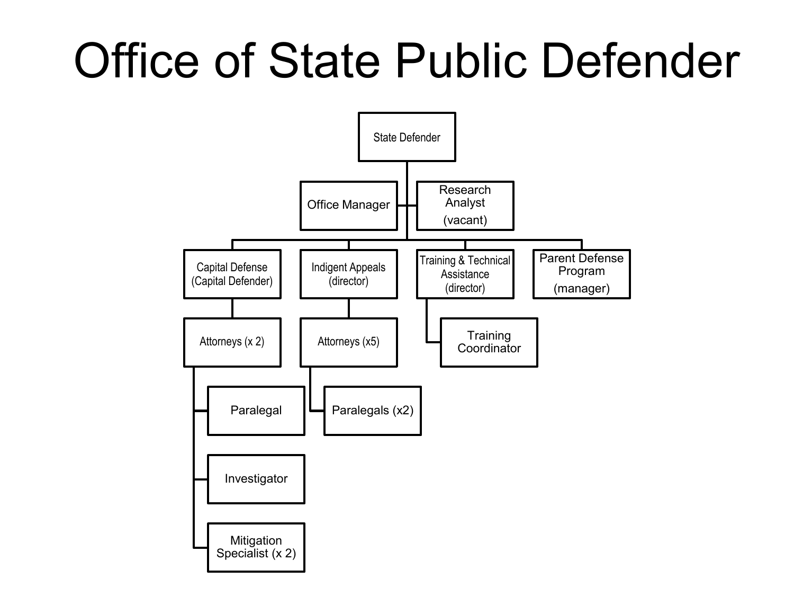# Office of State Public Defender